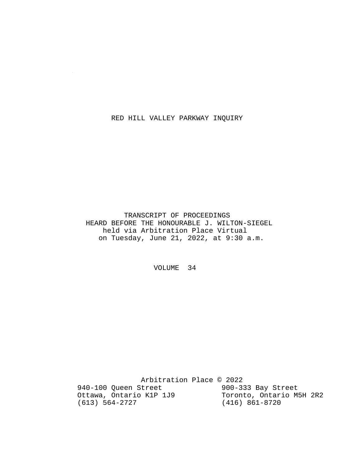#### RED HILL VALLEY PARKWAY INQUIRY

 $\sim$ 

 TRANSCRIPT OF PROCEEDINGS HEARD BEFORE THE HONOURABLE J. WILTON-SIEGEL held via Arbitration Place Virtual on Tuesday, June 21, 2022, at 9:30 a.m.

VOLUME 34

Arbitration Place © 2022<br>Street 900-333 Bay Street 940-100 Queen Street 900-333 Bay Street<br>Ottawa, Ontario K1P 1J9 Toronto, Ontario M5H 2R2 Ottawa, Ontario K1P 1J9<br>(613) 564-2727 (416) 861-8720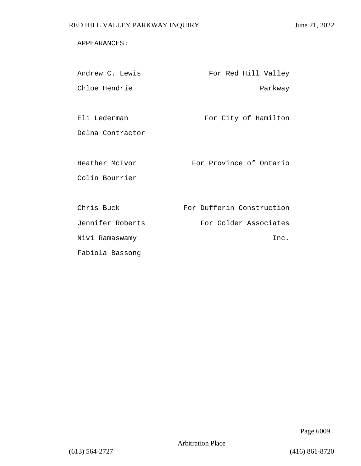### APPEARANCES:

| Andrew C. Lewis  | For Red Hill Valley       |
|------------------|---------------------------|
| Chloe Hendrie    | Parkway                   |
|                  |                           |
| Eli Lederman     | For City of Hamilton      |
| Delna Contractor |                           |
|                  |                           |
| Heather McIvor   | For Province of Ontario   |
| Colin Bourrier   |                           |
|                  |                           |
| Chris Buck       | For Dufferin Construction |
| Jennifer Roberts | For Golder Associates     |
| Nivi Ramaswamy   | Inc.                      |
| Fabiola Bassong  |                           |

Page 6009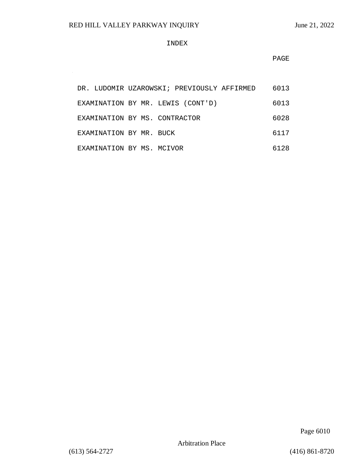$\sim$ 

#### INDEX

**PAGE** 

| DR. LUDOMIR UZAROWSKI; PREVIOUSLY AFFIRMED |  |  |  |  | 6013 |
|--------------------------------------------|--|--|--|--|------|
| EXAMINATION BY MR. LEWIS (CONT'D)          |  |  |  |  | 6013 |
| EXAMINATION BY MS. CONTRACTOR              |  |  |  |  | 6028 |
| EXAMINATION BY MR. BUCK                    |  |  |  |  | 6117 |
| EXAMINATION BY MS. MCIVOR                  |  |  |  |  | 6128 |

Page 6010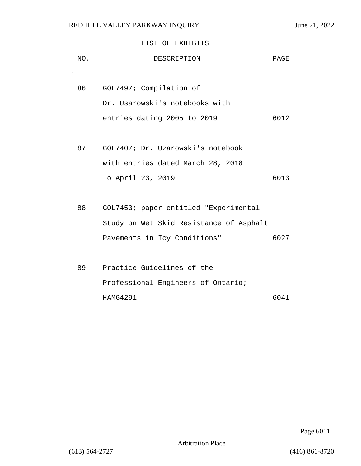### LIST OF EXHIBITS

| NO. | DESCRIPTION                                                   | PAGE |
|-----|---------------------------------------------------------------|------|
| 86  | GOL7497; Compilation of                                       |      |
|     | Dr. Usarowski's notebooks with<br>entries dating 2005 to 2019 | 6012 |
|     |                                                               |      |
| 87  | GOL7407; Dr. Uzarowski's notebook                             |      |
|     | with entries dated March 28, 2018                             |      |
|     | To April 23, 2019                                             | 6013 |
|     |                                                               |      |
| 88  | GOL7453; paper entitled "Experimental                         |      |
|     | Study on Wet Skid Resistance of Asphalt                       |      |
|     | Pavements in Icy Conditions"                                  | 6027 |
|     |                                                               |      |
| 89  | Practice Guidelines of the                                    |      |
|     | Professional Engineers of Ontario;                            |      |
|     | HAM64291                                                      | 6041 |

Page 6011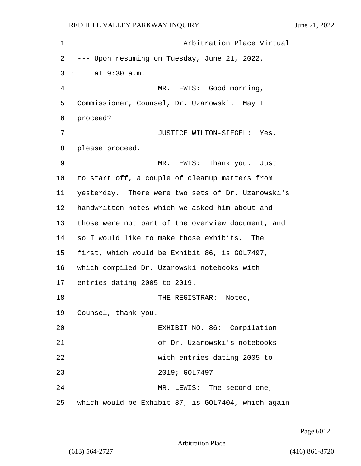| 1  | Arbitration Place Virtual                          |
|----|----------------------------------------------------|
| 2  | --- Upon resuming on Tuesday, June 21, 2022,       |
| 3  | at 9:30 a.m.                                       |
| 4  | MR. LEWIS: Good morning,                           |
| 5  | Commissioner, Counsel, Dr. Uzarowski. May I        |
| 6  | proceed?                                           |
| 7  | JUSTICE WILTON-SIEGEL: Yes,                        |
| 8  | please proceed.                                    |
| 9  | MR. LEWIS: Thank you. Just                         |
| 10 | to start off, a couple of cleanup matters from     |
| 11 | yesterday. There were two sets of Dr. Uzarowski's  |
| 12 | handwritten notes which we asked him about and     |
| 13 | those were not part of the overview document, and  |
| 14 | so I would like to make those exhibits. The        |
| 15 | first, which would be Exhibit 86, is GOL7497,      |
| 16 | which compiled Dr. Uzarowski notebooks with        |
| 17 | entries dating 2005 to 2019.                       |
| 18 | THE REGISTRAR:<br>Noted,                           |
| 19 | Counsel, thank you.                                |
| 20 | EXHIBIT NO. 86: Compilation                        |
| 21 | of Dr. Uzarowski's notebooks                       |
| 22 | with entries dating 2005 to                        |
| 23 | 2019; GOL7497                                      |
| 24 | MR. LEWIS: The second one,                         |
| 25 | which would be Exhibit 87, is GOL7404, which again |

Page 6012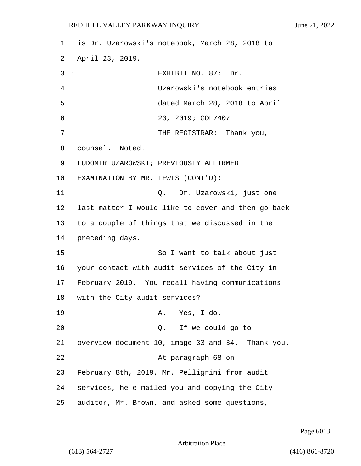| 1  | is Dr. Uzarowski's notebook, March 28, 2018 to     |
|----|----------------------------------------------------|
| 2  | April 23, 2019.                                    |
| 3  | EXHIBIT NO. 87: Dr.                                |
| 4  | Uzarowski's notebook entries                       |
| 5  | dated March 28, 2018 to April                      |
| 6  | 23, 2019; GOL7407                                  |
| 7  | THE REGISTRAR: Thank you,                          |
| 8  | counsel. Noted.                                    |
| 9  | LUDOMIR UZAROWSKI; PREVIOUSLY AFFIRMED             |
| 10 | EXAMINATION BY MR. LEWIS (CONT'D):                 |
| 11 | Q. Dr. Uzarowski, just one                         |
| 12 | last matter I would like to cover and then go back |
| 13 | to a couple of things that we discussed in the     |
| 14 | preceding days.                                    |
| 15 | So I want to talk about just                       |
| 16 | your contact with audit services of the City in    |
| 17 | February 2019. You recall having communications    |
| 18 | with the City audit services?                      |
| 19 | A. Yes, I do.                                      |
| 20 | Q. If we could go to                               |
| 21 | overview document 10, image 33 and 34. Thank you.  |
| 22 | At paragraph 68 on                                 |
| 23 | February 8th, 2019, Mr. Pelligrini from audit      |
| 24 | services, he e-mailed you and copying the City     |
| 25 | auditor, Mr. Brown, and asked some questions,      |

Page 6013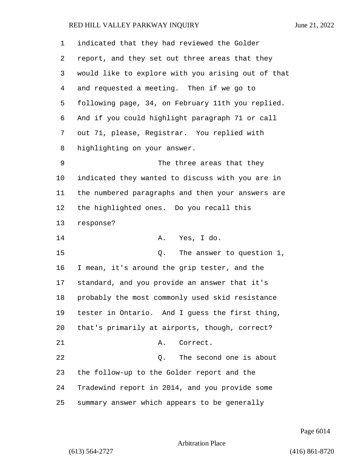| 1      | indicated that they had reviewed the Golder        |
|--------|----------------------------------------------------|
| 2      | report, and they set out three areas that they     |
| 3      | would like to explore with you arising out of that |
| 4      | and requested a meeting. Then if we go to          |
| 5      | following page, 34, on February 11th you replied.  |
| 6      | And if you could highlight paragraph 71 or call    |
| 7      | out 71, please, Registrar. You replied with        |
| 8      | highlighting on your answer.                       |
| 9      | The three areas that they                          |
| 10     | indicated they wanted to discuss with you are in   |
| 11     | the numbered paragraphs and then your answers are  |
| 12     | the highlighted ones. Do you recall this           |
| 13     | response?                                          |
| 14     | Yes, I do.<br>Α.                                   |
| 15     | The answer to question 1,<br>Q.                    |
| 16     | I mean, it's around the grip tester, and the       |
| 17     | standard, and you provide an answer that it's      |
| $18\,$ | probably the most commonly used skid resistance    |
| 19     | tester in Ontario. And I guess the first thing,    |
| 20     | that's primarily at airports, though, correct?     |
| 21     | Correct.<br>Α.                                     |
| 22     | The second one is about<br>Q.                      |
| 23     | the follow-up to the Golder report and the         |
| 24     | Tradewind report in 2014, and you provide some     |
| 25     | summary answer which appears to be generally       |

Page 6014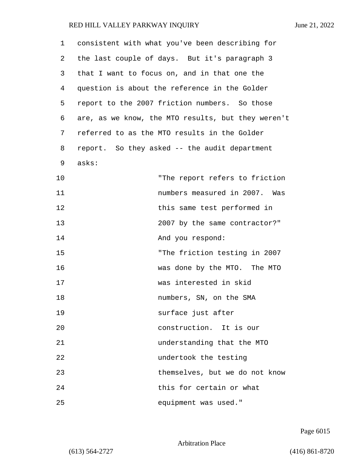| 1  | consistent with what you've been describing for    |
|----|----------------------------------------------------|
| 2  | the last couple of days. But it's paragraph 3      |
| 3  | that I want to focus on, and in that one the       |
| 4  | question is about the reference in the Golder      |
| 5  | report to the 2007 friction numbers. So those      |
| 6  | are, as we know, the MTO results, but they weren't |
| 7  | referred to as the MTO results in the Golder       |
| 8  | report. So they asked -- the audit department      |
| 9  | asks:                                              |
| 10 | "The report refers to friction                     |
| 11 | numbers measured in 2007. Was                      |
| 12 | this same test performed in                        |
| 13 | 2007 by the same contractor?"                      |
| 14 | And you respond:                                   |
| 15 | "The friction testing in 2007                      |
| 16 | was done by the MTO. The MTO                       |
| 17 | was interested in skid                             |
| 18 | numbers, SN, on the SMA                            |
| 19 | surface just after                                 |
| 20 | construction. It is our                            |
| 21 | understanding that the MTO                         |
| 22 | undertook the testing                              |
| 23 | themselves, but we do not know                     |
| 24 | this for certain or what                           |
| 25 | equipment was used."                               |

Page 6015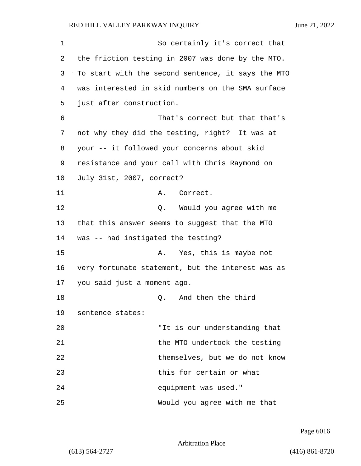| 1  | So certainly it's correct that                     |
|----|----------------------------------------------------|
| 2  | the friction testing in 2007 was done by the MTO.  |
| 3  | To start with the second sentence, it says the MTO |
| 4  | was interested in skid numbers on the SMA surface  |
| 5  | just after construction.                           |
| 6  | That's correct but that that's                     |
| 7  | not why they did the testing, right? It was at     |
| 8  | your -- it followed your concerns about skid       |
| 9  | resistance and your call with Chris Raymond on     |
| 10 | July 31st, 2007, correct?                          |
| 11 | Correct.<br>Α.                                     |
| 12 | Q. Would you agree with me                         |
| 13 | that this answer seems to suggest that the MTO     |
| 14 | was -- had instigated the testing?                 |
| 15 | Yes, this is maybe not<br>Α.                       |
| 16 | very fortunate statement, but the interest was as  |
| 17 | you said just a moment ago.                        |
| 18 | And then the third<br>Q.                           |
| 19 | sentence states:                                   |
| 20 | "It is our understanding that                      |
| 21 | the MTO undertook the testing                      |
| 22 | themselves, but we do not know                     |
| 23 | this for certain or what                           |
| 24 | equipment was used."                               |
| 25 | Would you agree with me that                       |

Page 6016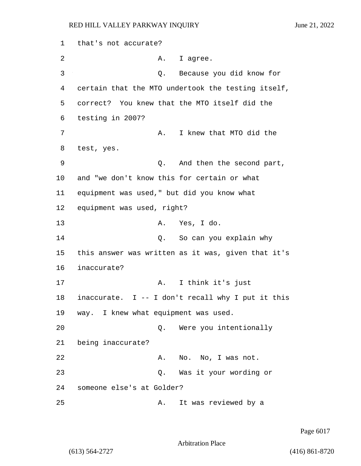1 that's not accurate? 2 A. I agree. 3 Q. Because you did know for 4 certain that the MTO undertook the testing itself, 5 correct? You knew that the MTO itself did the 6 testing in 2007? 7 A. I knew that MTO did the 8 test, yes. 9 Q. And then the second part, 10 and "we don't know this for certain or what 11 equipment was used," but did you know what 12 equipment was used, right? 13 A. Yes, I do. 14 C. So can you explain why 15 this answer was written as it was, given that it's 16 inaccurate? 17 A. I think it's just 18 inaccurate. I -- I don't recall why I put it this 19 way. I knew what equipment was used. 20 Q. Were you intentionally 21 being inaccurate? 22 A. No. No, I was not. 23 Q. Was it your wording or 24 someone else's at Golder? 25 A. It was reviewed by a

Page 6017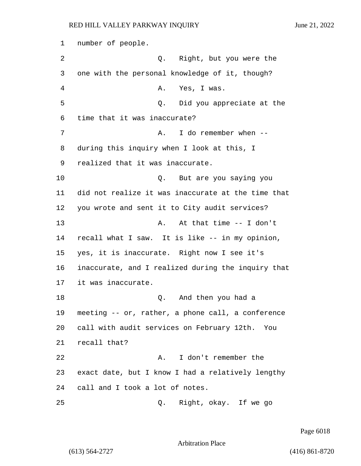number of people. 2 Q. Right, but you were the one with the personal knowledge of it, though? 4 A. Yes, I was. 5 Q. Did you appreciate at the time that it was inaccurate? 7 A. I do remember when  $-$  during this inquiry when I look at this, I realized that it was inaccurate. 10 Q. But are you saying you did not realize it was inaccurate at the time that you wrote and sent it to City audit services? 13 A. At that time -- I don't recall what I saw. It is like -- in my opinion, yes, it is inaccurate. Right now I see it's inaccurate, and I realized during the inquiry that it was inaccurate. 18 Q. And then you had a meeting -- or, rather, a phone call, a conference call with audit services on February 12th. You recall that? 22 A. I don't remember the exact date, but I know I had a relatively lengthy call and I took a lot of notes. 25 Q. Right, okay. If we go

Page 6018

Arbitration Place

(613) 564-2727 (416) 861-8720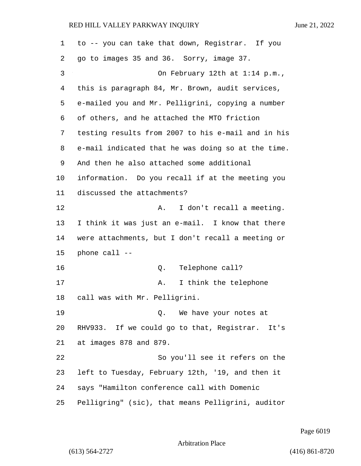to -- you can take that down, Registrar. If you go to images 35 and 36. Sorry, image 37. 3 On February 12th at 1:14 p.m., this is paragraph 84, Mr. Brown, audit services, e-mailed you and Mr. Pelligrini, copying a number of others, and he attached the MTO friction testing results from 2007 to his e-mail and in his e-mail indicated that he was doing so at the time. And then he also attached some additional information. Do you recall if at the meeting you discussed the attachments? 12 A. I don't recall a meeting. I think it was just an e-mail. I know that there were attachments, but I don't recall a meeting or phone call -- 16 Q. Telephone call? 17 A. I think the telephone call was with Mr. Pelligrini. 19 Q. We have your notes at RHV933. If we could go to that, Registrar. It's at images 878 and 879. 22 So you'll see it refers on the left to Tuesday, February 12th, '19, and then it says "Hamilton conference call with Domenic Pelligring" (sic), that means Pelligrini, auditor

Page 6019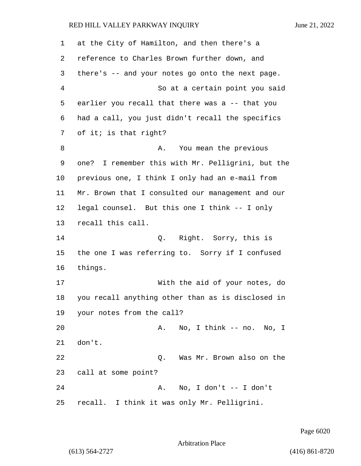| 1  | at the City of Hamilton, and then there's a       |
|----|---------------------------------------------------|
| 2  | reference to Charles Brown further down, and      |
| 3  | there's -- and your notes go onto the next page.  |
| 4  | So at a certain point you said                    |
| 5  | earlier you recall that there was a -- that you   |
| 6  | had a call, you just didn't recall the specifics  |
| 7  | of it; is that right?                             |
| 8  | You mean the previous<br>Α.                       |
| 9  | one? I remember this with Mr. Pelligrini, but the |
| 10 | previous one, I think I only had an e-mail from   |
| 11 | Mr. Brown that I consulted our management and our |
| 12 | legal counsel. But this one I think -- I only     |
| 13 | recall this call.                                 |
| 14 | Q. Right. Sorry, this is                          |
| 15 | the one I was referring to. Sorry if I confused   |
| 16 | things.                                           |
| 17 | With the aid of your notes, do                    |
| 18 | you recall anything other than as is disclosed in |
| 19 | your notes from the call?                         |
| 20 | No, I think -- no. No, I<br>Α.                    |
| 21 | don't.                                            |
| 22 | Was Mr. Brown also on the<br>Q.                   |
| 23 | call at some point?                               |
| 24 | No, I don't -- I don't<br>Α.                      |
| 25 | recall. I think it was only Mr. Pelligrini.       |

Page 6020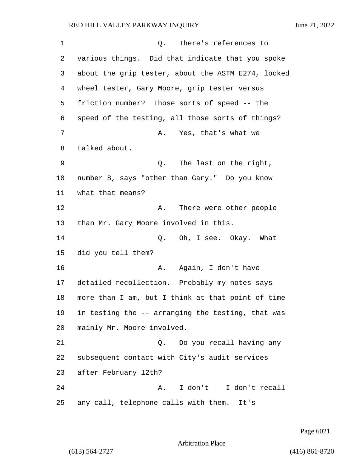1 Q. There's references to various things. Did that indicate that you spoke about the grip tester, about the ASTM E274, locked wheel tester, Gary Moore, grip tester versus friction number? Those sorts of speed -- the speed of the testing, all those sorts of things? 7 A. Yes, that's what we talked about. 9 Q. The last on the right, number 8, says "other than Gary." Do you know what that means? 12 A. There were other people than Mr. Gary Moore involved in this. 14 Q. Oh, I see. Okay. What did you tell them? 16 A. Again, I don't have detailed recollection. Probably my notes says more than I am, but I think at that point of time in testing the -- arranging the testing, that was mainly Mr. Moore involved. 21 Q. Do you recall having any subsequent contact with City's audit services after February 12th? 24 A. I don't -- I don't recall any call, telephone calls with them. It's

Page 6021

Arbitration Place

(613) 564-2727 (416) 861-8720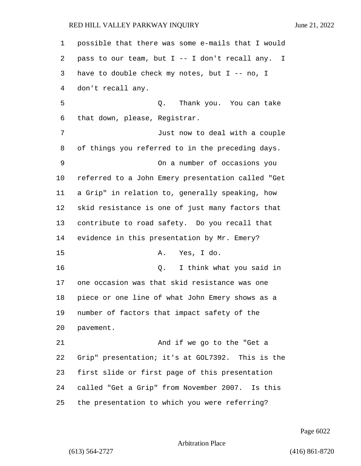possible that there was some e-mails that I would pass to our team, but I -- I don't recall any. I have to double check my notes, but I -- no, I don't recall any. 5 Q. Thank you. You can take that down, please, Registrar. 7 Just now to deal with a couple of things you referred to in the preceding days. 9 On a number of occasions you referred to a John Emery presentation called "Get a Grip" in relation to, generally speaking, how skid resistance is one of just many factors that contribute to road safety. Do you recall that evidence in this presentation by Mr. Emery? 15 A. Yes, I do. 16 Q. I think what you said in one occasion was that skid resistance was one piece or one line of what John Emery shows as a number of factors that impact safety of the pavement. 21 And if we go to the "Get a Grip" presentation; it's at GOL7392. This is the first slide or first page of this presentation called "Get a Grip" from November 2007. Is this the presentation to which you were referring?

Page 6022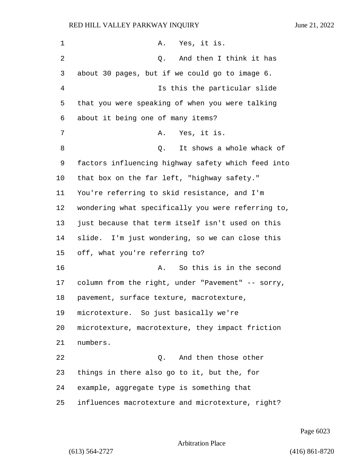| 1  | A. Yes, it is.                                     |
|----|----------------------------------------------------|
| 2  | And then I think it has<br>Q.                      |
| 3  | about 30 pages, but if we could go to image 6.     |
| 4  | Is this the particular slide                       |
| 5  | that you were speaking of when you were talking    |
| 6  | about it being one of many items?                  |
| 7  | Yes, it is.<br>Α.                                  |
| 8  | It shows a whole whack of<br>Q.                    |
| 9  | factors influencing highway safety which feed into |
| 10 | that box on the far left, "highway safety."        |
| 11 | You're referring to skid resistance, and I'm       |
| 12 | wondering what specifically you were referring to, |
| 13 | just because that term itself isn't used on this   |
| 14 | slide. I'm just wondering, so we can close this    |
| 15 | off, what you're referring to?                     |
| 16 | So this is in the second<br>Α.                     |
| 17 | column from the right, under "Pavement" -- sorry,  |
| 18 | pavement, surface texture, macrotexture,           |
| 19 | microtexture. So just basically we're              |
| 20 | microtexture, macrotexture, they impact friction   |
| 21 | numbers.                                           |
| 22 | And then those other<br>Q.                         |
| 23 | things in there also go to it, but the, for        |
| 24 | example, aggregate type is something that          |
| 25 | influences macrotexture and microtexture, right?   |

Page 6023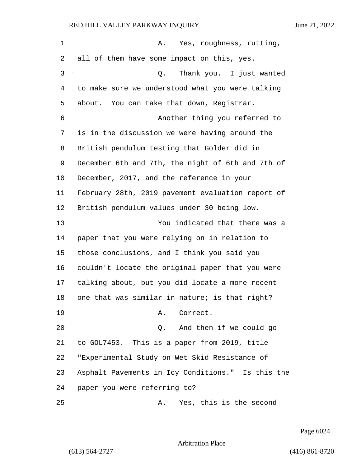| $\mathbf 1$ | Yes, roughness, rutting,<br>A.                    |
|-------------|---------------------------------------------------|
| 2           | all of them have some impact on this, yes.        |
| 3           | Thank you. I just wanted<br>Q.                    |
| 4           | to make sure we understood what you were talking  |
| 5           | about. You can take that down, Registrar.         |
| 6           | Another thing you referred to                     |
| 7           | is in the discussion we were having around the    |
| 8           | British pendulum testing that Golder did in       |
| 9           | December 6th and 7th, the night of 6th and 7th of |
| 10          | December, 2017, and the reference in your         |
| 11          | February 28th, 2019 pavement evaluation report of |
| 12          | British pendulum values under 30 being low.       |
| 13          | You indicated that there was a                    |
| 14          | paper that you were relying on in relation to     |
| 15          | those conclusions, and I think you said you       |
| 16          | couldn't locate the original paper that you were  |
| 17          | talking about, but you did locate a more recent   |
| 18          | one that was similar in nature; is that right?    |
| 19          | A. Correct.                                       |
| 20          | And then if we could go<br>Q.                     |
| 21          | to GOL7453. This is a paper from 2019, title      |
| 22          | "Experimental Study on Wet Skid Resistance of     |
| 23          | Asphalt Pavements in Icy Conditions." Is this the |
| 24          | paper you were referring to?                      |
| 25          | Yes, this is the second<br>Α.                     |

Page 6024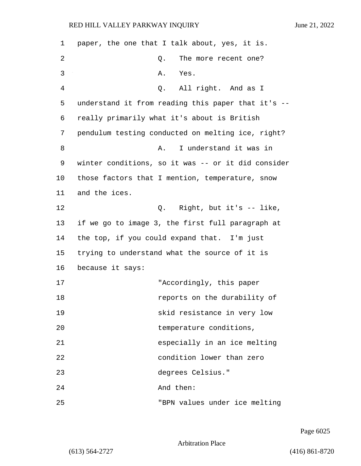| 1  | paper, the one that I talk about, yes, it is.      |
|----|----------------------------------------------------|
| 2  | The more recent one?<br>Q.                         |
| 3  | Α.<br>Yes.                                         |
| 4  | All right. And as I<br>Q.                          |
| 5  | understand it from reading this paper that it's -- |
| 6  | really primarily what it's about is British        |
| 7  | pendulum testing conducted on melting ice, right?  |
| 8  | I understand it was in<br>Α.                       |
| 9  | winter conditions, so it was -- or it did consider |
| 10 | those factors that I mention, temperature, snow    |
| 11 | and the ices.                                      |
| 12 | Q. Right, but it's -- like,                        |
| 13 | if we go to image 3, the first full paragraph at   |
| 14 | the top, if you could expand that. I'm just        |
| 15 | trying to understand what the source of it is      |
| 16 | because it says:                                   |
| 17 | "Accordingly, this paper                           |
| 18 | reports on the durability of                       |
| 19 | skid resistance in very low                        |
| 20 | temperature conditions,                            |
| 21 | especially in an ice melting                       |
| 22 | condition lower than zero                          |
| 23 | degrees Celsius."                                  |
| 24 | And then:                                          |
| 25 | "BPN values under ice melting                      |

Page 6025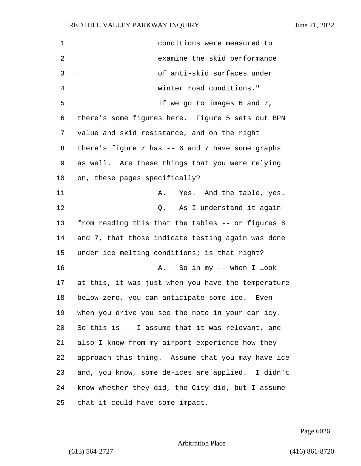| $\mathbf 1$    | conditions were measured to                        |
|----------------|----------------------------------------------------|
| $\overline{2}$ | examine the skid performance                       |
| 3              | of anti-skid surfaces under                        |
| 4              | winter road conditions."                           |
| 5              | If we go to images 6 and 7,                        |
| 6              | there's some figures here. Figure 5 sets out BPN   |
| 7              | value and skid resistance, and on the right        |
| 8              | there's figure 7 has $-$ 6 and 7 have some graphs  |
| 9              | as well. Are these things that you were relying    |
| 10             | on, these pages specifically?                      |
| 11             | Yes. And the table, yes.<br>Α.                     |
| 12             | As I understand it again<br>Q.                     |
| 13             | from reading this that the tables -- or figures 6  |
| 14             | and 7, that those indicate testing again was done  |
| 15             | under ice melting conditions; is that right?       |
| 16             | So in my $-$ when I look<br>Α.                     |
| 17             | at this, it was just when you have the temperature |
| 18             | below zero, you can anticipate some ice.<br>Even   |
| 19             | when you drive you see the note in your car icy.   |
| 20             | So this is -- I assume that it was relevant, and   |
| 21             | also I know from my airport experience how they    |
| 22             | approach this thing. Assume that you may have ice  |
| 23             | and, you know, some de-ices are applied. I didn't  |
| 24             | know whether they did, the City did, but I assume  |
| 25             | that it could have some impact.                    |

Page 6026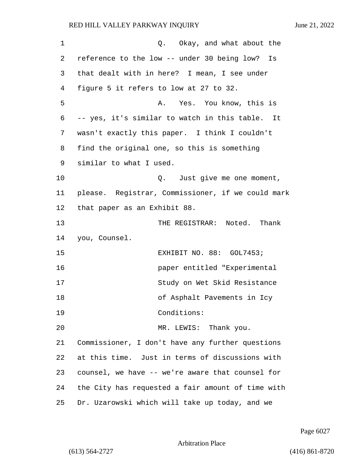1 C. Okay, and what about the 2 reference to the low -- under 30 being low? Is 3 that dealt with in here? I mean, I see under 4 figure 5 it refers to low at 27 to 32. 5 A. Yes. You know, this is 6 -- yes, it's similar to watch in this table. It 7 wasn't exactly this paper. I think I couldn't 8 find the original one, so this is something 9 similar to what I used. 10 Q. Just give me one moment, 11 please. Registrar, Commissioner, if we could mark 12 that paper as an Exhibit 88. 13 THE REGISTRAR: Noted. Thank 14 you, Counsel. 15 EXHIBIT NO. 88: GOL7453; 16 paper entitled "Experimental 17 Study on Wet Skid Resistance 18 of Asphalt Pavements in Icy 19 Conditions: 20 MR. LEWIS: Thank you. 21 Commissioner, I don't have any further questions 22 at this time. Just in terms of discussions with 23 counsel, we have -- we're aware that counsel for 24 the City has requested a fair amount of time with 25 Dr. Uzarowski which will take up today, and we

Page 6027

Arbitration Place

(613) 564-2727 (416) 861-8720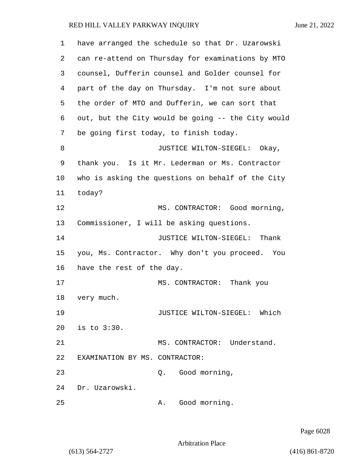| 1  | have arranged the schedule so that Dr. Uzarowski   |
|----|----------------------------------------------------|
| 2  | can re-attend on Thursday for examinations by MTO  |
| 3  | counsel, Dufferin counsel and Golder counsel for   |
| 4  | part of the day on Thursday. I'm not sure about    |
| 5  | the order of MTO and Dufferin, we can sort that    |
| 6  | out, but the City would be going -- the City would |
| 7  | be going first today, to finish today.             |
| 8  | JUSTICE WILTON-SIEGEL: Okay,                       |
| 9  | thank you. Is it Mr. Lederman or Ms. Contractor    |
| 10 | who is asking the questions on behalf of the City  |
| 11 | today?                                             |
| 12 | MS. CONTRACTOR: Good morning,                      |
| 13 | Commissioner, I will be asking questions.          |
| 14 | JUSTICE WILTON-SIEGEL: Thank                       |
| 15 | you, Ms. Contractor. Why don't you proceed. You    |
| 16 | have the rest of the day.                          |
| 17 | MS. CONTRACTOR: Thank you                          |
| 18 | very much.                                         |
| 19 | Which<br>JUSTICE WILTON-SIEGEL:                    |
| 20 | is to 3:30.                                        |
| 21 | MS. CONTRACTOR: Understand.                        |
| 22 | EXAMINATION BY MS. CONTRACTOR:                     |
| 23 | Q. Good morning,                                   |
| 24 | Dr. Uzarowski.                                     |
| 25 | Good morning.<br>Α.                                |

Page 6028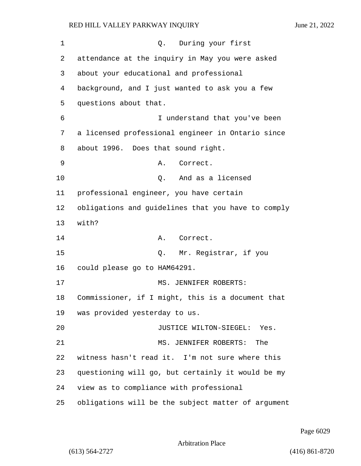1 C. During your first 2 attendance at the inquiry in May you were asked 3 about your educational and professional 4 background, and I just wanted to ask you a few 5 questions about that. 6 I understand that you've been 7 a licensed professional engineer in Ontario since 8 about 1996. Does that sound right. 9 A. Correct. 10 Q. And as a licensed 11 professional engineer, you have certain 12 obligations and guidelines that you have to comply 13 with? 14 A. Correct. 15 Q. Mr. Registrar, if you 16 could please go to HAM64291. 17 MS. JENNIFER ROBERTS: 18 Commissioner, if I might, this is a document that 19 was provided yesterday to us. 20 JUSTICE WILTON-SIEGEL: Yes. 21 MS. JENNIFER ROBERTS: The 22 witness hasn't read it. I'm not sure where this 23 questioning will go, but certainly it would be my 24 view as to compliance with professional 25 obligations will be the subject matter of argument

Page 6029

Arbitration Place

(613) 564-2727 (416) 861-8720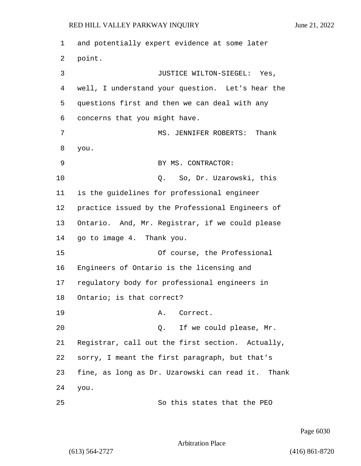1 and potentially expert evidence at some later 2 point. 3 JUSTICE WILTON-SIEGEL: Yes, 4 well, I understand your question. Let's hear the 5 questions first and then we can deal with any 6 concerns that you might have. 7 MS. JENNIFER ROBERTS: Thank 8 you. 9 BY MS. CONTRACTOR: 10 Q. So, Dr. Uzarowski, this 11 is the guidelines for professional engineer 12 practice issued by the Professional Engineers of 13 Ontario. And, Mr. Registrar, if we could please 14 go to image 4. Thank you. 15 Of course, the Professional 16 Engineers of Ontario is the licensing and 17 regulatory body for professional engineers in 18 Ontario; is that correct? 19 A. Correct. 20 20 Q. If we could please, Mr. 21 Registrar, call out the first section. Actually, 22 sorry, I meant the first paragraph, but that's 23 fine, as long as Dr. Uzarowski can read it. Thank 24 you. 25 So this states that the PEO

Page 6030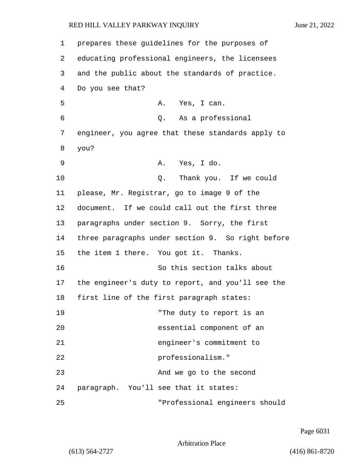| $\mathbf 1$ | prepares these guidelines for the purposes of     |
|-------------|---------------------------------------------------|
| 2           | educating professional engineers, the licensees   |
| 3           | and the public about the standards of practice.   |
| 4           | Do you see that?                                  |
| 5           | A. Yes, I can.                                    |
| 6           | Q. As a professional                              |
| 7           | engineer, you agree that these standards apply to |
| 8           | you?                                              |
| 9           | A. Yes, I do.                                     |
| 10          | Thank you. If we could<br>Q.                      |
| 11          | please, Mr. Registrar, go to image 9 of the       |
| 12          | document. If we could call out the first three    |
| 13          | paragraphs under section 9. Sorry, the first      |
| 14          | three paragraphs under section 9. So right before |
| 15          | the item 1 there. You got it. Thanks.             |
| 16          | So this section talks about                       |
| 17          | the engineer's duty to report, and you'll see the |
| 18          | first line of the first paragraph states:         |
| 19          | "The duty to report is an                         |
| 20          | essential component of an                         |
| 21          | engineer's commitment to                          |
| 22          | professionalism."                                 |
| 23          | And we go to the second                           |
| 24          | paragraph. You'll see that it states:             |
| 25          | "Professional engineers should                    |

Page 6031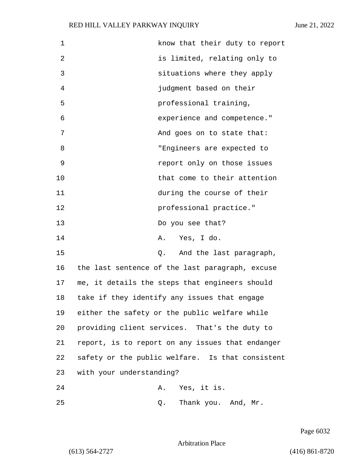| $\mathbf 1$ | know that their duty to report                   |
|-------------|--------------------------------------------------|
| 2           | is limited, relating only to                     |
| 3           | situations where they apply                      |
| 4           | judgment based on their                          |
| 5           | professional training,                           |
| 6           | experience and competence."                      |
| 7           | And goes on to state that:                       |
| 8           | "Engineers are expected to                       |
| 9           | report only on those issues                      |
| 10          | that come to their attention                     |
| 11          | during the course of their                       |
| 12          | professional practice."                          |
| 13          | Do you see that?                                 |
| 14          | A. Yes, I do.                                    |
| 15          | Q. And the last paragraph,                       |
| 16          | the last sentence of the last paragraph, excuse  |
| 17          | me, it details the steps that engineers should   |
| 18          | take if they identify any issues that engage     |
| 19          | either the safety or the public welfare while    |
| 20          | providing client services. That's the duty to    |
| 21          | report, is to report on any issues that endanger |
| 22          | safety or the public welfare. Is that consistent |
| 23          | with your understanding?                         |
| 24          | Yes, it is.<br>Α.                                |
| 25          | Thank you. And, Mr.<br>Q.                        |

Page 6032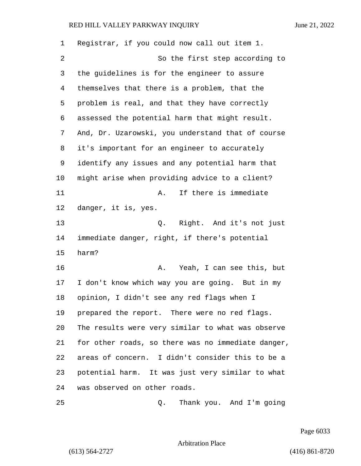| 1  | Registrar, if you could now call out item 1.       |
|----|----------------------------------------------------|
| 2  | So the first step according to                     |
| 3  | the guidelines is for the engineer to assure       |
| 4  | themselves that there is a problem, that the       |
| 5  | problem is real, and that they have correctly      |
| 6  | assessed the potential harm that might result.     |
| 7  | And, Dr. Uzarowski, you understand that of course  |
| 8  | it's important for an engineer to accurately       |
| 9  | identify any issues and any potential harm that    |
| 10 | might arise when providing advice to a client?     |
| 11 | If there is immediate<br>Α.                        |
| 12 | danger, it is, yes.                                |
| 13 | Q. Right. And it's not just                        |
| 14 | immediate danger, right, if there's potential      |
| 15 | harm?                                              |
| 16 | Yeah, I can see this, but<br>Α.                    |
| 17 | I don't know which way you are going. But in my    |
| 18 | opinion, I didn't see any red flags when I         |
| 19 | prepared the report. There were no red flags.      |
| 20 | The results were very similar to what was observe  |
| 21 | for other roads, so there was no immediate danger, |
| 22 | areas of concern. I didn't consider this to be a   |
| 23 | potential harm. It was just very similar to what   |
| 24 | was observed on other roads.                       |
| 25 | Thank you. And I'm going<br>Q.                     |

Page 6033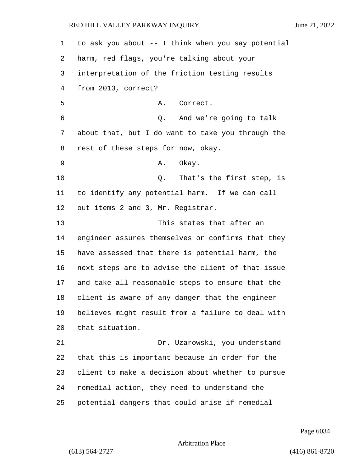to ask you about -- I think when you say potential harm, red flags, you're talking about your interpretation of the friction testing results from 2013, correct? 5 A. Correct. 6 Q. And we're going to talk about that, but I do want to take you through the rest of these steps for now, okay. 9 A. Okay. **Q.** That's the first step, is to identify any potential harm. If we can call out items 2 and 3, Mr. Registrar. 13 This states that after an engineer assures themselves or confirms that they have assessed that there is potential harm, the next steps are to advise the client of that issue and take all reasonable steps to ensure that the client is aware of any danger that the engineer believes might result from a failure to deal with that situation. 21 Dr. Uzarowski, you understand that this is important because in order for the client to make a decision about whether to pursue remedial action, they need to understand the potential dangers that could arise if remedial

Page 6034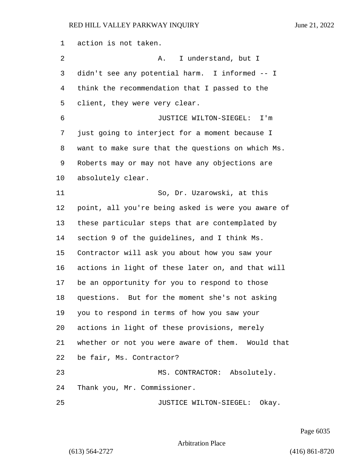action is not taken. 2 A. I understand, but I didn't see any potential harm. I informed -- I think the recommendation that I passed to the client, they were very clear. 6 JUSTICE WILTON-SIEGEL: I'm just going to interject for a moment because I want to make sure that the questions on which Ms. Roberts may or may not have any objections are absolutely clear. 11 So, Dr. Uzarowski, at this point, all you're being asked is were you aware of these particular steps that are contemplated by section 9 of the guidelines, and I think Ms. Contractor will ask you about how you saw your actions in light of these later on, and that will be an opportunity for you to respond to those questions. But for the moment she's not asking you to respond in terms of how you saw your actions in light of these provisions, merely whether or not you were aware of them. Would that be fair, Ms. Contractor? 23 MS. CONTRACTOR: Absolutely. Thank you, Mr. Commissioner. 25 JUSTICE WILTON-SIEGEL: Okay.

Page 6035

Arbitration Place

(613) 564-2727 (416) 861-8720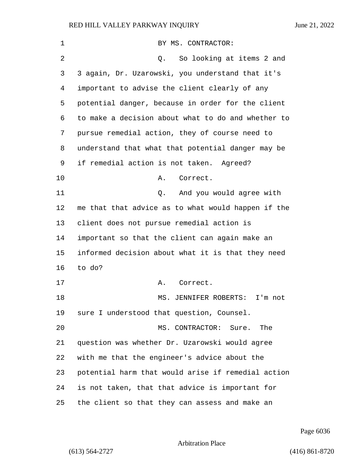| 1  | BY MS. CONTRACTOR:                                 |
|----|----------------------------------------------------|
| 2  | So looking at items 2 and<br>Q.                    |
| 3  | 3 again, Dr. Uzarowski, you understand that it's   |
| 4  | important to advise the client clearly of any      |
| 5  | potential danger, because in order for the client  |
| 6  | to make a decision about what to do and whether to |
| 7  | pursue remedial action, they of course need to     |
| 8  | understand that what that potential danger may be  |
| 9  | if remedial action is not taken. Agreed?           |
| 10 | Correct.<br>Α.                                     |
| 11 | And you would agree with<br>Q.                     |
| 12 | me that that advice as to what would happen if the |
| 13 | client does not pursue remedial action is          |
| 14 | important so that the client can again make an     |
| 15 | informed decision about what it is that they need  |
| 16 | to do?                                             |
| 17 | Α.<br>Correct.                                     |
| 18 | MS.<br>JENNIFER ROBERTS:<br>I'm not                |
| 19 | sure I understood that question, Counsel.          |
| 20 | MS. CONTRACTOR:<br>Sure. The                       |
| 21 | question was whether Dr. Uzarowski would agree     |
| 22 | with me that the engineer's advice about the       |
| 23 | potential harm that would arise if remedial action |
| 24 | is not taken, that that advice is important for    |
| 25 | the client so that they can assess and make an     |

Page 6036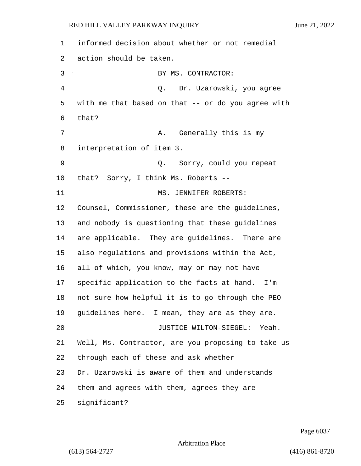informed decision about whether or not remedial action should be taken. 3 BY MS. CONTRACTOR: 4 Q. Dr. Uzarowski, you agree with me that based on that -- or do you agree with that? 7 A. Generally this is my interpretation of item 3. 9 Q. Sorry, could you repeat that? Sorry, I think Ms. Roberts -- 11 MS. JENNIFER ROBERTS: Counsel, Commissioner, these are the guidelines, and nobody is questioning that these guidelines are applicable. They are guidelines. There are also regulations and provisions within the Act, all of which, you know, may or may not have specific application to the facts at hand. I'm not sure how helpful it is to go through the PEO guidelines here. I mean, they are as they are. 20 JUSTICE WILTON-SIEGEL: Yeah. Well, Ms. Contractor, are you proposing to take us through each of these and ask whether Dr. Uzarowski is aware of them and understands them and agrees with them, agrees they are significant?

Page 6037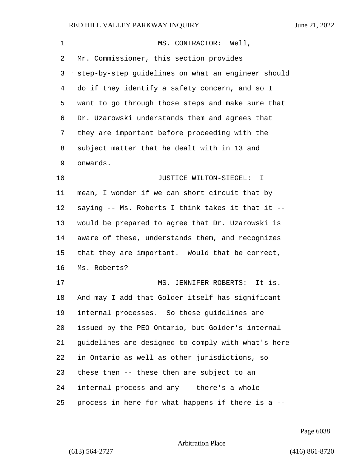| $\mathbf{1}$ | MS. CONTRACTOR: Well,                              |
|--------------|----------------------------------------------------|
| 2            | Mr. Commissioner, this section provides            |
| 3            | step-by-step guidelines on what an engineer should |
| 4            | do if they identify a safety concern, and so I     |
| 5            | want to go through those steps and make sure that  |
| 6            | Dr. Uzarowski understands them and agrees that     |
| 7            | they are important before proceeding with the      |
| 8            | subject matter that he dealt with in 13 and        |
| 9            | onwards.                                           |
| 10           | JUSTICE WILTON-SIEGEL: I                           |
| 11           | mean, I wonder if we can short circuit that by     |
| 12           | saying -- Ms. Roberts I think takes it that it --  |
| 13           | would be prepared to agree that Dr. Uzarowski is   |
| 14           | aware of these, understands them, and recognizes   |
| 15           | that they are important. Would that be correct,    |
| 16           | Ms. Roberts?                                       |
| 17           | MS. JENNIFER ROBERTS: It is.                       |
| 18           | And may I add that Golder itself has significant   |
| 19           | internal processes. So these guidelines are        |
| 20           | issued by the PEO Ontario, but Golder's internal   |
| 21           | guidelines are designed to comply with what's here |
| 22           | in Ontario as well as other jurisdictions, so      |
| 23           | these then -- these then are subject to an         |
| 24           | internal process and any -- there's a whole        |
| 25           | process in here for what happens if there is a --  |

Page 6038

Arbitration Place

(613) 564-2727 (416) 861-8720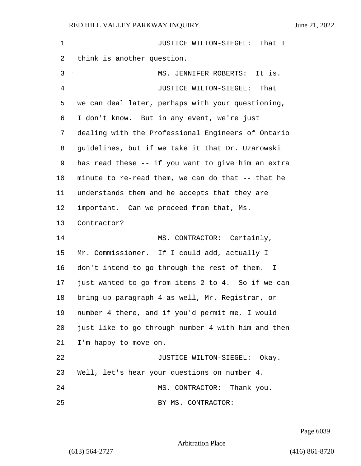1 JUSTICE WILTON-SIEGEL: That I think is another question. 3 MS. JENNIFER ROBERTS: It is. 4 JUSTICE WILTON-SIEGEL: That we can deal later, perhaps with your questioning, I don't know. But in any event, we're just dealing with the Professional Engineers of Ontario guidelines, but if we take it that Dr. Uzarowski has read these -- if you want to give him an extra minute to re-read them, we can do that -- that he understands them and he accepts that they are important. Can we proceed from that, Ms. Contractor? 14 MS. CONTRACTOR: Certainly, Mr. Commissioner. If I could add, actually I don't intend to go through the rest of them. I just wanted to go from items 2 to 4. So if we can bring up paragraph 4 as well, Mr. Registrar, or number 4 there, and if you'd permit me, I would just like to go through number 4 with him and then I'm happy to move on. 22 JUSTICE WILTON-SIEGEL: Okay. Well, let's hear your questions on number 4. 24 MS. CONTRACTOR: Thank you. 25 BY MS. CONTRACTOR:

Page 6039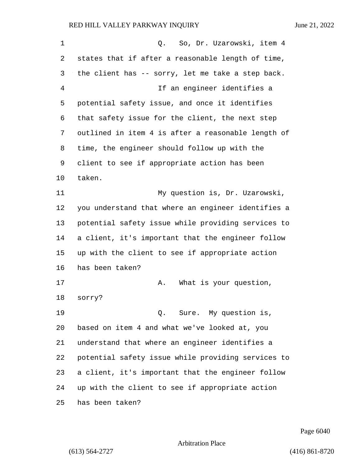| 1  | So, Dr. Uzarowski, item 4<br>Q.                    |
|----|----------------------------------------------------|
| 2  | states that if after a reasonable length of time,  |
| 3  | the client has -- sorry, let me take a step back.  |
| 4  | If an engineer identifies a                        |
| 5  | potential safety issue, and once it identifies     |
| 6  | that safety issue for the client, the next step    |
| 7  | outlined in item 4 is after a reasonable length of |
| 8  | time, the engineer should follow up with the       |
| 9  | client to see if appropriate action has been       |
| 10 | taken.                                             |
| 11 | My question is, Dr. Uzarowski,                     |
| 12 | you understand that where an engineer identifies a |
| 13 | potential safety issue while providing services to |
| 14 | a client, it's important that the engineer follow  |
| 15 | up with the client to see if appropriate action    |
| 16 | has been taken?                                    |
| 17 | What is your question,<br>Α.                       |
| 18 | sorry?                                             |
| 19 | Sure. My question is,<br>О.                        |
| 20 | based on item 4 and what we've looked at, you      |
| 21 | understand that where an engineer identifies a     |
| 22 | potential safety issue while providing services to |
| 23 | a client, it's important that the engineer follow  |
| 24 | up with the client to see if appropriate action    |
| 25 | has been taken?                                    |

Page 6040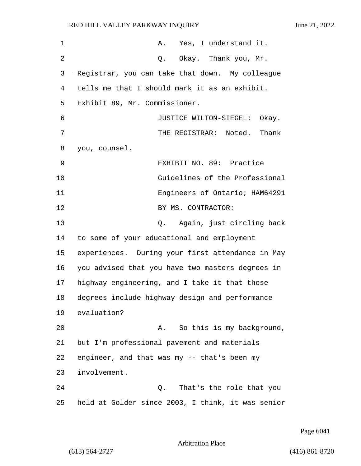| $\mathbf 1$ | Yes, I understand it.<br>Α.                       |
|-------------|---------------------------------------------------|
| 2           | Okay. Thank you, Mr.<br>Q.                        |
| 3           | Registrar, you can take that down. My colleague   |
| 4           | tells me that I should mark it as an exhibit.     |
| 5           | Exhibit 89, Mr. Commissioner.                     |
| 6           | JUSTICE WILTON-SIEGEL: Okay.                      |
| 7           | THE REGISTRAR: Noted.<br>Thank                    |
| 8           | you, counsel.                                     |
| 9           | EXHIBIT NO. 89: Practice                          |
| 10          | Guidelines of the Professional                    |
| 11          | Engineers of Ontario; HAM64291                    |
| 12          | BY MS. CONTRACTOR:                                |
| 13          | Again, just circling back<br>Q.                   |
| 14          | to some of your educational and employment        |
| 15          | experiences. During your first attendance in May  |
| 16          | you advised that you have two masters degrees in  |
| 17          | highway engineering, and I take it that those     |
| 18          | degrees include highway design and performance    |
| 19          | evaluation?                                       |
| 20          | So this is my background,<br>Α.                   |
| 21          | but I'm professional pavement and materials       |
| 22          | engineer, and that was my -- that's been my       |
| 23          | involvement.                                      |
| 24          | That's the role that you<br>Q.                    |
| 25          | held at Golder since 2003, I think, it was senior |

Page 6041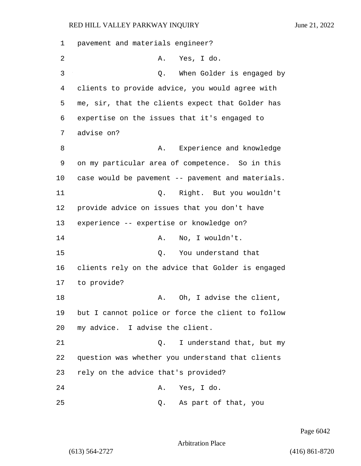1 pavement and materials engineer? 2 A. Yes, I do. 3 Q. When Golder is engaged by 4 clients to provide advice, you would agree with 5 me, sir, that the clients expect that Golder has 6 expertise on the issues that it's engaged to 7 advise on? 8 B. A. Experience and knowledge 9 on my particular area of competence. So in this 10 case would be pavement -- pavement and materials. 11 Q. Right. But you wouldn't 12 provide advice on issues that you don't have 13 experience -- expertise or knowledge on? 14 A. No, I wouldn't. 15 Q. You understand that 16 clients rely on the advice that Golder is engaged 17 to provide? 18 A. Oh, I advise the client, 19 but I cannot police or force the client to follow 20 my advice. I advise the client. 21 Q. I understand that, but my 22 question was whether you understand that clients 23 rely on the advice that's provided? 24 A. Yes, I do. 25 Q. As part of that, you

Page 6042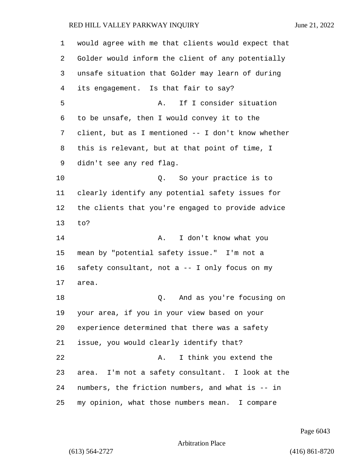would agree with me that clients would expect that Golder would inform the client of any potentially unsafe situation that Golder may learn of during its engagement. Is that fair to say? 5 A. If I consider situation to be unsafe, then I would convey it to the client, but as I mentioned -- I don't know whether this is relevant, but at that point of time, I didn't see any red flag. 10 Q. So your practice is to clearly identify any potential safety issues for the clients that you're engaged to provide advice to? 14 A. I don't know what you mean by "potential safety issue." I'm not a safety consultant, not a -- I only focus on my area. 18 Q. And as you're focusing on your area, if you in your view based on your experience determined that there was a safety issue, you would clearly identify that? 22 A. I think you extend the area. I'm not a safety consultant. I look at the numbers, the friction numbers, and what is -- in my opinion, what those numbers mean. I compare

Page 6043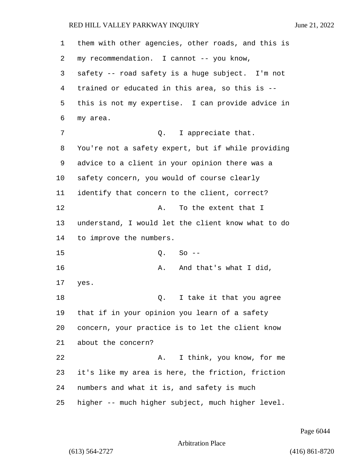| 1  | them with other agencies, other roads, and this is |
|----|----------------------------------------------------|
| 2  | my recommendation. I cannot -- you know,           |
| 3  | safety -- road safety is a huge subject. I'm not   |
| 4  | trained or educated in this area, so this is --    |
| 5  | this is not my expertise. I can provide advice in  |
| 6  | my area.                                           |
| 7  | Q. I appreciate that.                              |
| 8  | You're not a safety expert, but if while providing |
| 9  | advice to a client in your opinion there was a     |
| 10 | safety concern, you would of course clearly        |
| 11 | identify that concern to the client, correct?      |
| 12 | To the extent that I<br>Α.                         |
| 13 | understand, I would let the client know what to do |
| 14 | to improve the numbers.                            |
| 15 | $So --$<br>Q.                                      |
| 16 | And that's what I did,<br>Α.                       |
| 17 | yes.                                               |
| 18 | I take it that you agree<br>Q.                     |
| 19 | that if in your opinion you learn of a safety      |
| 20 | concern, your practice is to let the client know   |
| 21 | about the concern?                                 |
| 22 | I think, you know, for me<br>Α.                    |
| 23 | it's like my area is here, the friction, friction  |
| 24 | numbers and what it is, and safety is much         |
| 25 | higher -- much higher subject, much higher level.  |

Page 6044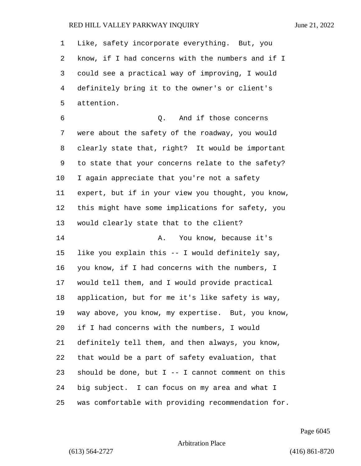| 1  | Like, safety incorporate everything. But, you       |
|----|-----------------------------------------------------|
| 2  | know, if I had concerns with the numbers and if I   |
| 3  | could see a practical way of improving, I would     |
| 4  | definitely bring it to the owner's or client's      |
| 5  | attention.                                          |
| 6  | And if those concerns<br>Q.                         |
| 7  | were about the safety of the roadway, you would     |
| 8  | clearly state that, right? It would be important    |
| 9  | to state that your concerns relate to the safety?   |
| 10 | I again appreciate that you're not a safety         |
| 11 | expert, but if in your view you thought, you know,  |
| 12 | this might have some implications for safety, you   |
| 13 | would clearly state that to the client?             |
| 14 | You know, because it's<br>Α.                        |
| 15 | like you explain this -- I would definitely say,    |
| 16 | you know, if I had concerns with the numbers, I     |
| 17 | would tell them, and I would provide practical      |
| 18 | application, but for me it's like safety is way,    |
| 19 | way above, you know, my expertise. But, you know,   |
| 20 | if I had concerns with the numbers, I would         |
| 21 | definitely tell them, and then always, you know,    |
| 22 | that would be a part of safety evaluation, that     |
| 23 | should be done, but $I$ -- I cannot comment on this |
| 24 | big subject. I can focus on my area and what I      |
| 25 | was comfortable with providing recommendation for.  |

Page 6045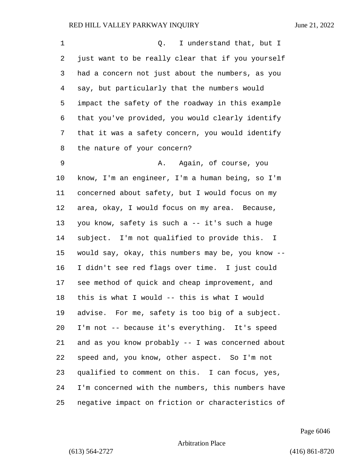| 1  | I understand that, but I<br>Q.                    |
|----|---------------------------------------------------|
| 2  | just want to be really clear that if you yourself |
| 3  | had a concern not just about the numbers, as you  |
| 4  | say, but particularly that the numbers would      |
| 5  | impact the safety of the roadway in this example  |
| 6  | that you've provided, you would clearly identify  |
| 7  | that it was a safety concern, you would identify  |
| 8  | the nature of your concern?                       |
| 9  | Again, of course, you<br>Α.                       |
| 10 | know, I'm an engineer, I'm a human being, so I'm  |
| 11 | concerned about safety, but I would focus on my   |
| 12 | area, okay, I would focus on my area. Because,    |
| 13 | you know, safety is such a -- it's such a huge    |
| 14 | subject. I'm not qualified to provide this. I     |
| 15 | would say, okay, this numbers may be, you know -- |
| 16 | I didn't see red flags over time. I just could    |
| 17 | see method of quick and cheap improvement, and    |
| 18 | this is what I would -- this is what I would      |
| 19 | advise. For me, safety is too big of a subject.   |
| 20 | I'm not -- because it's everything. It's speed    |
| 21 | and as you know probably -- I was concerned about |
| 22 | speed and, you know, other aspect. So I'm not     |
| 23 | qualified to comment on this. I can focus, yes,   |
| 24 | I'm concerned with the numbers, this numbers have |
| 25 | negative impact on friction or characteristics of |

Page 6046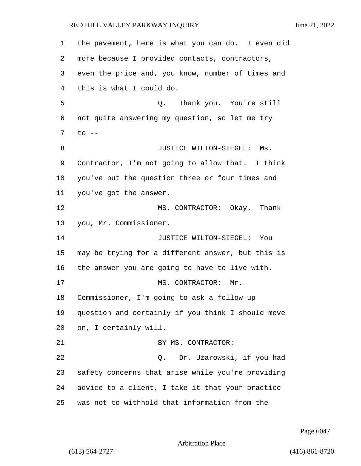the pavement, here is what you can do. I even did more because I provided contacts, contractors, even the price and, you know, number of times and this is what I could do. 5 Q. Thank you. You're still not quite answering my question, so let me try to -- 8 JUSTICE WILTON-SIEGEL: Ms. Contractor, I'm not going to allow that. I think you've put the question three or four times and you've got the answer. 12 MS. CONTRACTOR: Okay. Thank you, Mr. Commissioner. 14 JUSTICE WILTON-SIEGEL: You may be trying for a different answer, but this is the answer you are going to have to live with. 17 MS. CONTRACTOR: Mr. Commissioner, I'm going to ask a follow-up question and certainly if you think I should move on, I certainly will. 21 BY MS. CONTRACTOR: 22 Q. Dr. Uzarowski, if you had safety concerns that arise while you're providing advice to a client, I take it that your practice was not to withhold that information from the

Page 6047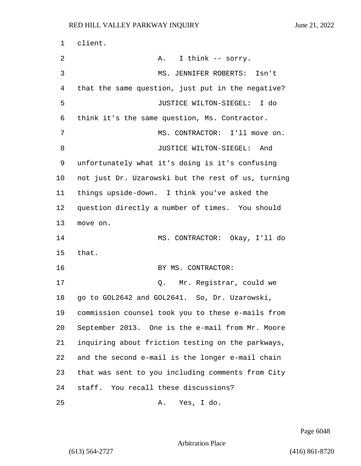1 client. 2 A. I think -- sorry. 3 MS. JENNIFER ROBERTS: Isn't 4 that the same question, just put in the negative? 5 JUSTICE WILTON-SIEGEL: I do 6 think it's the same question, Ms. Contractor. 7 MS. CONTRACTOR: I'll move on. 8 JUSTICE WILTON-SIEGEL: And 9 unfortunately what it's doing is it's confusing 10 not just Dr. Uzarowski but the rest of us, turning 11 things upside-down. I think you've asked the 12 question directly a number of times. You should 13 move on. 14 MS. CONTRACTOR: Okay, I'll do 15 that. 16 BY MS. CONTRACTOR: 17 D. Mr. Registrar, could we 18 go to GOL2642 and GOL2641. So, Dr. Uzarowski, 19 commission counsel took you to these e-mails from 20 September 2013. One is the e-mail from Mr. Moore 21 inquiring about friction testing on the parkways, 22 and the second e-mail is the longer e-mail chain 23 that was sent to you including comments from City 24 staff. You recall these discussions? 25 A. Yes, I do.

Page 6048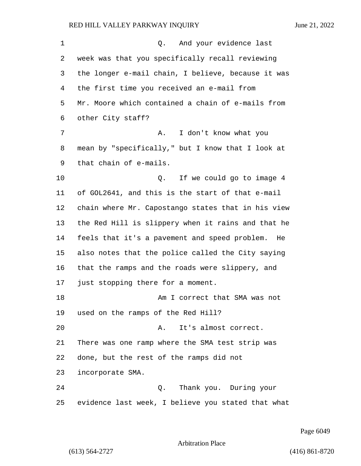1 Q. And your evidence last week was that you specifically recall reviewing the longer e-mail chain, I believe, because it was the first time you received an e-mail from Mr. Moore which contained a chain of e-mails from other City staff? 7 A. I don't know what you mean by "specifically," but I know that I look at that chain of e-mails. **Q.** If we could go to image 4 of GOL2641, and this is the start of that e-mail chain where Mr. Capostango states that in his view the Red Hill is slippery when it rains and that he feels that it's a pavement and speed problem. He also notes that the police called the City saying that the ramps and the roads were slippery, and just stopping there for a moment. 18 Am I correct that SMA was not used on the ramps of the Red Hill? 20 A. It's almost correct. There was one ramp where the SMA test strip was done, but the rest of the ramps did not incorporate SMA. 24 Q. Thank you. During your evidence last week, I believe you stated that what

Page 6049

Arbitration Place

(613) 564-2727 (416) 861-8720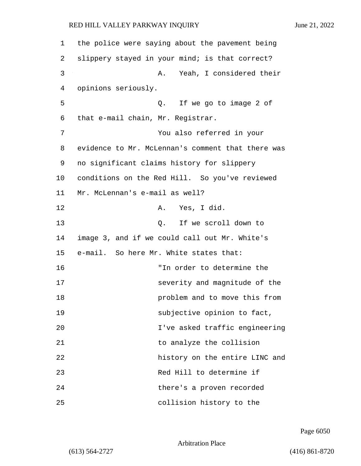1 the police were saying about the pavement being 2 slippery stayed in your mind; is that correct? 3 A. Yeah, I considered their 4 opinions seriously. 5 Q. If we go to image 2 of 6 that e-mail chain, Mr. Registrar. 7 You also referred in your 8 evidence to Mr. McLennan's comment that there was 9 no significant claims history for slippery 10 conditions on the Red Hill. So you've reviewed 11 Mr. McLennan's e-mail as well? 12 A. Yes, I did. 13 O. If we scroll down to 14 image 3, and if we could call out Mr. White's 15 e-mail. So here Mr. White states that: 16 "In order to determine the 17 severity and magnitude of the 18 problem and to move this from 19 **Subjective opinion to fact,** 20 I've asked traffic engineering 21 to analyze the collision 22 history on the entire LINC and 23 Red Hill to determine if 24 there's a proven recorded 25 collision history to the

Page 6050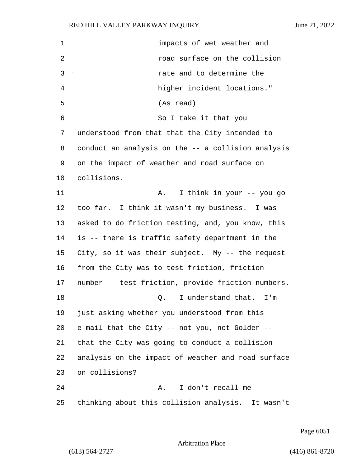| $\mathbf 1$    | impacts of wet weather and                         |
|----------------|----------------------------------------------------|
| $\overline{2}$ | road surface on the collision                      |
| 3              | rate and to determine the                          |
| $\overline{4}$ | higher incident locations."                        |
| 5              | (As read)                                          |
| 6              | So I take it that you                              |
| 7              | understood from that that the City intended to     |
| 8              | conduct an analysis on the -- a collision analysis |
| 9              | on the impact of weather and road surface on       |
| 10             | collisions.                                        |
| 11             | A. I think in your -- you go                       |
| 12             | too far. I think it wasn't my business. I was      |
| 13             | asked to do friction testing, and, you know, this  |
| 14             | is -- there is traffic safety department in the    |
| 15             | City, so it was their subject. My -- the request   |
| 16             | from the City was to test friction, friction       |
| 17             | number -- test friction, provide friction numbers. |
| 18             | I understand that.<br>$I'$ m<br>Q.                 |
| 19             | just asking whether you understood from this       |
| 20             | e-mail that the City -- not you, not Golder --     |
| 21             | that the City was going to conduct a collision     |
| 22             | analysis on the impact of weather and road surface |
| 23             | on collisions?                                     |
| 24             | I don't recall me<br>A.,                           |
| 25             | thinking about this collision analysis. It wasn't  |

Page 6051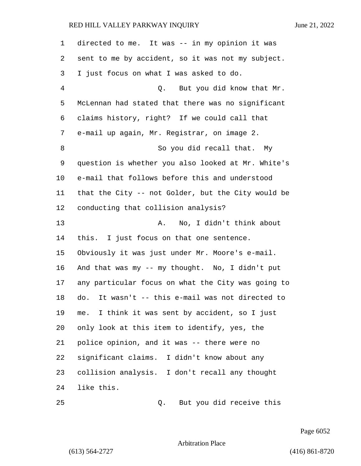| 1  | directed to me. It was -- in my opinion it was      |
|----|-----------------------------------------------------|
| 2  | sent to me by accident, so it was not my subject.   |
| 3  | I just focus on what I was asked to do.             |
| 4  | Q. But you did know that Mr.                        |
| 5  | McLennan had stated that there was no significant   |
| 6  | claims history, right? If we could call that        |
| 7  | e-mail up again, Mr. Registrar, on image 2.         |
| 8  | So you did recall that. My                          |
| 9  | question is whether you also looked at Mr. White's  |
| 10 | e-mail that follows before this and understood      |
| 11 | that the City -- not Golder, but the City would be  |
| 12 | conducting that collision analysis?                 |
| 13 | No, I didn't think about<br>Α.                      |
| 14 | this. I just focus on that one sentence.            |
| 15 | Obviously it was just under Mr. Moore's e-mail.     |
| 16 | And that was my -- my thought. No, I didn't put     |
| 17 | any particular focus on what the City was going to  |
| 18 | It wasn't -- this e-mail was not directed to<br>do. |
| 19 | I think it was sent by accident, so I just<br>me.   |
| 20 | only look at this item to identify, yes, the        |
| 21 | police opinion, and it was -- there were no         |
| 22 | significant claims. I didn't know about any         |
| 23 | collision analysis. I don't recall any thought      |
| 24 | like this.                                          |
| 25 | But you did receive this<br>Q.                      |

Page 6052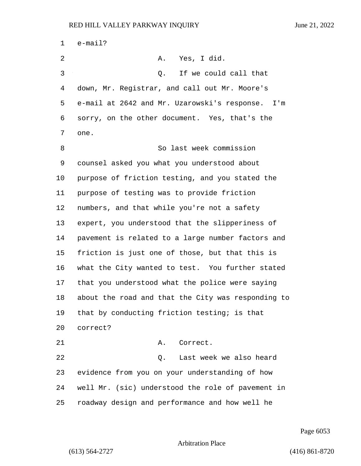| 1  | $e$ -mail?                                         |
|----|----------------------------------------------------|
| 2  | A. Yes, I did.                                     |
| 3  | If we could call that<br>Q.                        |
| 4  | down, Mr. Registrar, and call out Mr. Moore's      |
| 5  | e-mail at 2642 and Mr. Uzarowski's response. I'm   |
| 6  | sorry, on the other document. Yes, that's the      |
| 7  | one.                                               |
| 8  | So last week commission                            |
| 9  | counsel asked you what you understood about        |
| 10 | purpose of friction testing, and you stated the    |
| 11 | purpose of testing was to provide friction         |
| 12 | numbers, and that while you're not a safety        |
| 13 | expert, you understood that the slipperiness of    |
| 14 | pavement is related to a large number factors and  |
| 15 | friction is just one of those, but that this is    |
| 16 | what the City wanted to test. You further stated   |
| 17 | that you understood what the police were saying    |
| 18 | about the road and that the City was responding to |
| 19 | that by conducting friction testing; is that       |
| 20 | correct?                                           |
| 21 | Correct.<br>Α.                                     |
| 22 | Last week we also heard<br>Q.                      |
| 23 | evidence from you on your understanding of how     |
| 24 | well Mr. (sic) understood the role of pavement in  |
| 25 | roadway design and performance and how well he     |

Page 6053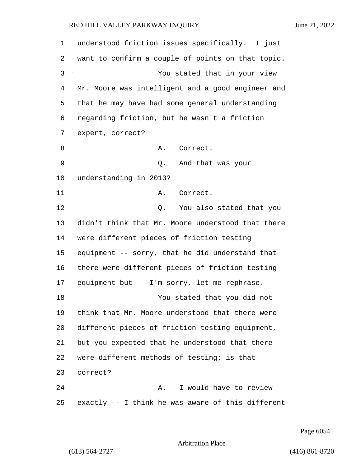understood friction issues specifically. I just want to confirm a couple of points on that topic. 3 You stated that in your view Mr. Moore was intelligent and a good engineer and that he may have had some general understanding regarding friction, but he wasn't a friction expert, correct? 8 A. Correct. 9 Q. And that was your understanding in 2013? 11 A. Correct. 12 C. You also stated that you didn't think that Mr. Moore understood that there were different pieces of friction testing equipment -- sorry, that he did understand that there were different pieces of friction testing equipment but -- I'm sorry, let me rephrase. 18 You stated that you did not think that Mr. Moore understood that there were different pieces of friction testing equipment, but you expected that he understood that there were different methods of testing; is that correct? 24 A. I would have to review exactly -- I think he was aware of this different

Page 6054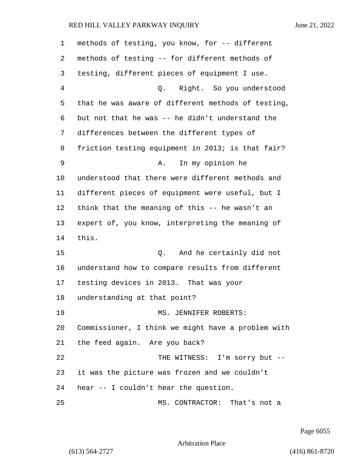| 1  | methods of testing, you know, for -- different     |
|----|----------------------------------------------------|
| 2  | methods of testing -- for different methods of     |
| 3  | testing, different pieces of equipment I use.      |
| 4  | Q. Right. So you understood                        |
| 5  | that he was aware of different methods of testing, |
| 6  | but not that he was -- he didn't understand the    |
| 7  | differences between the different types of         |
| 8  | friction testing equipment in 2013; is that fair?  |
| 9  | In my opinion he<br>Α.                             |
| 10 | understood that there were different methods and   |
| 11 | different pieces of equipment were useful, but I   |
| 12 | think that the meaning of this -- he wasn't an     |
| 13 | expert of, you know, interpreting the meaning of   |
| 14 | this.                                              |
| 15 | And he certainly did not<br>Q.                     |
| 16 | understand how to compare results from different   |
| 17 | testing devices in 2013. That was your             |
| 18 | understanding at that point?                       |
| 19 | MS. JENNIFER ROBERTS:                              |
| 20 | Commissioner, I think we might have a problem with |
| 21 | the feed again. Are you back?                      |
| 22 | THE WITNESS: I'm sorry but --                      |
| 23 | it was the picture was frozen and we couldn't      |
| 24 | hear -- I couldn't hear the question.              |
| 25 | MS. CONTRACTOR: That's not a                       |

Page 6055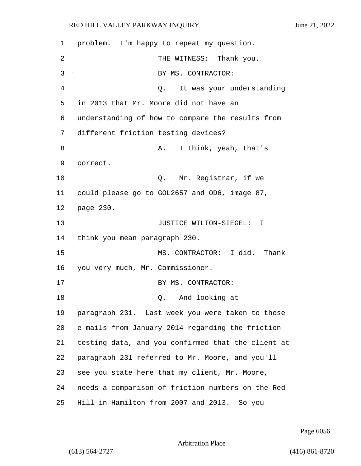| 1              | problem. I'm happy to repeat my question.          |
|----------------|----------------------------------------------------|
| $\overline{2}$ | THE WITNESS: Thank you.                            |
| 3              | BY MS. CONTRACTOR:                                 |
| 4              | It was your understanding<br>Q.                    |
| 5              | in 2013 that Mr. Moore did not have an             |
| 6              | understanding of how to compare the results from   |
| 7              | different friction testing devices?                |
| 8              | I think, yeah, that's<br>Α.                        |
| 9              | correct.                                           |
| 10             | Q. Mr. Registrar, if we                            |
| 11             | could please go to GOL2657 and OD6, image 87,      |
| 12             | page 230.                                          |
| 13             | JUSTICE WILTON-SIEGEL: I                           |
| 14             | think you mean paragraph 230.                      |
| 15             | MS. CONTRACTOR: I did. Thank                       |
| 16             | you very much, Mr. Commissioner.                   |
| 17             | BY MS. CONTRACTOR:                                 |
| 18             | And looking at<br>Q.                               |
| 19             | paragraph 231. Last week you were taken to these   |
| 20             | e-mails from January 2014 regarding the friction   |
| 21             | testing data, and you confirmed that the client at |
| 22             | paragraph 231 referred to Mr. Moore, and you'll    |
| 23             | see you state here that my client, Mr. Moore,      |
| 24             | needs a comparison of friction numbers on the Red  |
| 25             | Hill in Hamilton from 2007 and 2013. So you        |

Page 6056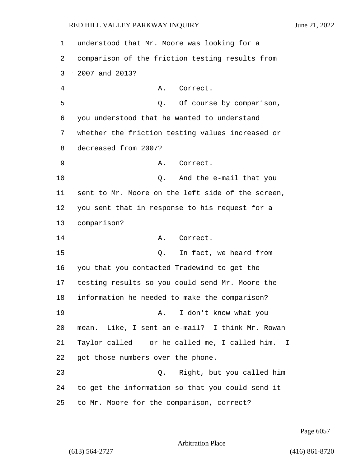understood that Mr. Moore was looking for a comparison of the friction testing results from 2007 and 2013? 4 A. Correct. 5 and 5 Q. Of course by comparison, you understood that he wanted to understand whether the friction testing values increased or decreased from 2007? 9 A. Correct. 10 Q. And the e-mail that you sent to Mr. Moore on the left side of the screen, you sent that in response to his request for a comparison? 14 A. Correct. 15 C. In fact, we heard from you that you contacted Tradewind to get the testing results so you could send Mr. Moore the information he needed to make the comparison? 19 A. I don't know what you mean. Like, I sent an e-mail? I think Mr. Rowan Taylor called -- or he called me, I called him. I got those numbers over the phone. 23 Q. Right, but you called him to get the information so that you could send it to Mr. Moore for the comparison, correct?

Page 6057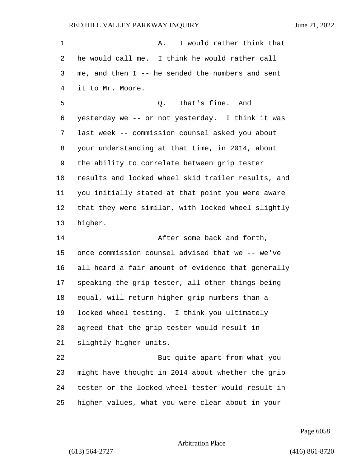| $\mathbf 1$ | I would rather think that<br>Α.                    |
|-------------|----------------------------------------------------|
| 2           | he would call me. I think he would rather call     |
| 3           | me, and then $I$ -- he sended the numbers and sent |
| 4           | it to Mr. Moore.                                   |
| 5           | That's fine. And<br>Q.                             |
| 6           | yesterday we -- or not yesterday. I think it was   |
| 7           | last week -- commission counsel asked you about    |
| 8           | your understanding at that time, in 2014, about    |
| 9           | the ability to correlate between grip tester       |
| 10          | results and locked wheel skid trailer results, and |
| 11          | you initially stated at that point you were aware  |
| 12          | that they were similar, with locked wheel slightly |
| 13          | higher.                                            |
| 14          | After some back and forth,                         |
| 15          | once commission counsel advised that we -- we've   |
| 16          | all heard a fair amount of evidence that generally |
| 17          | speaking the grip tester, all other things being   |
| 18          | equal, will return higher grip numbers than a      |
| 19          | locked wheel testing. I think you ultimately       |
| 20          | agreed that the grip tester would result in        |
| 21          | slightly higher units.                             |
| 22          | But quite apart from what you                      |
| 23          | might have thought in 2014 about whether the grip  |
| 24          | tester or the locked wheel tester would result in  |
| 25          | higher values, what you were clear about in your   |

Page 6058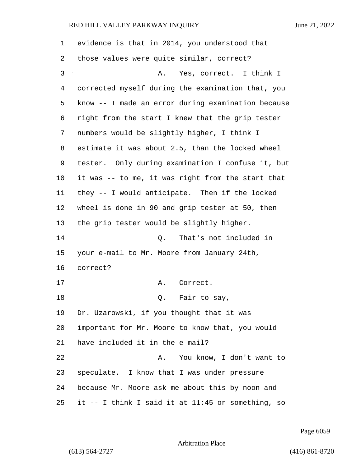| 1  | evidence is that in 2014, you understood that      |
|----|----------------------------------------------------|
| 2  | those values were quite similar, correct?          |
| 3  | Α.<br>Yes, correct. I think I                      |
| 4  | corrected myself during the examination that, you  |
| 5  | know -- I made an error during examination because |
| 6  | right from the start I knew that the grip tester   |
| 7  | numbers would be slightly higher, I think I        |
| 8  | estimate it was about 2.5, than the locked wheel   |
| 9  | tester. Only during examination I confuse it, but  |
| 10 | it was -- to me, it was right from the start that  |
| 11 | they -- I would anticipate. Then if the locked     |
| 12 | wheel is done in 90 and grip tester at 50, then    |
| 13 | the grip tester would be slightly higher.          |
| 14 | Q. That's not included in                          |
| 15 | your e-mail to Mr. Moore from January 24th,        |
| 16 | correct?                                           |
| 17 | Correct.<br>Α.                                     |
| 18 | Q. Fair to say,                                    |
| 19 | Dr. Uzarowski, if you thought that it was          |
| 20 | important for Mr. Moore to know that, you would    |
| 21 | have included it in the e-mail?                    |
| 22 | You know, I don't want to<br>Α.                    |
| 23 | speculate. I know that I was under pressure        |
| 24 | because Mr. Moore ask me about this by noon and    |
| 25 | it -- I think I said it at 11:45 or something, so  |

Page 6059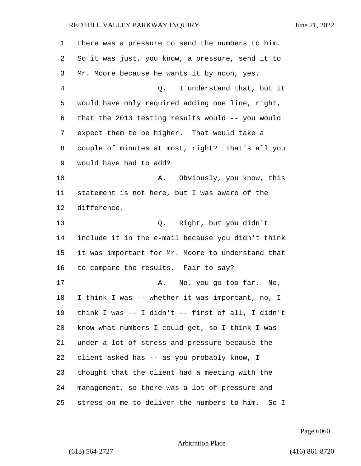| 1  | there was a pressure to send the numbers to him.  |
|----|---------------------------------------------------|
| 2  | So it was just, you know, a pressure, send it to  |
| 3  | Mr. Moore because he wants it by noon, yes.       |
| 4  | I understand that, but it<br>Q.                   |
| 5  | would have only required adding one line, right,  |
| 6  | that the 2013 testing results would -- you would  |
| 7  | expect them to be higher. That would take a       |
| 8  | couple of minutes at most, right? That's all you  |
| 9  | would have had to add?                            |
| 10 | Obviously, you know, this<br>Α.                   |
| 11 | statement is not here, but I was aware of the     |
| 12 | difference.                                       |
| 13 | Q. Right, but you didn't                          |
| 14 | include it in the e-mail because you didn't think |
| 15 | it was important for Mr. Moore to understand that |
| 16 | to compare the results. Fair to say?              |
| 17 | No, you go too far. No,<br>А.                     |
| 18 | I think I was -- whether it was important, no, I  |
| 19 | think I was -- I didn't -- first of all, I didn't |
| 20 | know what numbers I could get, so I think I was   |
| 21 | under a lot of stress and pressure because the    |
| 22 | client asked has -- as you probably know, I       |
| 23 | thought that the client had a meeting with the    |
| 24 | management, so there was a lot of pressure and    |
| 25 | stress on me to deliver the numbers to him. So I  |

Page 6060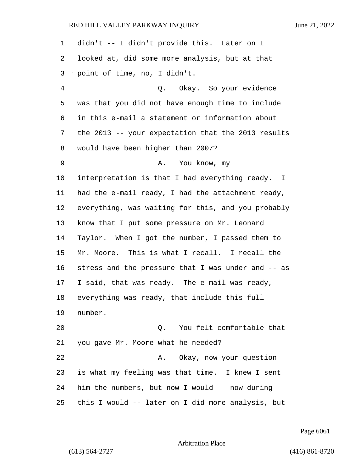| 1  | didn't -- I didn't provide this. Later on I        |
|----|----------------------------------------------------|
| 2  | looked at, did some more analysis, but at that     |
| 3  | point of time, no, I didn't.                       |
| 4  | Q. Okay. So your evidence                          |
| 5  | was that you did not have enough time to include   |
| 6  | in this e-mail a statement or information about    |
| 7  | the 2013 -- your expectation that the 2013 results |
| 8  | would have been higher than 2007?                  |
| 9  | A. You know, my                                    |
| 10 | interpretation is that I had everything ready. I   |
| 11 | had the e-mail ready, I had the attachment ready,  |
| 12 | everything, was waiting for this, and you probably |
| 13 | know that I put some pressure on Mr. Leonard       |
| 14 | Taylor. When I got the number, I passed them to    |
| 15 | Mr. Moore. This is what I recall. I recall the     |
| 16 | stress and the pressure that I was under and -- as |
| 17 | I said, that was ready. The e-mail was ready,      |
| 18 | everything was ready, that include this full       |
| 19 | number.                                            |
| 20 | Q. You felt comfortable that                       |
| 21 | you gave Mr. Moore what he needed?                 |
| 22 | Okay, now your question<br>Α.                      |
| 23 | is what my feeling was that time. I knew I sent    |
| 24 | him the numbers, but now I would -- now during     |
| 25 | this I would -- later on I did more analysis, but  |

Page 6061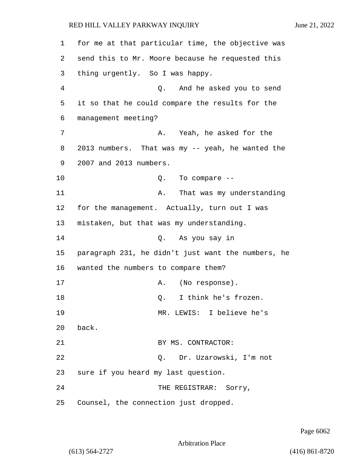1 for me at that particular time, the objective was 2 send this to Mr. Moore because he requested this 3 thing urgently. So I was happy. 4 Q. And he asked you to send 5 it so that he could compare the results for the 6 management meeting? 7 A. Yeah, he asked for the 8 2013 numbers. That was my -- yeah, he wanted the 9 2007 and 2013 numbers. 10 Q. To compare -- 11 A. That was my understanding 12 for the management. Actually, turn out I was 13 mistaken, but that was my understanding. 14 Q. As you say in 15 paragraph 231, he didn't just want the numbers, he 16 wanted the numbers to compare them? 17 A. (No response). 18 O. I think he's frozen. 19 MR. LEWIS: I believe he's 20 back. 21 BY MS. CONTRACTOR: 22 Q. Dr. Uzarowski, I'm not 23 sure if you heard my last question. 24 THE REGISTRAR: Sorry, 25 Counsel, the connection just dropped.

Page 6062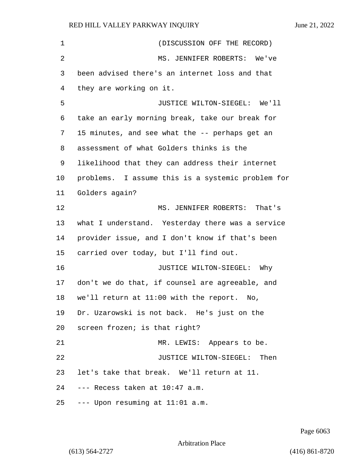| $\mathbf 1$ | (DISCUSSION OFF THE RECORD)                       |
|-------------|---------------------------------------------------|
| 2           | MS. JENNIFER ROBERTS: We've                       |
| 3           | been advised there's an internet loss and that    |
| 4           | they are working on it.                           |
| 5           | JUSTICE WILTON-SIEGEL: We'll                      |
| 6           | take an early morning break, take our break for   |
| 7           | 15 minutes, and see what the -- perhaps get an    |
| 8           | assessment of what Golders thinks is the          |
| 9           | likelihood that they can address their internet   |
| 10          | problems. I assume this is a systemic problem for |
| 11          | Golders again?                                    |
| 12          | MS. JENNIFER ROBERTS: That's                      |
| 13          | what I understand. Yesterday there was a service  |
| 14          | provider issue, and I don't know if that's been   |
| 15          | carried over today, but I'll find out.            |
| 16          | JUSTICE WILTON-SIEGEL: Why                        |
| 17          | don't we do that, if counsel are agreeable, and   |
| 18          | we'll return at 11:00 with the report.<br>No,     |
| 19          | Dr. Uzarowski is not back. He's just on the       |
| 20          | screen frozen; is that right?                     |
| 21          | MR. LEWIS: Appears to be.                         |
| 22          | JUSTICE WILTON-SIEGEL: Then                       |
| 23          | let's take that break. We'll return at 11.        |
| 24          | --- Recess taken at 10:47 a.m.                    |
| 25          | --- Upon resuming at 11:01 a.m.                   |

Page 6063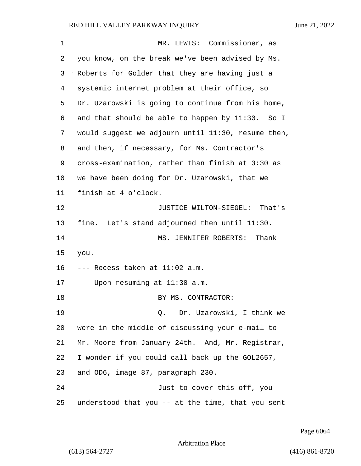| 1  | MR. LEWIS: Commissioner, as                        |
|----|----------------------------------------------------|
| 2  | you know, on the break we've been advised by Ms.   |
| 3  | Roberts for Golder that they are having just a     |
| 4  | systemic internet problem at their office, so      |
| 5  | Dr. Uzarowski is going to continue from his home,  |
| 6  | and that should be able to happen by 11:30. So I   |
| 7  | would suggest we adjourn until 11:30, resume then, |
| 8  | and then, if necessary, for Ms. Contractor's       |
| 9  | cross-examination, rather than finish at 3:30 as   |
| 10 | we have been doing for Dr. Uzarowski, that we      |
| 11 | finish at 4 o'clock.                               |
| 12 | JUSTICE WILTON-SIEGEL: That's                      |
| 13 | fine. Let's stand adjourned then until 11:30.      |
| 14 | MS. JENNIFER ROBERTS: Thank                        |
| 15 | you.                                               |
| 16 | --- Recess taken at 11:02 a.m.                     |
| 17 | $---$ Upon resuming at $11:30$ a.m.                |
| 18 | BY MS. CONTRACTOR:                                 |
| 19 | Dr. Uzarowski, I think we<br>Q.                    |
| 20 | were in the middle of discussing your e-mail to    |
| 21 | Mr. Moore from January 24th. And, Mr. Registrar,   |
| 22 | I wonder if you could call back up the GOL2657,    |
| 23 | and OD6, image 87, paragraph 230.                  |
| 24 | Just to cover this off, you                        |
| 25 | understood that you -- at the time, that you sent  |

Page 6064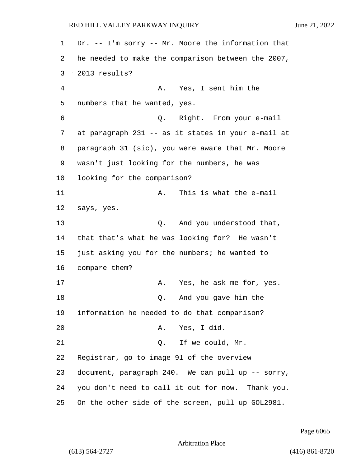Dr. -- I'm sorry -- Mr. Moore the information that he needed to make the comparison between the 2007, 2013 results? 4 A. Yes, I sent him the numbers that he wanted, yes. 6 Q. Right. From your e-mail at paragraph 231 -- as it states in your e-mail at paragraph 31 (sic), you were aware that Mr. Moore wasn't just looking for the numbers, he was looking for the comparison? 11 A. This is what the e-mail says, yes. 13 Q. And you understood that, that that's what he was looking for? He wasn't just asking you for the numbers; he wanted to compare them? 17 A. Yes, he ask me for, yes. 18 and you gave him the information he needed to do that comparison? 20 A. Yes, I did. 21 O. If we could, Mr. Registrar, go to image 91 of the overview document, paragraph 240. We can pull up -- sorry, you don't need to call it out for now. Thank you. On the other side of the screen, pull up GOL2981.

Page 6065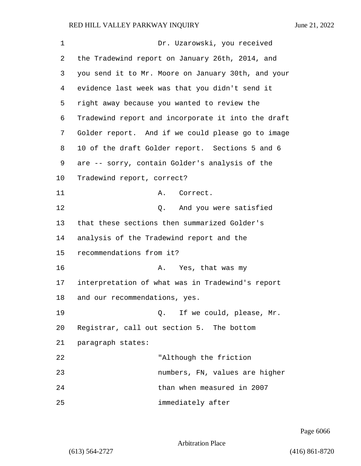| 1  | Dr. Uzarowski, you received                        |
|----|----------------------------------------------------|
| 2  | the Tradewind report on January 26th, 2014, and    |
| 3  | you send it to Mr. Moore on January 30th, and your |
| 4  | evidence last week was that you didn't send it     |
| 5  | right away because you wanted to review the        |
| 6  | Tradewind report and incorporate it into the draft |
| 7  | Golder report. And if we could please go to image  |
| 8  | 10 of the draft Golder report. Sections 5 and 6    |
| 9  | are -- sorry, contain Golder's analysis of the     |
| 10 | Tradewind report, correct?                         |
| 11 | Correct.<br>Α.                                     |
| 12 | Q. And you were satisfied                          |
| 13 | that these sections then summarized Golder's       |
| 14 | analysis of the Tradewind report and the           |
| 15 | recommendations from it?                           |
| 16 | Yes, that was my<br>Α.                             |
| 17 | interpretation of what was in Tradewind's report   |
| 18 | and our recommendations, yes.                      |
| 19 | Q. If we could, please, Mr.                        |
| 20 | Registrar, call out section 5. The bottom          |
| 21 | paragraph states:                                  |
| 22 | "Although the friction                             |
| 23 | numbers, FN, values are higher                     |
| 24 | than when measured in 2007                         |
| 25 | immediately after                                  |

Page 6066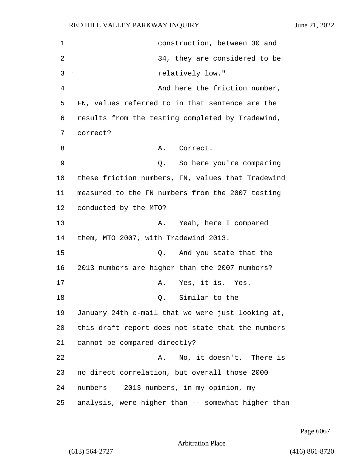| $\mathbf 1$ | construction, between 30 and                       |
|-------------|----------------------------------------------------|
| 2           | 34, they are considered to be                      |
| 3           | relatively low."                                   |
| 4           | And here the friction number,                      |
| 5           | FN, values referred to in that sentence are the    |
| 6           | results from the testing completed by Tradewind,   |
| 7           | correct?                                           |
| 8           | Correct.<br>Α.                                     |
| 9           | So here you're comparing<br>Q.                     |
| 10          | these friction numbers, FN, values that Tradewind  |
| 11          | measured to the FN numbers from the 2007 testing   |
| 12          | conducted by the MTO?                              |
| 13          | Yeah, here I compared<br>Α.                        |
| 14          | them, MTO 2007, with Tradewind 2013.               |
| 15          | And you state that the<br>Q.                       |
| 16          | 2013 numbers are higher than the 2007 numbers?     |
| 17          | Yes, it is. Yes.<br>Α.                             |
| 18          | Similar to the<br>Q.                               |
| 19          | January 24th e-mail that we were just looking at,  |
| 20          | this draft report does not state that the numbers  |
| 21          | cannot be compared directly?                       |
| 22          | No, it doesn't. There is<br>A.                     |
| 23          | no direct correlation, but overall those 2000      |
| 24          | numbers -- 2013 numbers, in my opinion, my         |
| 25          | analysis, were higher than -- somewhat higher than |

Page 6067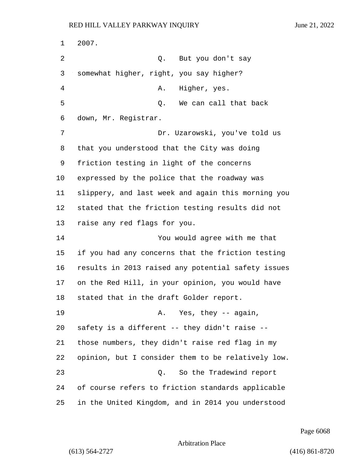2007. 2 Q. But you don't say somewhat higher, right, you say higher? 4 A. Higher, yes. 5 Q. We can call that back down, Mr. Registrar. 7 Dr. Uzarowski, you've told us that you understood that the City was doing friction testing in light of the concerns expressed by the police that the roadway was slippery, and last week and again this morning you stated that the friction testing results did not raise any red flags for you. 14 You would agree with me that if you had any concerns that the friction testing results in 2013 raised any potential safety issues on the Red Hill, in your opinion, you would have stated that in the draft Golder report. 19 A. Yes, they -- again, safety is a different -- they didn't raise -- those numbers, they didn't raise red flag in my opinion, but I consider them to be relatively low. 23 Q. So the Tradewind report of course refers to friction standards applicable in the United Kingdom, and in 2014 you understood

Page 6068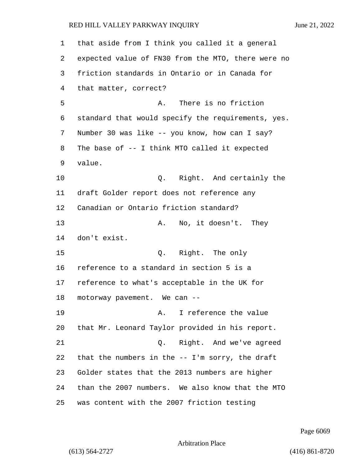that aside from I think you called it a general expected value of FN30 from the MTO, there were no friction standards in Ontario or in Canada for that matter, correct? 5 A. There is no friction standard that would specify the requirements, yes. Number 30 was like -- you know, how can I say? The base of -- I think MTO called it expected value. 10 Q. Right. And certainly the draft Golder report does not reference any Canadian or Ontario friction standard? 13 A. No, it doesn't. They don't exist. 15 Q. Right. The only reference to a standard in section 5 is a reference to what's acceptable in the UK for motorway pavement. We can -- 19 The Communication A. I reference the value that Mr. Leonard Taylor provided in his report. 21 Q. Right. And we've agreed that the numbers in the -- I'm sorry, the draft Golder states that the 2013 numbers are higher than the 2007 numbers. We also know that the MTO was content with the 2007 friction testing

Page 6069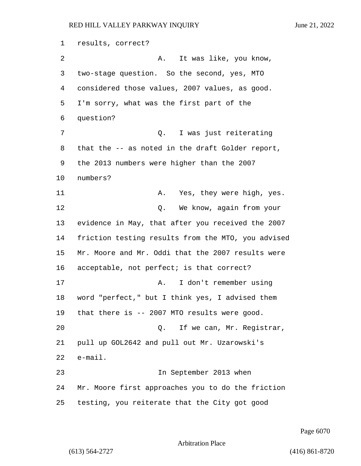results, correct? 2 A. It was like, you know, two-stage question. So the second, yes, MTO considered those values, 2007 values, as good. I'm sorry, what was the first part of the question? 7 Q. I was just reiterating that the -- as noted in the draft Golder report, the 2013 numbers were higher than the 2007 numbers? 11 A. Yes, they were high, yes. **C.** We know, again from your evidence in May, that after you received the 2007 friction testing results from the MTO, you advised Mr. Moore and Mr. Oddi that the 2007 results were acceptable, not perfect; is that correct? 17 A. I don't remember using word "perfect," but I think yes, I advised them that there is -- 2007 MTO results were good. 20 Q. If we can, Mr. Registrar, pull up GOL2642 and pull out Mr. Uzarowski's e-mail. 23 In September 2013 when Mr. Moore first approaches you to do the friction testing, you reiterate that the City got good

Page 6070

```
Arbitration Place
```
(613) 564-2727 (416) 861-8720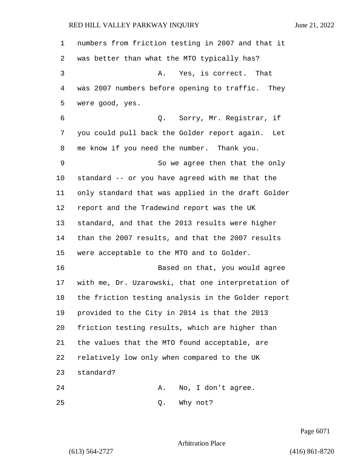numbers from friction testing in 2007 and that it was better than what the MTO typically has? 3 A. Yes, is correct. That was 2007 numbers before opening to traffic. They were good, yes. 6 Q. Sorry, Mr. Registrar, if you could pull back the Golder report again. Let me know if you need the number. Thank you. 9 So we agree then that the only standard -- or you have agreed with me that the only standard that was applied in the draft Golder report and the Tradewind report was the UK standard, and that the 2013 results were higher than the 2007 results, and that the 2007 results were acceptable to the MTO and to Golder. 16 Based on that, you would agree with me, Dr. Uzarowski, that one interpretation of the friction testing analysis in the Golder report provided to the City in 2014 is that the 2013 friction testing results, which are higher than the values that the MTO found acceptable, are relatively low only when compared to the UK standard? 24 A. No, I don't agree.

25 Q. Why not?

Page 6071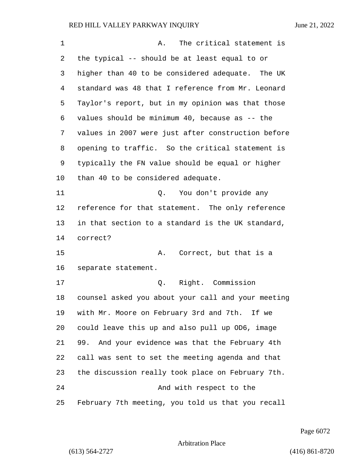| 1  | The critical statement is<br>Α.                    |
|----|----------------------------------------------------|
| 2  | the typical -- should be at least equal to or      |
| 3  | higher than 40 to be considered adequate. The UK   |
| 4  | standard was 48 that I reference from Mr. Leonard  |
| 5  | Taylor's report, but in my opinion was that those  |
| 6  | values should be minimum $40$ , because as $-$ the |
| 7  | values in 2007 were just after construction before |
| 8  | opening to traffic. So the critical statement is   |
| 9  | typically the FN value should be equal or higher   |
| 10 | than 40 to be considered adequate.                 |
| 11 | You don't provide any<br>Q.                        |
| 12 | reference for that statement. The only reference   |
| 13 | in that section to a standard is the UK standard,  |
| 14 | correct?                                           |
| 15 | Correct, but that is a<br>А.                       |
| 16 | separate statement.                                |
| 17 | Right. Commission<br>Q.                            |
| 18 | counsel asked you about your call and your meeting |
| 19 | with Mr. Moore on February 3rd and 7th. If we      |
| 20 | could leave this up and also pull up OD6, image    |
| 21 | 99. And your evidence was that the February 4th    |
| 22 | call was sent to set the meeting agenda and that   |
| 23 | the discussion really took place on February 7th.  |
| 24 | And with respect to the                            |
| 25 | February 7th meeting, you told us that you recall  |

Page 6072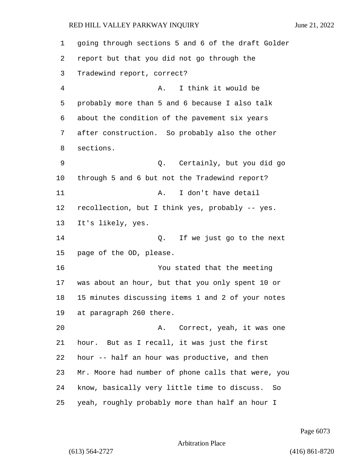going through sections 5 and 6 of the draft Golder report but that you did not go through the Tradewind report, correct? 4 A. I think it would be probably more than 5 and 6 because I also talk about the condition of the pavement six years after construction. So probably also the other sections. 9 Q. Certainly, but you did go through 5 and 6 but not the Tradewind report? 11 A. I don't have detail recollection, but I think yes, probably -- yes. It's likely, yes. 14 Q. If we just go to the next page of the OD, please. 16 You stated that the meeting was about an hour, but that you only spent 10 or 15 minutes discussing items 1 and 2 of your notes at paragraph 260 there. 20 A. Correct, yeah, it was one hour. But as I recall, it was just the first hour -- half an hour was productive, and then Mr. Moore had number of phone calls that were, you know, basically very little time to discuss. So yeah, roughly probably more than half an hour I

Page 6073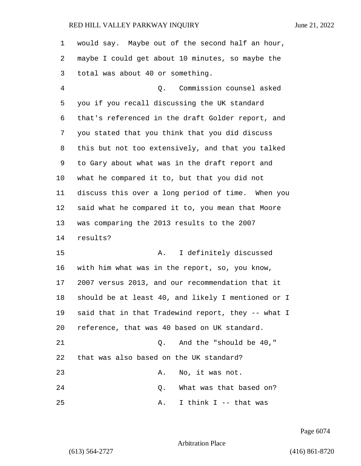| 1  | would say. Maybe out of the second half an hour,   |
|----|----------------------------------------------------|
| 2  | maybe I could get about 10 minutes, so maybe the   |
| 3  | total was about 40 or something.                   |
| 4  | Q. Commission counsel asked                        |
| 5  | you if you recall discussing the UK standard       |
| 6  | that's referenced in the draft Golder report, and  |
| 7  | you stated that you think that you did discuss     |
| 8  | this but not too extensively, and that you talked  |
| 9  | to Gary about what was in the draft report and     |
| 10 | what he compared it to, but that you did not       |
| 11 | discuss this over a long period of time. When you  |
| 12 | said what he compared it to, you mean that Moore   |
| 13 | was comparing the 2013 results to the 2007         |
| 14 | results?                                           |
| 15 | I definitely discussed<br>Α.                       |
| 16 | with him what was in the report, so, you know,     |
| 17 | 2007 versus 2013, and our recommendation that it   |
| 18 | should be at least 40, and likely I mentioned or I |
| 19 | said that in that Tradewind report, they -- what I |
| 20 | reference, that was 40 based on UK standard.       |
| 21 | And the "should be 40,"<br>Q.                      |
| 22 | that was also based on the UK standard?            |
| 23 | No, it was not.<br>Α.                              |
| 24 | What was that based on?<br>Q.                      |
| 25 | I think I -- that was<br>Α.                        |

Page 6074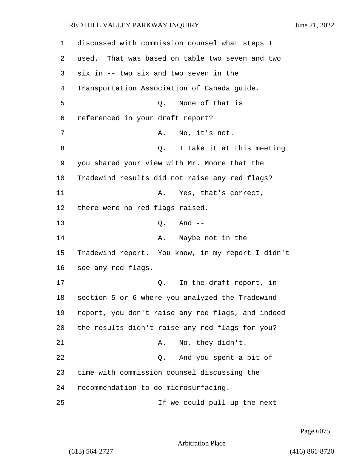1 discussed with commission counsel what steps I 2 used. That was based on table two seven and two 3 six in -- two six and two seven in the 4 Transportation Association of Canada guide. 5 Q. None of that is 6 referenced in your draft report? 7 A. No, it's not. 8 Q. I take it at this meeting 9 you shared your view with Mr. Moore that the 10 Tradewind results did not raise any red flags? 11 A. Yes, that's correct, 12 there were no red flags raised. 13 Q. And -- 14 A. Maybe not in the 15 Tradewind report. You know, in my report I didn't 16 see any red flags. 17 and 17 Q. In the draft report, in 18 section 5 or 6 where you analyzed the Tradewind 19 report, you don't raise any red flags, and indeed 20 the results didn't raise any red flags for you? 21 A. No, they didn't. 22 Q. And you spent a bit of 23 time with commission counsel discussing the 24 recommendation to do microsurfacing. 25 If we could pull up the next

Page 6075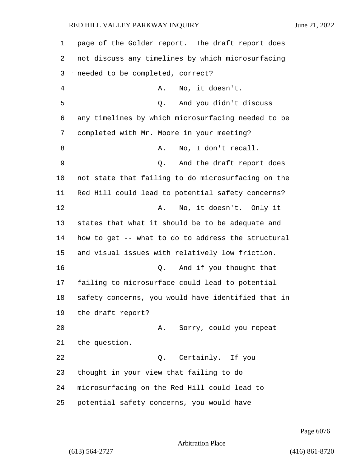page of the Golder report. The draft report does not discuss any timelines by which microsurfacing needed to be completed, correct? 4 A. No, it doesn't. 5 Q. And you didn't discuss any timelines by which microsurfacing needed to be completed with Mr. Moore in your meeting? 8 A. No, I don't recall. 9 Q. And the draft report does not state that failing to do microsurfacing on the Red Hill could lead to potential safety concerns? **A.** No, it doesn't. Only it states that what it should be to be adequate and how to get -- what to do to address the structural and visual issues with relatively low friction. 16 Q. And if you thought that failing to microsurface could lead to potential safety concerns, you would have identified that in the draft report? 20 A. Sorry, could you repeat the question. 22 Q. Certainly. If you thought in your view that failing to do microsurfacing on the Red Hill could lead to potential safety concerns, you would have

Page 6076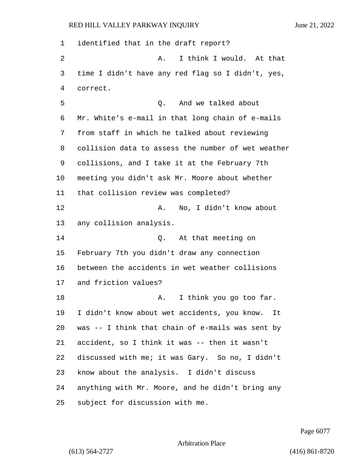identified that in the draft report? 2 A. I think I would. At that time I didn't have any red flag so I didn't, yes, correct. 5 Q. And we talked about Mr. White's e-mail in that long chain of e-mails from staff in which he talked about reviewing collision data to assess the number of wet weather collisions, and I take it at the February 7th meeting you didn't ask Mr. Moore about whether that collision review was completed? 12 A. No, I didn't know about any collision analysis. 14 C. At that meeting on February 7th you didn't draw any connection between the accidents in wet weather collisions and friction values? 18 A. I think you go too far. I didn't know about wet accidents, you know. It was -- I think that chain of e-mails was sent by accident, so I think it was -- then it wasn't discussed with me; it was Gary. So no, I didn't know about the analysis. I didn't discuss anything with Mr. Moore, and he didn't bring any subject for discussion with me.

Page 6077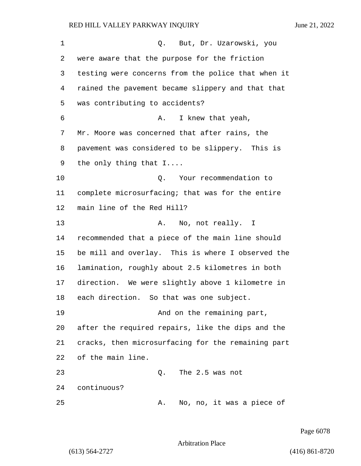1 Q. But, Dr. Uzarowski, you were aware that the purpose for the friction testing were concerns from the police that when it rained the pavement became slippery and that that was contributing to accidents? 6 A. I knew that yeah, Mr. Moore was concerned that after rains, the pavement was considered to be slippery. This is the only thing that I.... 10 Q. Your recommendation to complete microsurfacing; that was for the entire main line of the Red Hill? 13 A. No, not really. I recommended that a piece of the main line should be mill and overlay. This is where I observed the lamination, roughly about 2.5 kilometres in both direction. We were slightly above 1 kilometre in each direction. So that was one subject. 19 And on the remaining part, after the required repairs, like the dips and the cracks, then microsurfacing for the remaining part of the main line. 23 Q. The 2.5 was not continuous? 25 A. No, no, it was a piece of

Page 6078

Arbitration Place

(613) 564-2727 (416) 861-8720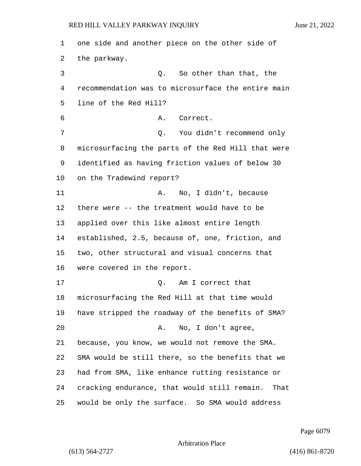one side and another piece on the other side of the parkway. 3 Q. So other than that, the recommendation was to microsurface the entire main line of the Red Hill? 6 A. Correct. 7 Q. You didn't recommend only microsurfacing the parts of the Red Hill that were identified as having friction values of below 30 on the Tradewind report? 11 A. No, I didn't, because there were -- the treatment would have to be applied over this like almost entire length established, 2.5, because of, one, friction, and two, other structural and visual concerns that were covered in the report. 17 and 17 Q. Am I correct that microsurfacing the Red Hill at that time would have stripped the roadway of the benefits of SMA? 20 A. No, I don't agree, because, you know, we would not remove the SMA. SMA would be still there, so the benefits that we had from SMA, like enhance rutting resistance or cracking endurance, that would still remain. That would be only the surface. So SMA would address

Page 6079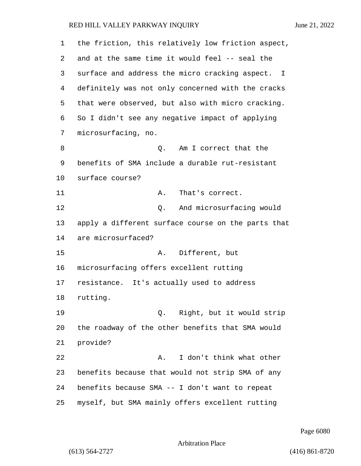| 1  | the friction, this relatively low friction aspect, |
|----|----------------------------------------------------|
| 2  | and at the same time it would feel -- seal the     |
| 3  | surface and address the micro cracking aspect. I   |
| 4  | definitely was not only concerned with the cracks  |
| 5  | that were observed, but also with micro cracking.  |
| 6  | So I didn't see any negative impact of applying    |
| 7  | microsurfacing, no.                                |
| 8  | Am I correct that the<br>Q.                        |
| 9  | benefits of SMA include a durable rut-resistant    |
| 10 | surface course?                                    |
| 11 | That's correct.<br>Α.                              |
| 12 | And microsurfacing would<br>Q.                     |
| 13 | apply a different surface course on the parts that |
| 14 | are microsurfaced?                                 |
| 15 | Different, but<br>Α.                               |
| 16 | microsurfacing offers excellent rutting            |
| 17 | resistance. It's actually used to address          |
| 18 | rutting.                                           |
| 19 | Right, but it would strip<br>Q.                    |
| 20 | the roadway of the other benefits that SMA would   |
| 21 | provide?                                           |
| 22 | I don't think what other<br>Α.                     |
| 23 | benefits because that would not strip SMA of any   |
| 24 | benefits because SMA -- I don't want to repeat     |
| 25 | myself, but SMA mainly offers excellent rutting    |

Page 6080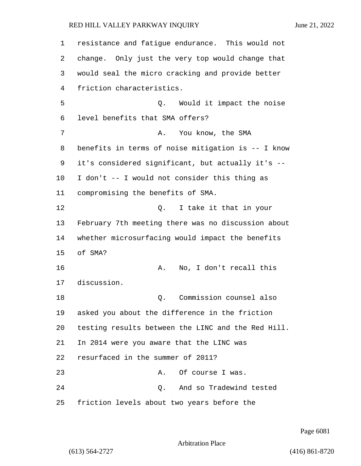| $\mathbf 1$ | resistance and fatigue endurance. This would not   |
|-------------|----------------------------------------------------|
| 2           | change. Only just the very top would change that   |
| 3           | would seal the micro cracking and provide better   |
| 4           | friction characteristics.                          |
| 5           | Would it impact the noise<br>Q.                    |
| 6           | level benefits that SMA offers?                    |
| 7           | You know, the SMA<br>Α.                            |
| 8           | benefits in terms of noise mitigation is -- I know |
| 9           | it's considered significant, but actually it's --  |
| 10          | I don't -- I would not consider this thing as      |
| 11          | compromising the benefits of SMA.                  |
| 12          | I take it that in your<br>Q.                       |
| 13          | February 7th meeting there was no discussion about |
| 14          | whether microsurfacing would impact the benefits   |
| 15          | of SMA?                                            |
| 16          | No, I don't recall this<br>Α.                      |
| 17          | discussion.                                        |
| 18          | Commission counsel also<br>Q.                      |
| 19          | asked you about the difference in the friction     |
| 20          | testing results between the LINC and the Red Hill. |
| 21          | In 2014 were you aware that the LINC was           |
| 22          | resurfaced in the summer of 2011?                  |
| 23          | Of course I was.<br>Α.                             |
| 24          | And so Tradewind tested<br>Q.                      |
| 25          | friction levels about two years before the         |

Page 6081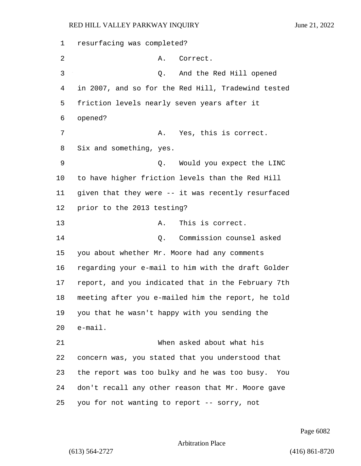resurfacing was completed? 2 A. Correct. 3 Q. And the Red Hill opened in 2007, and so for the Red Hill, Tradewind tested friction levels nearly seven years after it opened? 7 A. Yes, this is correct. Six and something, yes. 9 Q. Would you expect the LINC to have higher friction levels than the Red Hill given that they were -- it was recently resurfaced prior to the 2013 testing? 13 A. This is correct. 14 Q. Commission counsel asked you about whether Mr. Moore had any comments regarding your e-mail to him with the draft Golder report, and you indicated that in the February 7th meeting after you e-mailed him the report, he told you that he wasn't happy with you sending the e-mail. 21 When asked about what his concern was, you stated that you understood that the report was too bulky and he was too busy. You don't recall any other reason that Mr. Moore gave you for not wanting to report -- sorry, not

Page 6082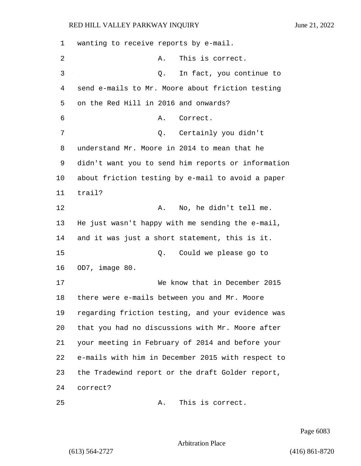wanting to receive reports by e-mail. 2 A. This is correct. 3 Q. In fact, you continue to send e-mails to Mr. Moore about friction testing on the Red Hill in 2016 and onwards? 6 A. Correct. 7 Q. Certainly you didn't understand Mr. Moore in 2014 to mean that he didn't want you to send him reports or information about friction testing by e-mail to avoid a paper 11 trail? 12 A. No, he didn't tell me. He just wasn't happy with me sending the e-mail, and it was just a short statement, this is it. 15 Q. Could we please go to OD7, image 80. 17 We know that in December 2015 there were e-mails between you and Mr. Moore regarding friction testing, and your evidence was that you had no discussions with Mr. Moore after your meeting in February of 2014 and before your e-mails with him in December 2015 with respect to the Tradewind report or the draft Golder report, 24 correct?

Page 6083

Arbitration Place

25 A. This is correct.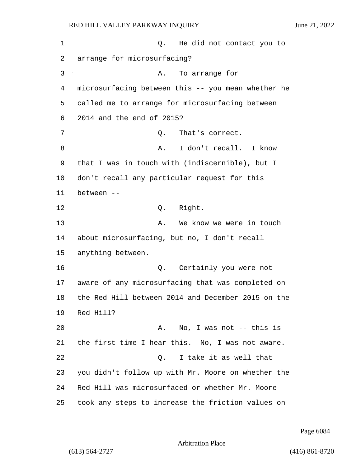2 arrange for microsurfacing?

1 and 1 Q. He did not contact you to

3 A. To arrange for microsurfacing between this -- you mean whether he called me to arrange for microsurfacing between 2014 and the end of 2015? 7 C. That's correct. 8 A. I don't recall. I know that I was in touch with (indiscernible), but I don't recall any particular request for this between -- 12 O. Right. 13 A. We know we were in touch about microsurfacing, but no, I don't recall anything between. 16 Q. Certainly you were not aware of any microsurfacing that was completed on the Red Hill between 2014 and December 2015 on the Red Hill? 20 A. No, I was not -- this is the first time I hear this. No, I was not aware. 22 Q. I take it as well that you didn't follow up with Mr. Moore on whether the Red Hill was microsurfaced or whether Mr. Moore took any steps to increase the friction values on

Page 6084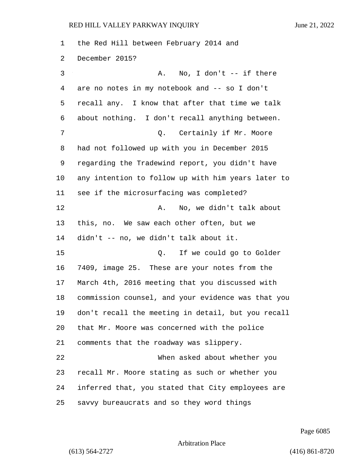| $\mathbf 1$ | the Red Hill between February 2014 and             |
|-------------|----------------------------------------------------|
| 2           | December 2015?                                     |
| 3           | No, I don't -- if there<br>Α.                      |
| 4           | are no notes in my notebook and -- so I don't      |
| 5           | recall any. I know that after that time we talk    |
| 6           | about nothing. I don't recall anything between.    |
| 7           | Certainly if Mr. Moore<br>Q.                       |
| 8           | had not followed up with you in December 2015      |
| 9           | regarding the Tradewind report, you didn't have    |
| 10          | any intention to follow up with him years later to |
| 11          | see if the microsurfacing was completed?           |
| 12          | No, we didn't talk about<br>Α.                     |
| 13          | this, no. We saw each other often, but we          |
| 14          | didn't -- no, we didn't talk about it.             |
| 15          | If we could go to Golder<br>Q.                     |
| 16          | 7409, image 25. These are your notes from the      |
| 17          | March 4th, 2016 meeting that you discussed with    |
| 18          | commission counsel, and your evidence was that you |
| 19          | don't recall the meeting in detail, but you recall |
| 20          | that Mr. Moore was concerned with the police       |
| 21          | comments that the roadway was slippery.            |
| 22          | When asked about whether you                       |
| 23          | recall Mr. Moore stating as such or whether you    |
| 24          | inferred that, you stated that City employees are  |
| 25          | savvy bureaucrats and so they word things          |

Page 6085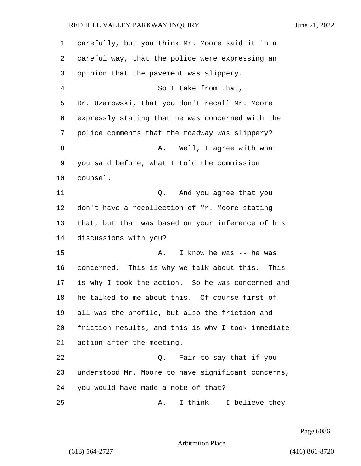| 1       | carefully, but you think Mr. Moore said it in a    |
|---------|----------------------------------------------------|
| 2       | careful way, that the police were expressing an    |
| 3       | opinion that the pavement was slippery.            |
| 4       | So I take from that,                               |
| 5       | Dr. Uzarowski, that you don't recall Mr. Moore     |
| 6       | expressly stating that he was concerned with the   |
| 7       | police comments that the roadway was slippery?     |
| 8       | Well, I agree with what<br>Α.                      |
| 9       | you said before, what I told the commission        |
| $10 \,$ | counsel.                                           |
| 11      | And you agree that you<br>Q.                       |
| 12      | don't have a recollection of Mr. Moore stating     |
| 13      | that, but that was based on your inference of his  |
| 14      | discussions with you?                              |
| 15      | I know he was -- he was<br>Α.                      |
| 16      | concerned. This is why we talk about this.<br>This |
| 17      | is why I took the action. So he was concerned and  |
| 18      | he talked to me about this. Of course first of     |
| 19      | all was the profile, but also the friction and     |
| 20      | friction results, and this is why I took immediate |
| 21      | action after the meeting.                          |
| 22      | Fair to say that if you<br>Q.                      |
| 23      | understood Mr. Moore to have significant concerns, |
| 24      | you would have made a note of that?                |
| 25      | I think -- I believe they<br>Α.                    |

Page 6086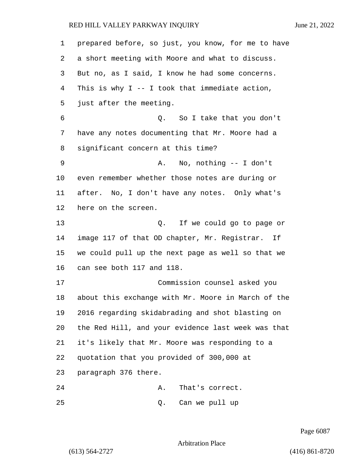| 1  | prepared before, so just, you know, for me to have |
|----|----------------------------------------------------|
| 2  | a short meeting with Moore and what to discuss.    |
| 3  | But no, as I said, I know he had some concerns.    |
| 4  | This is why $I - - I$ took that immediate action,  |
| 5  | just after the meeting.                            |
| 6  | Q. So I take that you don't                        |
| 7  | have any notes documenting that Mr. Moore had a    |
| 8  | significant concern at this time?                  |
| 9  | No, nothing -- I don't<br>Α.                       |
| 10 | even remember whether those notes are during or    |
| 11 | after. No, I don't have any notes. Only what's     |
| 12 | here on the screen.                                |
| 13 | If we could go to page or<br>Q.                    |
| 14 | image 117 of that OD chapter, Mr. Registrar. If    |
| 15 | we could pull up the next page as well so that we  |
| 16 | can see both 117 and 118.                          |
| 17 | Commission counsel asked you                       |
| 18 | about this exchange with Mr. Moore in March of the |
| 19 | 2016 regarding skidabrading and shot blasting on   |
| 20 | the Red Hill, and your evidence last week was that |
| 21 | it's likely that Mr. Moore was responding to a     |
| 22 | quotation that you provided of 300,000 at          |
| 23 | paragraph 376 there.                               |
| 24 | That's correct.<br>Α.                              |
| 25 | Can we pull up<br>Q.                               |

Page 6087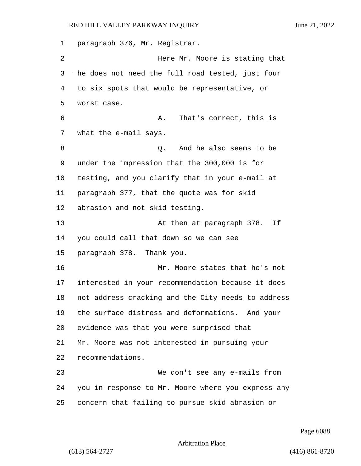paragraph 376, Mr. Registrar. **Here Mr. Moore is stating that**  he does not need the full road tested, just four to six spots that would be representative, or worst case. 6 A. That's correct, this is what the e-mail says. 8 and he also seems to be under the impression that the 300,000 is for testing, and you clarify that in your e-mail at paragraph 377, that the quote was for skid abrasion and not skid testing. 13 At then at paragraph 378. If you could call that down so we can see paragraph 378. Thank you. 16 Mr. Moore states that he's not interested in your recommendation because it does not address cracking and the City needs to address the surface distress and deformations. And your evidence was that you were surprised that Mr. Moore was not interested in pursuing your recommendations. 23 We don't see any e-mails from you in response to Mr. Moore where you express any concern that failing to pursue skid abrasion or

Page 6088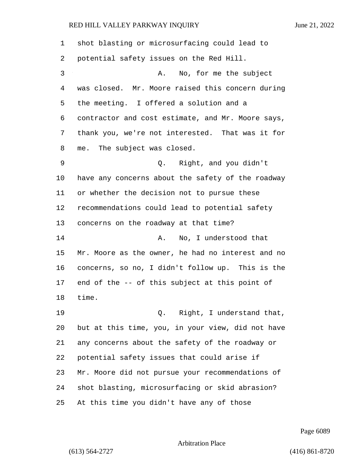| 1  | shot blasting or microsurfacing could lead to     |
|----|---------------------------------------------------|
| 2  | potential safety issues on the Red Hill.          |
| 3  | No, for me the subject<br>Α.                      |
| 4  | was closed. Mr. Moore raised this concern during  |
| 5  | the meeting. I offered a solution and a           |
| 6  | contractor and cost estimate, and Mr. Moore says, |
| 7  | thank you, we're not interested. That was it for  |
| 8  | me. The subject was closed.                       |
| 9  | Q. Right, and you didn't                          |
| 10 | have any concerns about the safety of the roadway |
| 11 | or whether the decision not to pursue these       |
| 12 | recommendations could lead to potential safety    |
| 13 | concerns on the roadway at that time?             |
| 14 | No, I understood that<br>Α.                       |
| 15 | Mr. Moore as the owner, he had no interest and no |
| 16 | concerns, so no, I didn't follow up. This is the  |
| 17 | end of the -- of this subject at this point of    |
| 18 | time.                                             |
| 19 | Q. Right, I understand that,                      |
| 20 | but at this time, you, in your view, did not have |
| 21 | any concerns about the safety of the roadway or   |
| 22 | potential safety issues that could arise if       |
| 23 | Mr. Moore did not pursue your recommendations of  |
| 24 | shot blasting, microsurfacing or skid abrasion?   |
| 25 | At this time you didn't have any of those         |

Page 6089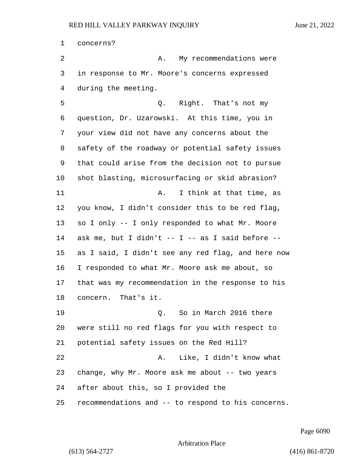concerns? 2 A. My recommendations were in response to Mr. Moore's concerns expressed during the meeting. 5 Q. Right. That's not my question, Dr. Uzarowski. At this time, you in your view did not have any concerns about the safety of the roadway or potential safety issues that could arise from the decision not to pursue shot blasting, microsurfacing or skid abrasion? **A.** I think at that time, as you know, I didn't consider this to be red flag, so I only -- I only responded to what Mr. Moore ask me, but I didn't -- I -- as I said before -- as I said, I didn't see any red flag, and here now I responded to what Mr. Moore ask me about, so that was my recommendation in the response to his concern. That's it. 19 Q. So in March 2016 there were still no red flags for you with respect to potential safety issues on the Red Hill? 22 A. Like, I didn't know what change, why Mr. Moore ask me about -- two years after about this, so I provided the recommendations and -- to respond to his concerns.

Page 6090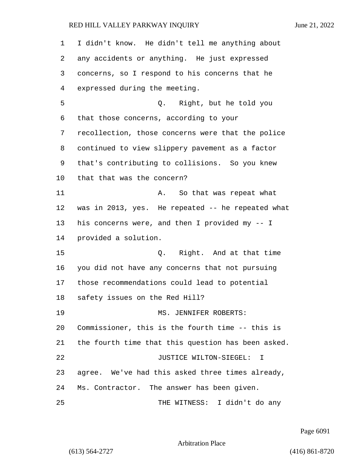| 1  | I didn't know. He didn't tell me anything about    |
|----|----------------------------------------------------|
| 2  | any accidents or anything. He just expressed       |
| 3  | concerns, so I respond to his concerns that he     |
| 4  | expressed during the meeting.                      |
| 5  | Q. Right, but he told you                          |
| 6  | that those concerns, according to your             |
| 7  | recollection, those concerns were that the police  |
| 8  | continued to view slippery pavement as a factor    |
| 9  | that's contributing to collisions. So you knew     |
| 10 | that that was the concern?                         |
| 11 | So that was repeat what<br>А.                      |
| 12 | was in 2013, yes. He repeated -- he repeated what  |
| 13 | his concerns were, and then I provided my -- I     |
| 14 | provided a solution.                               |
| 15 | Q. Right. And at that time                         |
| 16 | you did not have any concerns that not pursuing    |
| 17 | those recommendations could lead to potential      |
| 18 | safety issues on the Red Hill?                     |
| 19 | MS. JENNIFER ROBERTS:                              |
| 20 | Commissioner, this is the fourth time -- this is   |
| 21 | the fourth time that this question has been asked. |
| 22 | JUSTICE WILTON-SIEGEL:<br>I                        |
| 23 | agree. We've had this asked three times already,   |
| 24 | Ms. Contractor. The answer has been given.         |
| 25 | THE WITNESS: I didn't do any                       |

Page 6091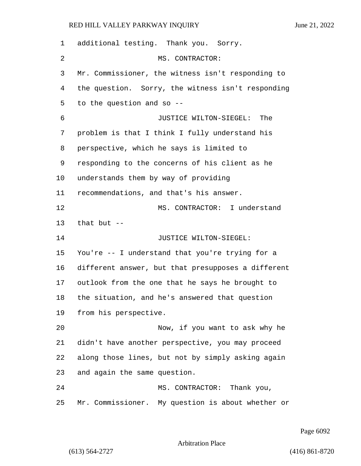| 1  | additional testing. Thank you. Sorry.              |
|----|----------------------------------------------------|
| 2  | MS. CONTRACTOR:                                    |
| 3  | Mr. Commissioner, the witness isn't responding to  |
| 4  | the question. Sorry, the witness isn't responding  |
| 5  | to the question and so --                          |
| 6  | JUSTICE WILTON-SIEGEL:<br>The                      |
| 7  | problem is that I think I fully understand his     |
| 8  | perspective, which he says is limited to           |
| 9  | responding to the concerns of his client as he     |
| 10 | understands them by way of providing               |
| 11 | recommendations, and that's his answer.            |
| 12 | MS. CONTRACTOR: I understand                       |
| 13 | that but $-$                                       |
| 14 | JUSTICE WILTON-SIEGEL:                             |
| 15 | You're -- I understand that you're trying for a    |
| 16 | different answer, but that presupposes a different |
| 17 | outlook from the one that he says he brought to    |
| 18 | the situation, and he's answered that question     |
| 19 | from his perspective.                              |
| 20 | Now, if you want to ask why he                     |
| 21 | didn't have another perspective, you may proceed   |
| 22 | along those lines, but not by simply asking again  |
| 23 | and again the same question.                       |
| 24 | MS. CONTRACTOR: Thank you,                         |
| 25 | Mr. Commissioner. My question is about whether or  |

Page 6092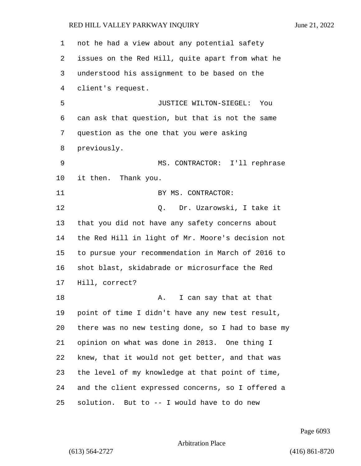not he had a view about any potential safety issues on the Red Hill, quite apart from what he understood his assignment to be based on the client's request. 5 JUSTICE WILTON-SIEGEL: You can ask that question, but that is not the same question as the one that you were asking previously. 9 MS. CONTRACTOR: I'll rephrase it then. Thank you. 11 BY MS. CONTRACTOR: 12 O. Dr. Uzarowski, I take it that you did not have any safety concerns about the Red Hill in light of Mr. Moore's decision not to pursue your recommendation in March of 2016 to shot blast, skidabrade or microsurface the Red Hill, correct? 18 A. I can say that at that point of time I didn't have any new test result, there was no new testing done, so I had to base my opinion on what was done in 2013. One thing I knew, that it would not get better, and that was the level of my knowledge at that point of time, and the client expressed concerns, so I offered a solution. But to -- I would have to do new

Page 6093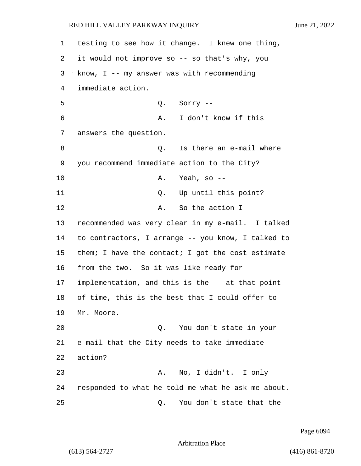1 testing to see how it change. I knew one thing, 2 it would not improve so -- so that's why, you 3 know, I -- my answer was with recommending 4 immediate action. 5 Q. Sorry -- 6 A. I don't know if this 7 answers the question. 8 a contract of the state of the series of the state of the state of the state of the state of the state of the state of the state of the state of the state of the state of the state of the state of the state of the state 9 you recommend immediate action to the City? 10 A. Yeah, so -- 11 Q. Up until this point? 12 A. So the action I 13 recommended was very clear in my e-mail. I talked 14 to contractors, I arrange -- you know, I talked to 15 them; I have the contact; I got the cost estimate 16 from the two. So it was like ready for 17 implementation, and this is the -- at that point 18 of time, this is the best that I could offer to 19 Mr. Moore. 20 Q. You don't state in your 21 e-mail that the City needs to take immediate 22 action? 23 A. No, I didn't. I only 24 responded to what he told me what he ask me about. 25 Q. You don't state that the

Page 6094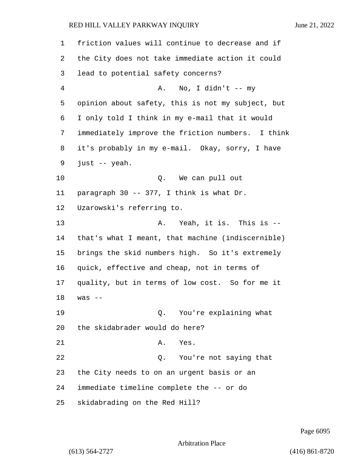| 1              | friction values will continue to decrease and if  |
|----------------|---------------------------------------------------|
| 2              | the City does not take immediate action it could  |
| 3              | lead to potential safety concerns?                |
| $\overline{4}$ | No, I didn't $--$ my<br>Α.                        |
| 5              | opinion about safety, this is not my subject, but |
| 6              | I only told I think in my e-mail that it would    |
| 7              | immediately improve the friction numbers. I think |
| 8              | it's probably in my e-mail. Okay, sorry, I have   |
| 9              | just -- yeah.                                     |
| 10             | Q. We can pull out                                |
| 11             | paragraph 30 -- 377, I think is what Dr.          |
| 12             | Uzarowski's referring to.                         |
| 13             | Yeah, it is. This is --<br>Α.                     |
| 14             | that's what I meant, that machine (indiscernible) |
| 15             | brings the skid numbers high. So it's extremely   |
| 16             | quick, effective and cheap, not in terms of       |
| 17             | quality, but in terms of low cost. So for me it   |
| 18             | $was$ $-$                                         |
| 19             | You're explaining what<br>Q.                      |
| 20             | the skidabrader would do here?                    |
| 21             | Yes.<br>Α.                                        |
| 22             | You're not saying that<br>Q.                      |
| 23             | the City needs to on an urgent basis or an        |
| 24             | immediate timeline complete the -- or do          |
| 25             | skidabrading on the Red Hill?                     |

Page 6095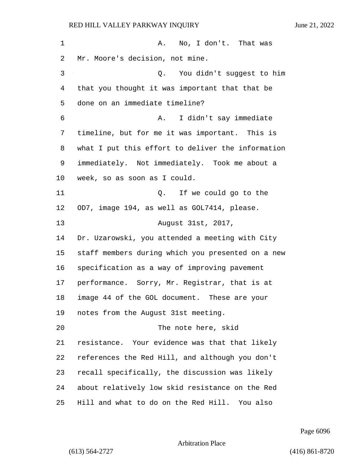1 A. No, I don't. That was Mr. Moore's decision, not mine. 3 Q. You didn't suggest to him that you thought it was important that that be done on an immediate timeline? 6 A. I didn't say immediate timeline, but for me it was important. This is what I put this effort to deliver the information immediately. Not immediately. Took me about a week, so as soon as I could. 11 Q. If we could go to the OD7, image 194, as well as GOL7414, please. 13 August 31st, 2017, Dr. Uzarowski, you attended a meeting with City staff members during which you presented on a new specification as a way of improving pavement performance. Sorry, Mr. Registrar, that is at image 44 of the GOL document. These are your notes from the August 31st meeting. 20 The note here, skid resistance. Your evidence was that that likely references the Red Hill, and although you don't recall specifically, the discussion was likely about relatively low skid resistance on the Red Hill and what to do on the Red Hill. You also

Page 6096

Arbitration Place

(613) 564-2727 (416) 861-8720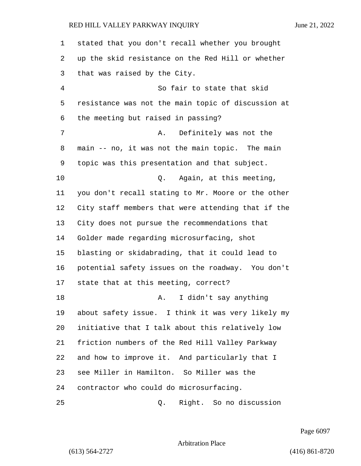| 1  | stated that you don't recall whether you brought   |
|----|----------------------------------------------------|
| 2  | up the skid resistance on the Red Hill or whether  |
| 3  | that was raised by the City.                       |
| 4  | So fair to state that skid                         |
| 5  | resistance was not the main topic of discussion at |
| 6  | the meeting but raised in passing?                 |
| 7  | Definitely was not the<br>Α.                       |
| 8  | main -- no, it was not the main topic. The main    |
| 9  | topic was this presentation and that subject.      |
| 10 | Again, at this meeting,<br>Q.                      |
| 11 | you don't recall stating to Mr. Moore or the other |
| 12 | City staff members that were attending that if the |
| 13 | City does not pursue the recommendations that      |
| 14 | Golder made regarding microsurfacing, shot         |
| 15 | blasting or skidabrading, that it could lead to    |
| 16 | potential safety issues on the roadway. You don't  |
| 17 | state that at this meeting, correct?               |
| 18 | I didn't say anything<br>Α.                        |
| 19 | about safety issue. I think it was very likely my  |
| 20 | initiative that I talk about this relatively low   |
| 21 | friction numbers of the Red Hill Valley Parkway    |
| 22 | and how to improve it. And particularly that I     |
| 23 | see Miller in Hamilton. So Miller was the          |
| 24 | contractor who could do microsurfacing.            |
| 25 | Right. So no discussion<br>Q.                      |

Page 6097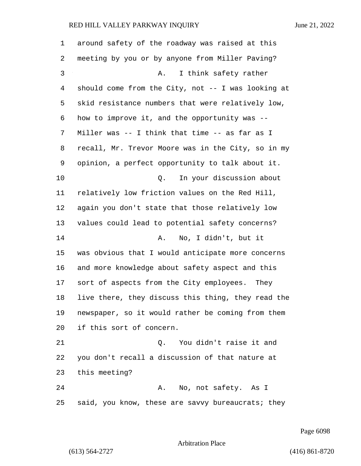| 1              | around safety of the roadway was raised at this    |
|----------------|----------------------------------------------------|
| 2              | meeting by you or by anyone from Miller Paving?    |
| 3              | I think safety rather<br>Α.                        |
| $\overline{4}$ | should come from the City, not -- I was looking at |
| 5              | skid resistance numbers that were relatively low,  |
| 6              | how to improve it, and the opportunity was --      |
| 7              | Miller was -- I think that time -- as far as I     |
| 8              | recall, Mr. Trevor Moore was in the City, so in my |
| 9              | opinion, a perfect opportunity to talk about it.   |
| 10             | In your discussion about<br>Q.                     |
| 11             | relatively low friction values on the Red Hill,    |
| 12             | again you don't state that those relatively low    |
| 13             | values could lead to potential safety concerns?    |
| 14             | No, I didn't, but it<br>Α.                         |
| 15             | was obvious that I would anticipate more concerns  |
| 16             | and more knowledge about safety aspect and this    |
| 17             | sort of aspects from the City employees. They      |
| 18             | live there, they discuss this thing, they read the |
| 19             | newspaper, so it would rather be coming from them  |
| 20             | if this sort of concern.                           |
| 21             | You didn't raise it and<br>Q.                      |
| 22             | you don't recall a discussion of that nature at    |
| 23             | this meeting?                                      |
| 24             | No, not safety. As I<br>Α.                         |
| 25             | said, you know, these are savvy bureaucrats; they  |

Page 6098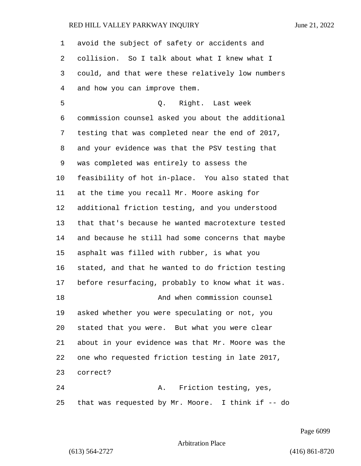avoid the subject of safety or accidents and collision. So I talk about what I knew what I could, and that were these relatively low numbers and how you can improve them. 5 Q. Right. Last week commission counsel asked you about the additional testing that was completed near the end of 2017, and your evidence was that the PSV testing that was completed was entirely to assess the feasibility of hot in-place. You also stated that at the time you recall Mr. Moore asking for additional friction testing, and you understood that that's because he wanted macrotexture tested and because he still had some concerns that maybe asphalt was filled with rubber, is what you stated, and that he wanted to do friction testing before resurfacing, probably to know what it was. 18 And when commission counsel asked whether you were speculating or not, you stated that you were. But what you were clear about in your evidence was that Mr. Moore was the one who requested friction testing in late 2017, correct? 24 A. Friction testing, yes, that was requested by Mr. Moore. I think if -- do

Page 6099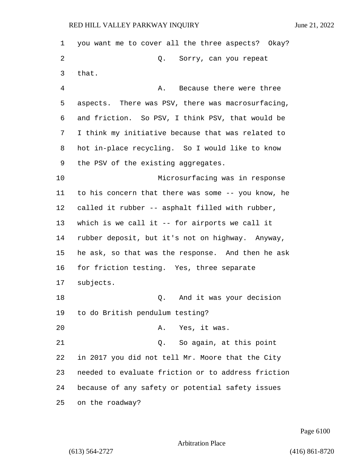you want me to cover all the three aspects? Okay? 2 Q. Sorry, can you repeat that. 4 A. Because there were three aspects. There was PSV, there was macrosurfacing, and friction. So PSV, I think PSV, that would be I think my initiative because that was related to hot in-place recycling. So I would like to know the PSV of the existing aggregates. 10 Microsurfacing was in response to his concern that there was some -- you know, he called it rubber -- asphalt filled with rubber, which is we call it -- for airports we call it rubber deposit, but it's not on highway. Anyway, he ask, so that was the response. And then he ask for friction testing. Yes, three separate subjects. 18 Q. And it was your decision to do British pendulum testing? 20 A. Yes, it was. 21 Q. So again, at this point in 2017 you did not tell Mr. Moore that the City needed to evaluate friction or to address friction because of any safety or potential safety issues on the roadway?

Page 6100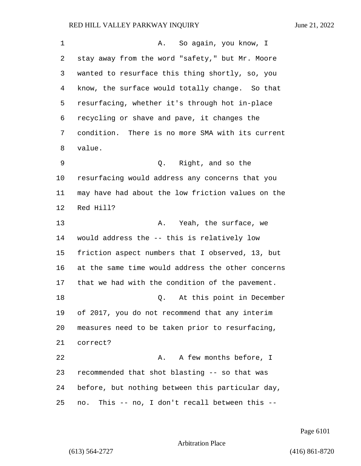| 1  | So again, you know, I<br>Α.                         |
|----|-----------------------------------------------------|
| 2  | stay away from the word "safety," but Mr. Moore     |
| 3  | wanted to resurface this thing shortly, so, you     |
| 4  | know, the surface would totally change. So that     |
| 5  | resurfacing, whether it's through hot in-place      |
| 6  | recycling or shave and pave, it changes the         |
| 7  | condition. There is no more SMA with its current    |
| 8  | value.                                              |
| 9  | Right, and so the<br>Q.                             |
| 10 | resurfacing would address any concerns that you     |
| 11 | may have had about the low friction values on the   |
| 12 | Red Hill?                                           |
| 13 | Yeah, the surface, we<br>Α.                         |
| 14 | would address the -- this is relatively low         |
| 15 | friction aspect numbers that I observed, 13, but    |
| 16 | at the same time would address the other concerns   |
| 17 | that we had with the condition of the pavement.     |
| 18 | At this point in December<br>Q.                     |
| 19 | of 2017, you do not recommend that any interim      |
| 20 | measures need to be taken prior to resurfacing,     |
| 21 | correct?                                            |
| 22 | A few months before, I<br>Α.                        |
| 23 | recommended that shot blasting -- so that was       |
| 24 | before, but nothing between this particular day,    |
| 25 | This $-$ no, I don't recall between this $-$<br>no. |

Page 6101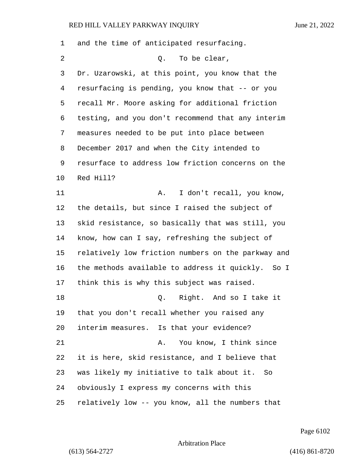and the time of anticipated resurfacing. 2 Q. To be clear, Dr. Uzarowski, at this point, you know that the resurfacing is pending, you know that -- or you recall Mr. Moore asking for additional friction testing, and you don't recommend that any interim measures needed to be put into place between December 2017 and when the City intended to resurface to address low friction concerns on the Red Hill? 11 A. I don't recall, you know, the details, but since I raised the subject of skid resistance, so basically that was still, you know, how can I say, refreshing the subject of relatively low friction numbers on the parkway and the methods available to address it quickly. So I think this is why this subject was raised. **D.** Right. And so I take it that you don't recall whether you raised any interim measures. Is that your evidence? 21 A. You know, I think since it is here, skid resistance, and I believe that was likely my initiative to talk about it. So obviously I express my concerns with this relatively low -- you know, all the numbers that

Page 6102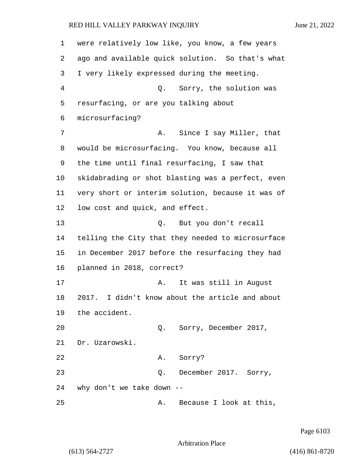| 1  | were relatively low like, you know, a few years    |
|----|----------------------------------------------------|
| 2  | ago and available quick solution. So that's what   |
| 3  | I very likely expressed during the meeting.        |
| 4  | Q. Sorry, the solution was                         |
| 5  | resurfacing, or are you talking about              |
| 6  | microsurfacing?                                    |
| 7  | Since I say Miller, that<br>Α.                     |
| 8  | would be microsurfacing. You know, because all     |
| 9  | the time until final resurfacing, I saw that       |
| 10 | skidabrading or shot blasting was a perfect, even  |
| 11 | very short or interim solution, because it was of  |
| 12 | low cost and quick, and effect.                    |
| 13 | But you don't recall<br>Q.                         |
| 14 | telling the City that they needed to microsurface  |
| 15 | in December 2017 before the resurfacing they had   |
| 16 | planned in 2018, correct?                          |
| 17 | It was still in August<br>Α.                       |
| 18 | I didn't know about the article and about<br>2017. |
| 19 | the accident.                                      |
| 20 | Q. Sorry, December 2017,                           |
| 21 | Dr. Uzarowski.                                     |
| 22 | Sorry?<br>Α.                                       |
| 23 | December 2017. Sorry,<br>Q.                        |
| 24 | why don't we take down --                          |
| 25 | Because I look at this,<br>Α.                      |

Page 6103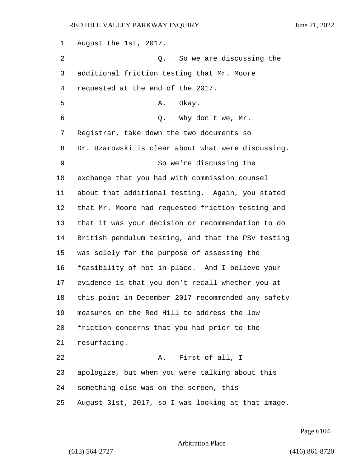August the 1st, 2017. 2 Q. So we are discussing the additional friction testing that Mr. Moore requested at the end of the 2017. 5 A. Okay. 6 Q. Why don't we, Mr. Registrar, take down the two documents so Dr. Uzarowski is clear about what were discussing. 9 So we're discussing the exchange that you had with commission counsel about that additional testing. Again, you stated that Mr. Moore had requested friction testing and that it was your decision or recommendation to do British pendulum testing, and that the PSV testing was solely for the purpose of assessing the feasibility of hot in-place. And I believe your evidence is that you don't recall whether you at this point in December 2017 recommended any safety measures on the Red Hill to address the low friction concerns that you had prior to the resurfacing. 22 A. First of all, I apologize, but when you were talking about this something else was on the screen, this August 31st, 2017, so I was looking at that image.

Page 6104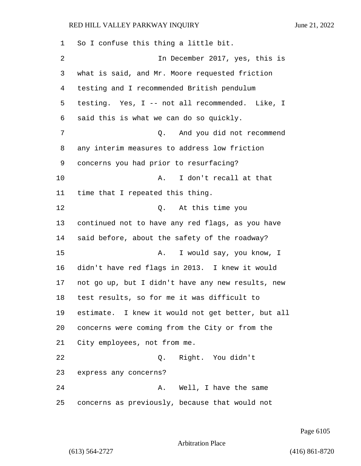So I confuse this thing a little bit. 2 In December 2017, yes, this is what is said, and Mr. Moore requested friction testing and I recommended British pendulum testing. Yes, I -- not all recommended. Like, I said this is what we can do so quickly. 7 Q. And you did not recommend any interim measures to address low friction concerns you had prior to resurfacing? 10 A. I don't recall at that time that I repeated this thing. 12 O. At this time you continued not to have any red flags, as you have said before, about the safety of the roadway? 15 A. I would say, you know, I didn't have red flags in 2013. I knew it would not go up, but I didn't have any new results, new test results, so for me it was difficult to estimate. I knew it would not get better, but all concerns were coming from the City or from the City employees, not from me. 22 Q. Right. You didn't express any concerns? 24 A. Well, I have the same concerns as previously, because that would not

Page 6105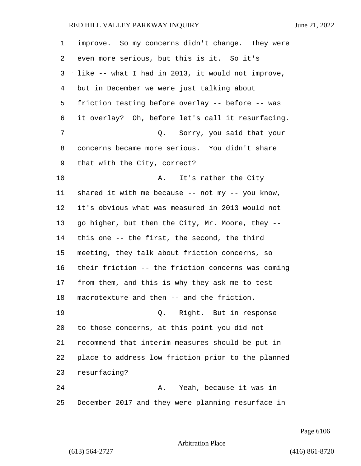| $\mathbf 1$ | improve. So my concerns didn't change. They were     |
|-------------|------------------------------------------------------|
| 2           | even more serious, but this is it. So it's           |
| 3           | like -- what I had in 2013, it would not improve,    |
| 4           | but in December we were just talking about           |
| 5           | friction testing before overlay -- before -- was     |
| 6           | it overlay? Oh, before let's call it resurfacing.    |
| 7           | Sorry, you said that your<br>Q.                      |
| 8           | concerns became more serious. You didn't share       |
| 9           | that with the City, correct?                         |
| 10          | It's rather the City<br>Α.                           |
| 11          | shared it with me because $--$ not my $--$ you know, |
| 12          | it's obvious what was measured in 2013 would not     |
| 13          | go higher, but then the City, Mr. Moore, they --     |
| 14          | this one -- the first, the second, the third         |
| 15          | meeting, they talk about friction concerns, so       |
| 16          | their friction -- the friction concerns was coming   |
| 17          | from them, and this is why they ask me to test       |
| 18          | macrotexture and then -- and the friction.           |
| 19          | Q. Right. But in response                            |
| 20          | to those concerns, at this point you did not         |
| 21          | recommend that interim measures should be put in     |
| 22          | place to address low friction prior to the planned   |
| 23          | resurfacing?                                         |
| 24          | Yeah, because it was in<br>А.                        |
| 25          | December 2017 and they were planning resurface in    |

Page 6106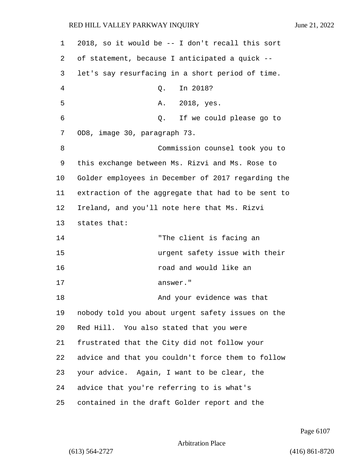| $\mathbf 1$ | 2018, so it would be -- I don't recall this sort   |
|-------------|----------------------------------------------------|
| 2           | of statement, because I anticipated a quick --     |
| 3           | let's say resurfacing in a short period of time.   |
| 4           | In 2018?<br>Q.                                     |
| 5           | 2018, yes.<br>Α.                                   |
| 6           | If we could please go to<br>Q.                     |
| 7           | OD8, image 30, paragraph 73.                       |
| 8           | Commission counsel took you to                     |
| 9           | this exchange between Ms. Rizvi and Ms. Rose to    |
| 10          | Golder employees in December of 2017 regarding the |
| 11          | extraction of the aggregate that had to be sent to |
| 12          | Ireland, and you'll note here that Ms. Rizvi       |
| 13          | states that:                                       |
| 14          | "The client is facing an                           |
| 15          | urgent safety issue with their                     |
| 16          | road and would like an                             |
| 17          | answer."                                           |
| 18          | And your evidence was that                         |
| 19          | nobody told you about urgent safety issues on the  |
| 20          | Red Hill. You also stated that you were            |
| 21          | frustrated that the City did not follow your       |
| 22          | advice and that you couldn't force them to follow  |
| 23          | your advice. Again, I want to be clear, the        |
| 24          | advice that you're referring to is what's          |
| 25          | contained in the draft Golder report and the       |

Page 6107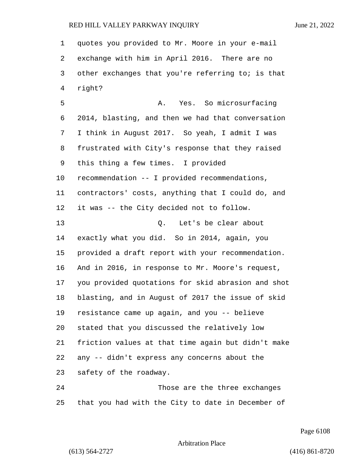quotes you provided to Mr. Moore in your e-mail exchange with him in April 2016. There are no other exchanges that you're referring to; is that right? 5 A. Yes. So microsurfacing 2014, blasting, and then we had that conversation I think in August 2017. So yeah, I admit I was frustrated with City's response that they raised this thing a few times. I provided recommendation -- I provided recommendations, contractors' costs, anything that I could do, and it was -- the City decided not to follow. 13 O. Let's be clear about exactly what you did. So in 2014, again, you provided a draft report with your recommendation. And in 2016, in response to Mr. Moore's request, you provided quotations for skid abrasion and shot blasting, and in August of 2017 the issue of skid resistance came up again, and you -- believe stated that you discussed the relatively low friction values at that time again but didn't make any -- didn't express any concerns about the safety of the roadway. 24 Those are the three exchanges

that you had with the City to date in December of

Page 6108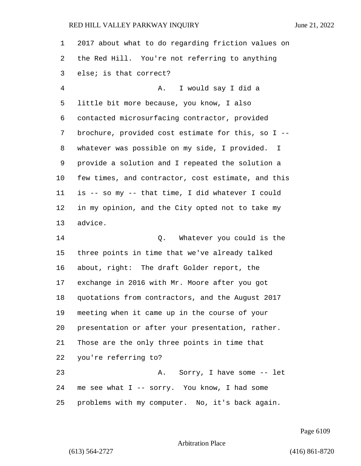| 1       | 2017 about what to do regarding friction values on |
|---------|----------------------------------------------------|
| 2       | the Red Hill. You're not referring to anything     |
| 3       | else; is that correct?                             |
| 4       | I would say I did a<br>Α.                          |
| 5       | little bit more because, you know, I also          |
| 6       | contacted microsurfacing contractor, provided      |
| 7       | brochure, provided cost estimate for this, so I -- |
| 8       | whatever was possible on my side, I provided. I    |
| 9       | provide a solution and I repeated the solution a   |
| $10 \,$ | few times, and contractor, cost estimate, and this |
| 11      | is -- so my -- that time, I did whatever I could   |
| 12      | in my opinion, and the City opted not to take my   |
| 13      | advice.                                            |
| 14      | Whatever you could is the<br>Q.                    |
| 15      | three points in time that we've already talked     |
| 16      | about, right: The draft Golder report, the         |
| 17      | exchange in 2016 with Mr. Moore after you got      |
| 18      | quotations from contractors, and the August 2017   |
| 19      | meeting when it came up in the course of your      |
| 20      | presentation or after your presentation, rather.   |
| 21      | Those are the only three points in time that       |
| 22      | you're referring to?                               |
| 23      | A. Sorry, I have some -- let                       |
| 24      | me see what I -- sorry. You know, I had some       |
| 25      | problems with my computer. No, it's back again.    |

Page 6109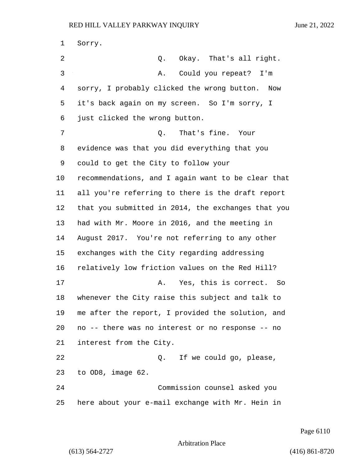Sorry. 2 Q. Okay. That's all right. 3 A. Could you repeat? I'm sorry, I probably clicked the wrong button. Now it's back again on my screen. So I'm sorry, I just clicked the wrong button. 7 Q. That's fine. Your evidence was that you did everything that you could to get the City to follow your recommendations, and I again want to be clear that all you're referring to there is the draft report that you submitted in 2014, the exchanges that you had with Mr. Moore in 2016, and the meeting in August 2017. You're not referring to any other exchanges with the City regarding addressing relatively low friction values on the Red Hill? 17 A. Yes, this is correct. So whenever the City raise this subject and talk to me after the report, I provided the solution, and no -- there was no interest or no response -- no interest from the City. 22 and 2. If we could go, please, to OD8, image 62. 24 Commission counsel asked you here about your e-mail exchange with Mr. Hein in

Page 6110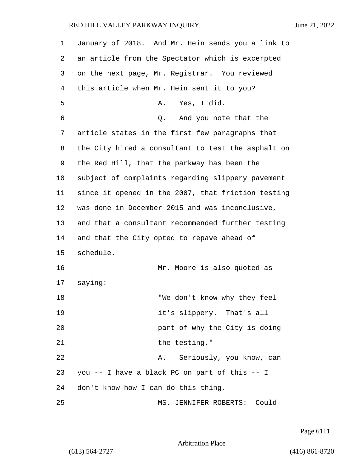| 1  | January of 2018. And Mr. Hein sends you a link to  |
|----|----------------------------------------------------|
| 2  | an article from the Spectator which is excerpted   |
| 3  | on the next page, Mr. Registrar. You reviewed      |
| 4  | this article when Mr. Hein sent it to you?         |
| 5  | Yes, I did.<br>Α.                                  |
| 6  | And you note that the<br>Q.                        |
| 7  | article states in the first few paragraphs that    |
| 8  | the City hired a consultant to test the asphalt on |
| 9  | the Red Hill, that the parkway has been the        |
| 10 | subject of complaints regarding slippery pavement  |
| 11 | since it opened in the 2007, that friction testing |
| 12 | was done in December 2015 and was inconclusive,    |
| 13 | and that a consultant recommended further testing  |
| 14 | and that the City opted to repave ahead of         |
| 15 | schedule.                                          |
| 16 | Mr. Moore is also quoted as                        |
| 17 | saying:                                            |
| 18 | "We don't know why they feel                       |
| 19 | it's slippery. That's all                          |
| 20 | part of why the City is doing                      |
| 21 | the testing."                                      |
| 22 | A. Seriously, you know, can                        |
| 23 | you -- I have a black PC on part of this -- I      |
| 24 | don't know how I can do this thing.                |
| 25 | MS. JENNIFER ROBERTS: Could                        |

Page 6111

Arbitration Place

(613) 564-2727 (416) 861-8720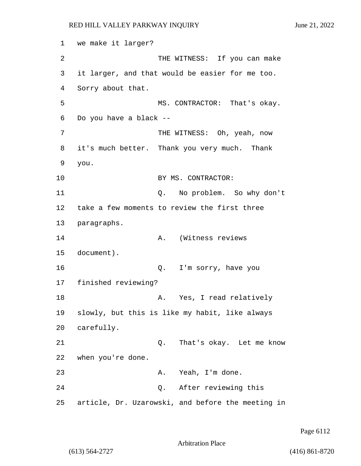```
1 we make it larger?
2 THE WITNESS: If you can make
3 it larger, and that would be easier for me too.
4 Sorry about that.
5 MS. CONTRACTOR: That's okay.
6 Do you have a black --
7 THE WITNESS: Oh, yeah, now
8 it's much better. Thank you very much. Thank
9 you.
10 BY MS. CONTRACTOR:
11 Q. No problem. So why don't
12 take a few moments to review the first three
13 paragraphs.
14 A. (Witness reviews
15 document).
16 Q. I'm sorry, have you
17 finished reviewing?
18 A. Yes, I read relatively
19 slowly, but this is like my habit, like always
20 carefully.
21 Q. That's okay. Let me know
22 when you're done.
23 A. Yeah, I'm done.
24 Q. After reviewing this
25 article, Dr. Uzarowski, and before the meeting in
```
Page 6112

Arbitration Place

(613) 564-2727 (416) 861-8720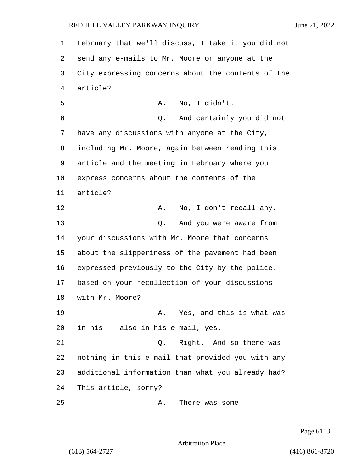February that we'll discuss, I take it you did not send any e-mails to Mr. Moore or anyone at the City expressing concerns about the contents of the article? 5 A. No, I didn't. 6 Q. And certainly you did not have any discussions with anyone at the City, including Mr. Moore, again between reading this article and the meeting in February where you express concerns about the contents of the article? 12 A. No, I don't recall any. 13 Q. And you were aware from your discussions with Mr. Moore that concerns about the slipperiness of the pavement had been expressed previously to the City by the police, based on your recollection of your discussions with Mr. Moore? 19 A. Yes, and this is what was in his -- also in his e-mail, yes. 21 Q. Right. And so there was nothing in this e-mail that provided you with any additional information than what you already had? This article, sorry? 25 A. There was some

Page 6113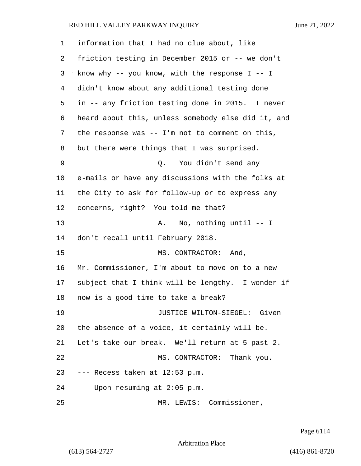| 1  | information that I had no clue about, like         |
|----|----------------------------------------------------|
| 2  | friction testing in December 2015 or -- we don't   |
| 3  | know why -- you know, with the response $I$ -- I   |
| 4  | didn't know about any additional testing done      |
| 5  | in -- any friction testing done in 2015. I never   |
| 6  | heard about this, unless somebody else did it, and |
| 7  | the response was $--$ I'm not to comment on this,  |
| 8  | but there were things that I was surprised.        |
| 9  | You didn't send any<br>Q.                          |
| 10 | e-mails or have any discussions with the folks at  |
| 11 | the City to ask for follow-up or to express any    |
| 12 | concerns, right? You told me that?                 |
| 13 | No, nothing until $--$ I<br>Α.                     |
| 14 | don't recall until February 2018.                  |
| 15 | MS. CONTRACTOR: And,                               |
| 16 | Mr. Commissioner, I'm about to move on to a new    |
| 17 | subject that I think will be lengthy. I wonder if  |
| 18 | now is a good time to take a break?                |
| 19 | JUSTICE WILTON-SIEGEL: Given                       |
| 20 | the absence of a voice, it certainly will be.      |
| 21 | Let's take our break. We'll return at 5 past 2.    |
| 22 | MS. CONTRACTOR: Thank you.                         |
|    | 23 --- Recess taken at 12:53 p.m.                  |
|    | 24 --- Upon resuming at 2:05 p.m.                  |
| 25 | MR. LEWIS: Commissioner,                           |

Page 6114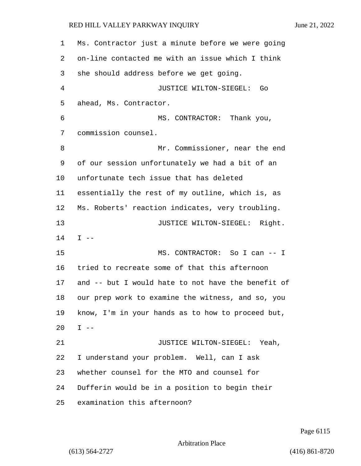Ms. Contractor just a minute before we were going on-line contacted me with an issue which I think she should address before we get going. 4 JUSTICE WILTON-SIEGEL: Go ahead, Ms. Contractor. 6 MS. CONTRACTOR: Thank you, commission counsel. 8 Mr. Commissioner, near the end of our session unfortunately we had a bit of an unfortunate tech issue that has deleted essentially the rest of my outline, which is, as Ms. Roberts' reaction indicates, very troubling. 13 JUSTICE WILTON-SIEGEL: Right. I -- 15 MS. CONTRACTOR: So I can -- I tried to recreate some of that this afternoon and -- but I would hate to not have the benefit of our prep work to examine the witness, and so, you know, I'm in your hands as to how to proceed but, I  $-$ 21 JUSTICE WILTON-SIEGEL: Yeah, I understand your problem. Well, can I ask whether counsel for the MTO and counsel for Dufferin would be in a position to begin their examination this afternoon?

Page 6115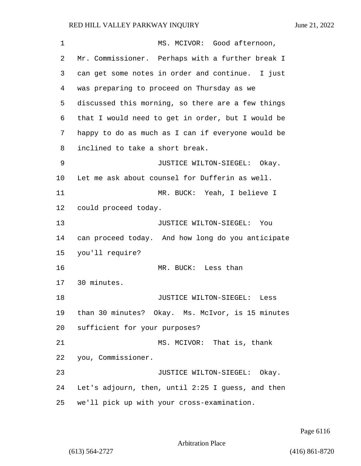# RED HILL VALLEY PARKWAY INQUIRY

|  | June 21, 2022 |
|--|---------------|

| 1  | MS. MCIVOR: Good afternoon,                       |
|----|---------------------------------------------------|
| 2  | Mr. Commissioner. Perhaps with a further break I  |
| 3  | can get some notes in order and continue. I just  |
| 4  | was preparing to proceed on Thursday as we        |
| 5  | discussed this morning, so there are a few things |
| 6  | that I would need to get in order, but I would be |
| 7  | happy to do as much as I can if everyone would be |
| 8  | inclined to take a short break.                   |
| 9  | JUSTICE WILTON-SIEGEL: Okay.                      |
| 10 | Let me ask about counsel for Dufferin as well.    |
| 11 | MR. BUCK: Yeah, I believe I                       |
| 12 | could proceed today.                              |
| 13 | JUSTICE WILTON-SIEGEL: You                        |
| 14 | can proceed today. And how long do you anticipate |
| 15 | you'll require?                                   |
| 16 | MR. BUCK: Less than                               |
| 17 | 30 minutes.                                       |
| 18 | JUSTICE WILTON-SIEGEL:<br>Less                    |
| 19 | than 30 minutes? Okay. Ms. McIvor, is 15 minutes  |
| 20 | sufficient for your purposes?                     |
| 21 | MS. MCIVOR: That is, thank                        |
| 22 | you, Commissioner.                                |
| 23 | JUSTICE WILTON-SIEGEL: Okay.                      |
| 24 | Let's adjourn, then, until 2:25 I guess, and then |
| 25 | we'll pick up with your cross-examination.        |

Page 6116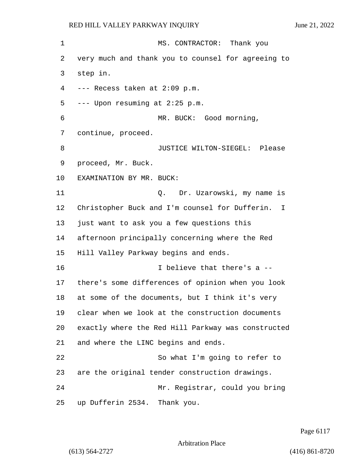1 MS. CONTRACTOR: Thank you very much and thank you to counsel for agreeing to step in. --- Recess taken at 2:09 p.m. --- Upon resuming at 2:25 p.m. 6 MR. BUCK: Good morning, continue, proceed. **B** JUSTICE WILTON-SIEGEL: Please proceed, Mr. Buck. EXAMINATION BY MR. BUCK: 11 Q. Dr. Uzarowski, my name is Christopher Buck and I'm counsel for Dufferin. I just want to ask you a few questions this afternoon principally concerning where the Red Hill Valley Parkway begins and ends. 16 I believe that there's a -- there's some differences of opinion when you look at some of the documents, but I think it's very clear when we look at the construction documents exactly where the Red Hill Parkway was constructed and where the LINC begins and ends. 22 So what I'm going to refer to are the original tender construction drawings. 24 Mr. Registrar, could you bring up Dufferin 2534. Thank you.

Page 6117

Arbitration Place

(613) 564-2727 (416) 861-8720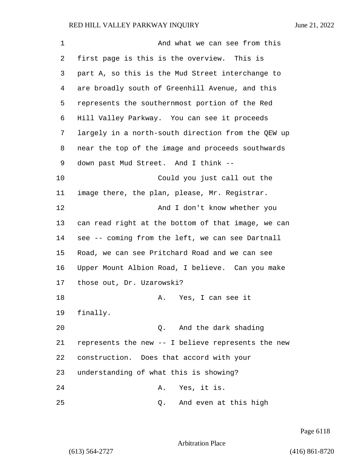| 1  | And what we can see from this                      |
|----|----------------------------------------------------|
| 2  | first page is this is the overview. This is        |
| 3  | part A, so this is the Mud Street interchange to   |
| 4  | are broadly south of Greenhill Avenue, and this    |
| 5  | represents the southernmost portion of the Red     |
| 6  | Hill Valley Parkway. You can see it proceeds       |
| 7  | largely in a north-south direction from the QEW up |
| 8  | near the top of the image and proceeds southwards  |
| 9  | down past Mud Street. And I think --               |
| 10 | Could you just call out the                        |
| 11 | image there, the plan, please, Mr. Registrar.      |
| 12 | And I don't know whether you                       |
| 13 | can read right at the bottom of that image, we can |
| 14 | see -- coming from the left, we can see Dartnall   |
| 15 | Road, we can see Pritchard Road and we can see     |
| 16 | Upper Mount Albion Road, I believe. Can you make   |
| 17 | those out, Dr. Uzarowski?                          |
| 18 | A. Yes, I can see it                               |
| 19 | finally.                                           |
| 20 | And the dark shading<br>Q.                         |
| 21 | represents the new -- I believe represents the new |
| 22 | construction. Does that accord with your           |
| 23 | understanding of what this is showing?             |
| 24 | Yes, it is.<br>Α.                                  |
| 25 | And even at this high<br>Q.                        |

Page 6118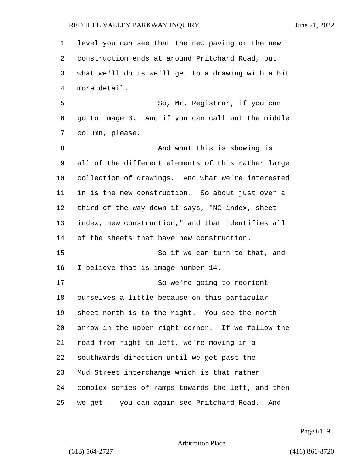| $\mathbf 1$ | level you can see that the new paving or the new   |
|-------------|----------------------------------------------------|
| 2           | construction ends at around Pritchard Road, but    |
| 3           | what we'll do is we'll get to a drawing with a bit |
| 4           | more detail.                                       |
| 5           | So, Mr. Registrar, if you can                      |
| 6           | go to image 3. And if you can call out the middle  |
| 7           | column, please.                                    |
| 8           | And what this is showing is                        |
| 9           | all of the different elements of this rather large |
| 10          | collection of drawings. And what we're interested  |
| 11          | in is the new construction. So about just over a   |
| 12          | third of the way down it says, "NC index, sheet    |
| 13          | index, new construction," and that identifies all  |
| 14          | of the sheets that have new construction.          |
| 15          | So if we can turn to that, and                     |
| 16          | I believe that is image number 14.                 |
| 17          | So we're going to reorient                         |
| 18          | ourselves a little because on this particular      |
| 19          | sheet north is to the right. You see the north     |
| 20          | arrow in the upper right corner. If we follow the  |
| 21          | road from right to left, we're moving in a         |
| 22          | southwards direction until we get past the         |
| 23          | Mud Street interchange which is that rather        |
| 24          | complex series of ramps towards the left, and then |
| 25          | we get -- you can again see Pritchard Road.<br>And |

Page 6119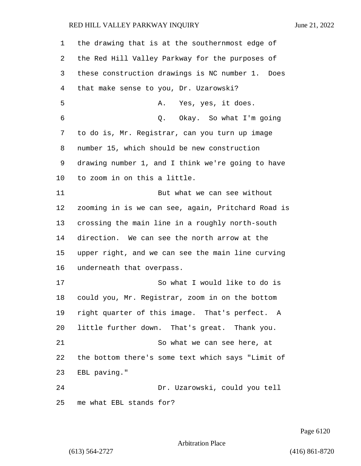| 1  | the drawing that is at the southernmost edge of    |
|----|----------------------------------------------------|
| 2  | the Red Hill Valley Parkway for the purposes of    |
| 3  | these construction drawings is NC number 1. Does   |
| 4  | that make sense to you, Dr. Uzarowski?             |
| 5  | Yes, yes, it does.<br>Α.                           |
| 6  | Q. Okay. So what I'm going                         |
| 7  | to do is, Mr. Registrar, can you turn up image     |
| 8  | number 15, which should be new construction        |
| 9  | drawing number 1, and I think we're going to have  |
| 10 | to zoom in on this a little.                       |
| 11 | But what we can see without                        |
| 12 | zooming in is we can see, again, Pritchard Road is |
| 13 | crossing the main line in a roughly north-south    |
| 14 | direction. We can see the north arrow at the       |
| 15 | upper right, and we can see the main line curving  |
| 16 | underneath that overpass.                          |
| 17 | So what I would like to do is                      |
| 18 | could you, Mr. Registrar, zoom in on the bottom    |
| 19 | right quarter of this image. That's perfect. A     |
| 20 | little further down. That's great. Thank you.      |
| 21 | So what we can see here, at                        |
| 22 | the bottom there's some text which says "Limit of  |
| 23 | EBL paving."                                       |
| 24 | Dr. Uzarowski, could you tell                      |
| 25 | me what EBL stands for?                            |

Page 6120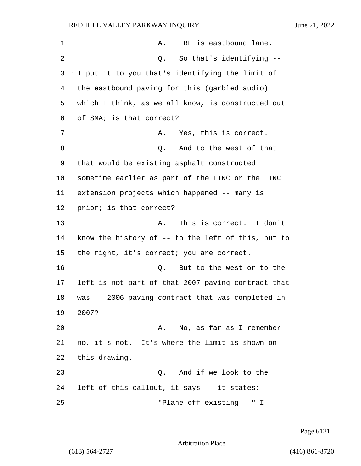| 1  | EBL is eastbound lane.<br>Α.                          |
|----|-------------------------------------------------------|
| 2  | So that's identifying --<br>Q.                        |
| 3  | I put it to you that's identifying the limit of       |
| 4  | the eastbound paving for this (garbled audio)         |
| 5  | which I think, as we all know, is constructed out     |
| 6  | of SMA; is that correct?                              |
| 7  | Yes, this is correct.<br>Α.                           |
| 8  | And to the west of that<br>Q.                         |
| 9  | that would be existing asphalt constructed            |
| 10 | sometime earlier as part of the LINC or the LINC      |
| 11 | extension projects which happened -- many is          |
| 12 | prior; is that correct?                               |
| 13 | This is correct. I don't<br>Α.                        |
| 14 | know the history of $-$ - to the left of this, but to |
| 15 | the right, it's correct; you are correct.             |
| 16 | But to the west or to the<br>Q.                       |
| 17 | left is not part of that 2007 paving contract that    |
| 18 | was -- 2006 paving contract that was completed in     |
| 19 | 2007?                                                 |
| 20 | A. No, as far as I remember                           |
| 21 | no, it's not. It's where the limit is shown on        |
| 22 | this drawing.                                         |
| 23 | And if we look to the<br>Q.                           |
| 24 | left of this callout, it says -- it states:           |
| 25 | "Plane off existing --" I                             |

Page 6121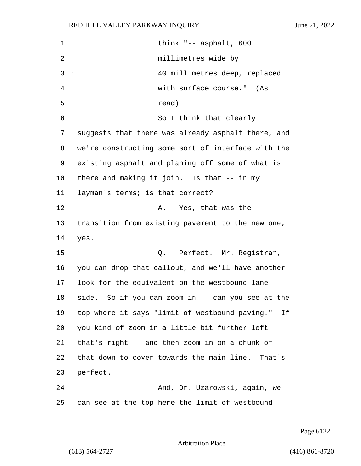| 1  | think " $-$ asphalt, 600                           |
|----|----------------------------------------------------|
| 2  | millimetres wide by                                |
| 3  | 40 millimetres deep, replaced                      |
| 4  | with surface course." (As                          |
| 5  | read)                                              |
| 6  | So I think that clearly                            |
| 7  | suggests that there was already asphalt there, and |
| 8  | we're constructing some sort of interface with the |
| 9  | existing asphalt and planing off some of what is   |
| 10 | there and making it join. Is that -- in my         |
| 11 | layman's terms; is that correct?                   |
| 12 | A. Yes, that was the                               |
| 13 | transition from existing pavement to the new one,  |
| 14 | yes.                                               |
| 15 | Q. Perfect. Mr. Registrar,                         |
| 16 | you can drop that callout, and we'll have another  |
| 17 | look for the equivalent on the westbound lane      |
| 18 | side. So if you can zoom in -- can you see at the  |
| 19 | top where it says "limit of westbound paving." If  |
| 20 | you kind of zoom in a little bit further left --   |
| 21 | that's right -- and then zoom in on a chunk of     |
| 22 | that down to cover towards the main line. That's   |
| 23 | perfect.                                           |
| 24 | And, Dr. Uzarowski, again, we                      |
| 25 | can see at the top here the limit of westbound     |

Page 6122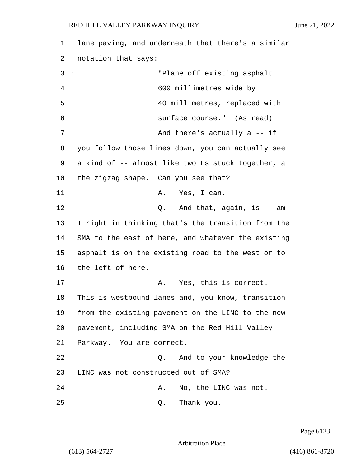1 lane paving, and underneath that there's a similar 2 notation that says: 3 "Plane off existing asphalt 4 600 millimetres wide by 5 40 millimetres, replaced with 6 surface course." (As read) 7 And there's actually a -- if 8 you follow those lines down, you can actually see 9 a kind of -- almost like two Ls stuck together, a 10 the zigzag shape. Can you see that? 11 A. Yes, I can. 12 C. And that, again, is -- am 13 I right in thinking that's the transition from the 14 SMA to the east of here, and whatever the existing 15 asphalt is on the existing road to the west or to 16 the left of here. 17 A. Yes, this is correct. 18 This is westbound lanes and, you know, transition 19 from the existing pavement on the LINC to the new 20 pavement, including SMA on the Red Hill Valley 21 Parkway. You are correct. 22 Q. And to your knowledge the 23 LINC was not constructed out of SMA? 24 A. No, the LINC was not. 25 Q. Thank you.

Page 6123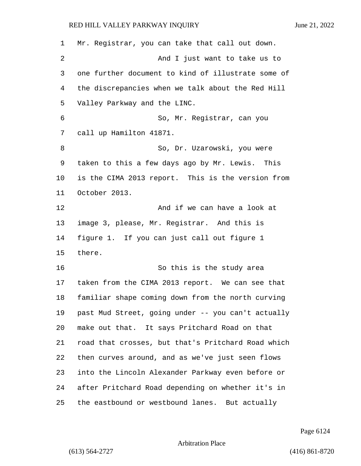| $\mathbf{1}$ | Mr. Registrar, you can take that call out down.    |
|--------------|----------------------------------------------------|
| 2            | And I just want to take us to                      |
| 3            | one further document to kind of illustrate some of |
| 4            | the discrepancies when we talk about the Red Hill  |
| 5            | Valley Parkway and the LINC.                       |
| 6            | So, Mr. Registrar, can you                         |
| 7            | call up Hamilton 41871.                            |
| 8            | So, Dr. Uzarowski, you were                        |
| 9            | taken to this a few days ago by Mr. Lewis. This    |
| 10           | is the CIMA 2013 report. This is the version from  |
| 11           | October 2013.                                      |
| 12           | And if we can have a look at                       |
| 13           | image 3, please, Mr. Registrar. And this is        |
| 14           | figure 1. If you can just call out figure 1        |
| 15           | there.                                             |
| 16           | So this is the study area                          |
| 17           | taken from the CIMA 2013 report. We can see that   |
| 18           | familiar shape coming down from the north curving  |
| 19           | past Mud Street, going under -- you can't actually |
| 20           | make out that. It says Pritchard Road on that      |
| 21           | road that crosses, but that's Pritchard Road which |
| 22           | then curves around, and as we've just seen flows   |
| 23           | into the Lincoln Alexander Parkway even before or  |
| 24           | after Pritchard Road depending on whether it's in  |
| 25           | the eastbound or westbound lanes. But actually     |

Page 6124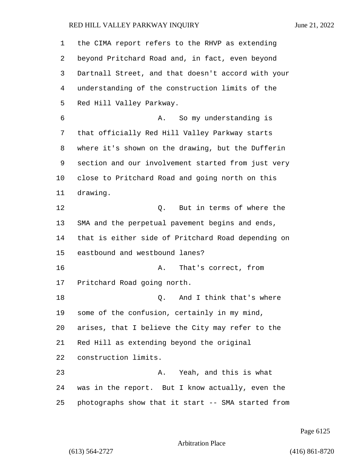| 1  | the CIMA report refers to the RHVP as extending    |
|----|----------------------------------------------------|
| 2  | beyond Pritchard Road and, in fact, even beyond    |
| 3  | Dartnall Street, and that doesn't accord with your |
| 4  | understanding of the construction limits of the    |
| 5  | Red Hill Valley Parkway.                           |
| 6  | So my understanding is<br>Α.                       |
| 7  | that officially Red Hill Valley Parkway starts     |
| 8  | where it's shown on the drawing, but the Dufferin  |
| 9  | section and our involvement started from just very |
| 10 | close to Pritchard Road and going north on this    |
| 11 | drawing.                                           |
| 12 | But in terms of where the<br>Q.                    |
| 13 | SMA and the perpetual pavement begins and ends,    |
| 14 | that is either side of Pritchard Road depending on |
| 15 | eastbound and westbound lanes?                     |
| 16 | That's correct, from<br>Α.                         |
| 17 | Pritchard Road going north.                        |
| 18 | And I think that's where<br>Q.                     |
| 19 | some of the confusion, certainly in my mind,       |
| 20 | arises, that I believe the City may refer to the   |
| 21 | Red Hill as extending beyond the original          |
| 22 | construction limits.                               |
| 23 | Yeah, and this is what<br>Α.                       |
| 24 | was in the report. But I know actually, even the   |
| 25 | photographs show that it start -- SMA started from |

Page 6125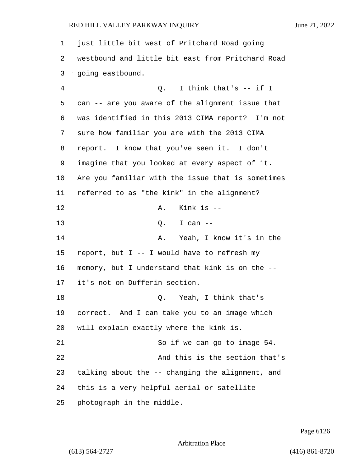just little bit west of Pritchard Road going westbound and little bit east from Pritchard Road going eastbound. 4 Q. I think that's -- if I can -- are you aware of the alignment issue that was identified in this 2013 CIMA report? I'm not sure how familiar you are with the 2013 CIMA report. I know that you've seen it. I don't imagine that you looked at every aspect of it. Are you familiar with the issue that is sometimes referred to as "the kink" in the alignment? 12 A. Kink is --13 0. I can --14 A. Yeah, I know it's in the 15 report, but  $I - - I$  would have to refresh my memory, but I understand that kink is on the -- it's not on Dufferin section. 18 Q. Yeah, I think that's correct. And I can take you to an image which will explain exactly where the kink is. 21 So if we can go to image 54. 22 And this is the section that's talking about the -- changing the alignment, and this is a very helpful aerial or satellite photograph in the middle.

Page 6126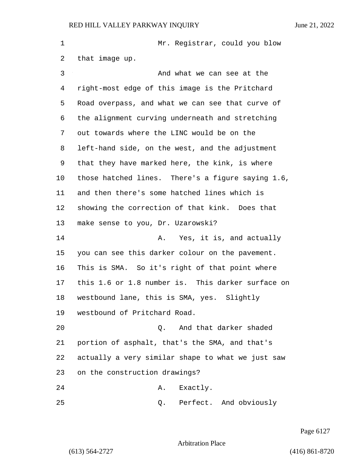1 Mr. Registrar, could you blow that image up. 3 And what we can see at the right-most edge of this image is the Pritchard Road overpass, and what we can see that curve of the alignment curving underneath and stretching out towards where the LINC would be on the left-hand side, on the west, and the adjustment that they have marked here, the kink, is where those hatched lines. There's a figure saying 1.6, and then there's some hatched lines which is showing the correction of that kink. Does that make sense to you, Dr. Uzarowski? **A.** Yes, it is, and actually you can see this darker colour on the pavement. This is SMA. So it's right of that point where this 1.6 or 1.8 number is. This darker surface on westbound lane, this is SMA, yes. Slightly westbound of Pritchard Road. 20 Q. And that darker shaded portion of asphalt, that's the SMA, and that's actually a very similar shape to what we just saw on the construction drawings? 24 A. Exactly. 25 Q. Perfect. And obviously

Page 6127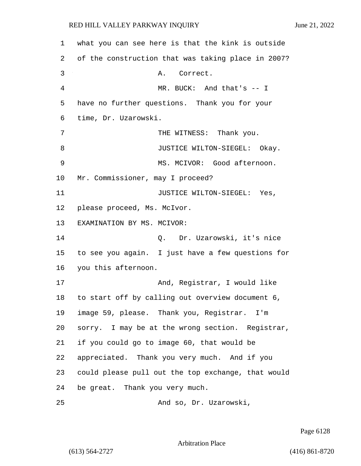| 1  | what you can see here is that the kink is outside  |
|----|----------------------------------------------------|
| 2  | of the construction that was taking place in 2007? |
| 3  | Α.<br>Correct.                                     |
| 4  | MR. BUCK: And that's -- I                          |
| 5  | have no further questions. Thank you for your      |
| 6  | time, Dr. Uzarowski.                               |
| 7  | THE WITNESS: Thank you.                            |
| 8  | JUSTICE WILTON-SIEGEL: Okay.                       |
| 9  | MS. MCIVOR: Good afternoon.                        |
| 10 | Mr. Commissioner, may I proceed?                   |
| 11 | JUSTICE WILTON-SIEGEL: Yes,                        |
| 12 | please proceed, Ms. McIvor.                        |
| 13 | EXAMINATION BY MS. MCIVOR:                         |
| 14 | Q. Dr. Uzarowski, it's nice                        |
| 15 | to see you again. I just have a few questions for  |
| 16 | you this afternoon.                                |
| 17 | And, Registrar, I would like                       |
| 18 | to start off by calling out overview document 6,   |
| 19 | image 59, please. Thank you, Registrar. I'm        |
| 20 | sorry. I may be at the wrong section. Registrar,   |
| 21 | if you could go to image 60, that would be         |
| 22 | appreciated. Thank you very much. And if you       |
| 23 | could please pull out the top exchange, that would |
| 24 | be great. Thank you very much.                     |
| 25 | And so, Dr. Uzarowski,                             |

Page 6128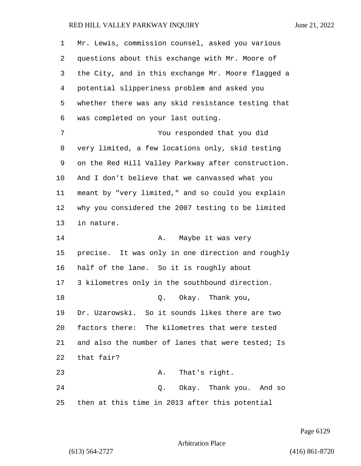| 1  | Mr. Lewis, commission counsel, asked you various   |
|----|----------------------------------------------------|
| 2  | questions about this exchange with Mr. Moore of    |
| 3  | the City, and in this exchange Mr. Moore flagged a |
| 4  | potential slipperiness problem and asked you       |
| 5  | whether there was any skid resistance testing that |
| 6  | was completed on your last outing.                 |
| 7  | You responded that you did                         |
| 8  | very limited, a few locations only, skid testing   |
| 9  | on the Red Hill Valley Parkway after construction. |
| 10 | And I don't believe that we canvassed what you     |
| 11 | meant by "very limited," and so could you explain  |
| 12 | why you considered the 2007 testing to be limited  |
| 13 | in nature.                                         |
| 14 | Maybe it was very<br>Α.                            |
| 15 | precise. It was only in one direction and roughly  |
| 16 | half of the lane. So it is roughly about           |
| 17 | 3 kilometres only in the southbound direction.     |
| 18 | Q. Okay. Thank you,                                |
| 19 | Dr. Uzarowski. So it sounds likes there are two    |
| 20 | factors there: The kilometres that were tested     |
| 21 | and also the number of lanes that were tested; Is  |
| 22 | that fair?                                         |
| 23 | That's right.<br>Α.                                |
| 24 | Q. Okay. Thank you. And so                         |
| 25 | then at this time in 2013 after this potential     |

Page 6129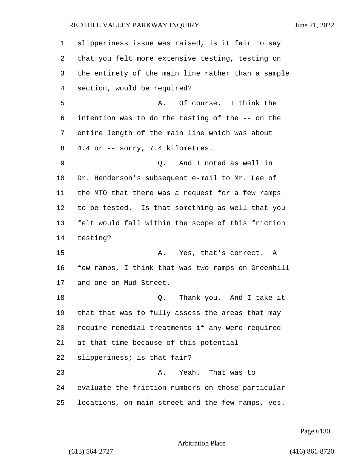slipperiness issue was raised, is it fair to say that you felt more extensive testing, testing on the entirety of the main line rather than a sample section, would be required? 5 A. Of course. I think the intention was to do the testing of the -- on the entire length of the main line which was about 4.4 or -- sorry, 7.4 kilometres. 9 Q. And I noted as well in Dr. Henderson's subsequent e-mail to Mr. Lee of the MTO that there was a request for a few ramps to be tested. Is that something as well that you felt would fall within the scope of this friction testing? 15 A. Yes, that's correct. A few ramps, I think that was two ramps on Greenhill and one on Mud Street. 18 and 1 q. Thank you. And I take it that that was to fully assess the areas that may require remedial treatments if any were required at that time because of this potential slipperiness; is that fair? 23 A. Yeah. That was to evaluate the friction numbers on those particular locations, on main street and the few ramps, yes.

Page 6130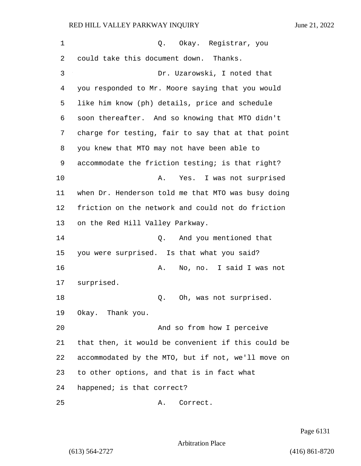1 C. Okay. Registrar, you could take this document down. Thanks. 3 Dr. Uzarowski, I noted that you responded to Mr. Moore saying that you would like him know (ph) details, price and schedule soon thereafter. And so knowing that MTO didn't charge for testing, fair to say that at that point you knew that MTO may not have been able to accommodate the friction testing; is that right? 10 A. Yes. I was not surprised when Dr. Henderson told me that MTO was busy doing friction on the network and could not do friction on the Red Hill Valley Parkway. 14 Q. And you mentioned that you were surprised. Is that what you said? 16 A. No, no. I said I was not surprised.  $Q.$  Oh, was not surprised. Okay. Thank you. 20 And so from how I perceive that then, it would be convenient if this could be accommodated by the MTO, but if not, we'll move on to other options, and that is in fact what happened; is that correct? 25 A. Correct.

Page 6131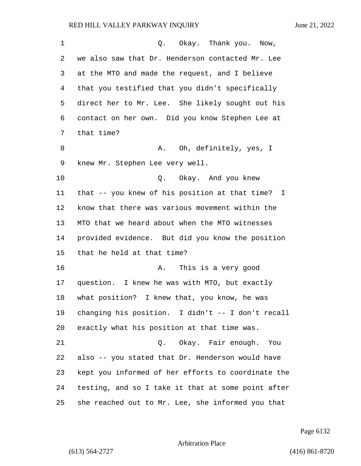| 1  | Q. Okay. Thank you. Now,                           |
|----|----------------------------------------------------|
| 2  | we also saw that Dr. Henderson contacted Mr. Lee   |
| 3  | at the MTO and made the request, and I believe     |
| 4  | that you testified that you didn't specifically    |
| 5  | direct her to Mr. Lee. She likely sought out his   |
| 6  | contact on her own. Did you know Stephen Lee at    |
| 7  | that time?                                         |
| 8  | A. Oh, definitely, yes, I                          |
| 9  | knew Mr. Stephen Lee very well.                    |
| 10 | Q. Okay. And you knew                              |
| 11 | that -- you knew of his position at that time? I   |
| 12 | know that there was various movement within the    |
| 13 | MTO that we heard about when the MTO witnesses     |
| 14 | provided evidence. But did you know the position   |
| 15 | that he held at that time?                         |
| 16 | This is a very good<br>Α.                          |
| 17 | question. I knew he was with MTO, but exactly      |
| 18 | what position? I knew that, you know, he was       |
| 19 | changing his position. I didn't -- I don't recall  |
| 20 | exactly what his position at that time was.        |
| 21 | Okay. Fair enough. You<br>$\circ$ .                |
| 22 | also -- you stated that Dr. Henderson would have   |
| 23 | kept you informed of her efforts to coordinate the |
| 24 | testing, and so I take it that at some point after |
| 25 | she reached out to Mr. Lee, she informed you that  |

Page 6132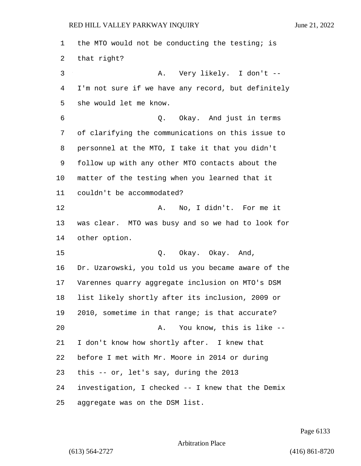the MTO would not be conducting the testing; is that right? 3 A. Very likely. I don't -- I'm not sure if we have any record, but definitely she would let me know. 6 Q. Okay. And just in terms of clarifying the communications on this issue to personnel at the MTO, I take it that you didn't follow up with any other MTO contacts about the matter of the testing when you learned that it couldn't be accommodated? **A.** No, I didn't. For me it was clear. MTO was busy and so we had to look for other option. 15 Q. Okay. Okay. And, Dr. Uzarowski, you told us you became aware of the Varennes quarry aggregate inclusion on MTO's DSM list likely shortly after its inclusion, 2009 or 2010, sometime in that range; is that accurate? 20 A. You know, this is like -- I don't know how shortly after. I knew that before I met with Mr. Moore in 2014 or during this -- or, let's say, during the 2013 investigation, I checked -- I knew that the Demix aggregate was on the DSM list.

Page 6133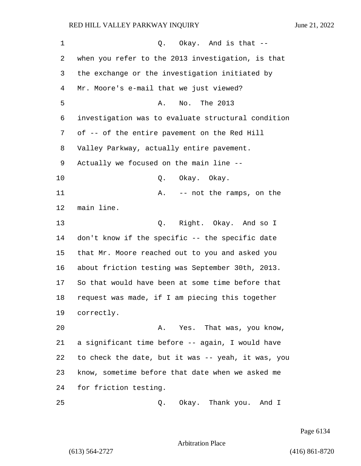| $\mathbf 1$ | Q. Okay. And is that --                            |  |  |  |  |  |  |  |
|-------------|----------------------------------------------------|--|--|--|--|--|--|--|
| 2           | when you refer to the 2013 investigation, is that  |  |  |  |  |  |  |  |
| 3           | the exchange or the investigation initiated by     |  |  |  |  |  |  |  |
| 4           | Mr. Moore's e-mail that we just viewed?            |  |  |  |  |  |  |  |
| 5           | No. The 2013<br>Α.                                 |  |  |  |  |  |  |  |
| 6           | investigation was to evaluate structural condition |  |  |  |  |  |  |  |
| 7           | of -- of the entire pavement on the Red Hill       |  |  |  |  |  |  |  |
| 8           | Valley Parkway, actually entire pavement.          |  |  |  |  |  |  |  |
| 9           | Actually we focused on the main line --            |  |  |  |  |  |  |  |
| 10          | Okay. Okay.<br>Q.                                  |  |  |  |  |  |  |  |
| 11          | -- not the ramps, on the<br>Α.                     |  |  |  |  |  |  |  |
| 12          | main line.                                         |  |  |  |  |  |  |  |
| 13          | Right. Okay. And so I<br>Q.                        |  |  |  |  |  |  |  |
| 14          | don't know if the specific -- the specific date    |  |  |  |  |  |  |  |
| 15          | that Mr. Moore reached out to you and asked you    |  |  |  |  |  |  |  |
| 16          | about friction testing was September 30th, 2013.   |  |  |  |  |  |  |  |
| 17          | So that would have been at some time before that   |  |  |  |  |  |  |  |
| 18          | request was made, if I am piecing this together    |  |  |  |  |  |  |  |
| 19          | correctly.                                         |  |  |  |  |  |  |  |
| 20          | Yes. That was, you know,<br>Α.                     |  |  |  |  |  |  |  |
| 21          | a significant time before -- again, I would have   |  |  |  |  |  |  |  |
| 22          | to check the date, but it was -- yeah, it was, you |  |  |  |  |  |  |  |
| 23          | know, sometime before that date when we asked me   |  |  |  |  |  |  |  |
| 24          | for friction testing.                              |  |  |  |  |  |  |  |
| 25          | Okay. Thank you. And I<br>Q.                       |  |  |  |  |  |  |  |

Page 6134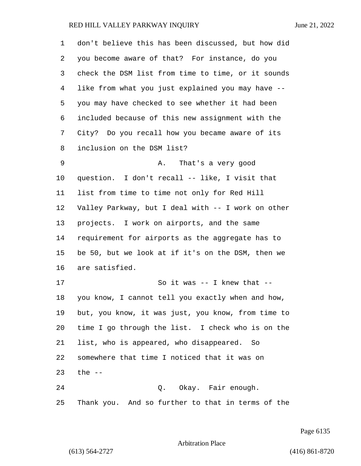| $\mathbf 1$ | don't believe this has been discussed, but how did |  |  |  |  |  |  |
|-------------|----------------------------------------------------|--|--|--|--|--|--|
| 2           | you become aware of that? For instance, do you     |  |  |  |  |  |  |
| 3           | check the DSM list from time to time, or it sounds |  |  |  |  |  |  |
| 4           | like from what you just explained you may have --  |  |  |  |  |  |  |
| 5           | you may have checked to see whether it had been    |  |  |  |  |  |  |
| 6           | included because of this new assignment with the   |  |  |  |  |  |  |
| 7           | City? Do you recall how you became aware of its    |  |  |  |  |  |  |
| 8           | inclusion on the DSM list?                         |  |  |  |  |  |  |
| 9           | That's a very good<br>Α.                           |  |  |  |  |  |  |
| $10 \,$     | question. I don't recall -- like, I visit that     |  |  |  |  |  |  |
| 11          | list from time to time not only for Red Hill       |  |  |  |  |  |  |
| 12          | Valley Parkway, but I deal with -- I work on other |  |  |  |  |  |  |
| 13          | projects. I work on airports, and the same         |  |  |  |  |  |  |
| 14          | requirement for airports as the aggregate has to   |  |  |  |  |  |  |
| 15          | be 50, but we look at if it's on the DSM, then we  |  |  |  |  |  |  |
| 16          | are satisfied.                                     |  |  |  |  |  |  |
| 17          | So it was $--$ I knew that $--$                    |  |  |  |  |  |  |
| 18          | you know, I cannot tell you exactly when and how,  |  |  |  |  |  |  |
| 19          | but, you know, it was just, you know, from time to |  |  |  |  |  |  |
| 20          | time I go through the list. I check who is on the  |  |  |  |  |  |  |
| 21          | list, who is appeared, who disappeared. So         |  |  |  |  |  |  |
| 22          | somewhere that time I noticed that it was on       |  |  |  |  |  |  |
| 23          | the $--$                                           |  |  |  |  |  |  |
| 24          | Q. Okay. Fair enough.                              |  |  |  |  |  |  |
| 25          | Thank you. And so further to that in terms of the  |  |  |  |  |  |  |

Page 6135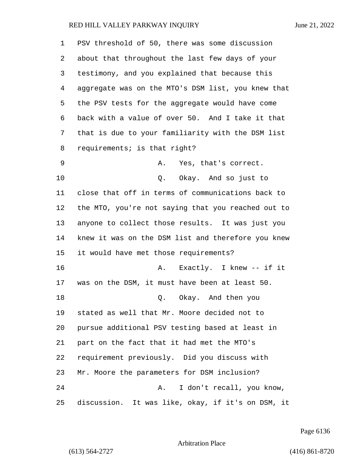| 1  | PSV threshold of 50, there was some discussion     |  |  |  |  |  |  |  |
|----|----------------------------------------------------|--|--|--|--|--|--|--|
| 2  | about that throughout the last few days of your    |  |  |  |  |  |  |  |
| 3  | testimony, and you explained that because this     |  |  |  |  |  |  |  |
| 4  | aggregate was on the MTO's DSM list, you knew that |  |  |  |  |  |  |  |
| 5  | the PSV tests for the aggregate would have come    |  |  |  |  |  |  |  |
| 6  | back with a value of over 50. And I take it that   |  |  |  |  |  |  |  |
| 7  | that is due to your familiarity with the DSM list  |  |  |  |  |  |  |  |
| 8  | requirements; is that right?                       |  |  |  |  |  |  |  |
| 9  | A. Yes, that's correct.                            |  |  |  |  |  |  |  |
| 10 | Q. Okay. And so just to                            |  |  |  |  |  |  |  |
| 11 | close that off in terms of communications back to  |  |  |  |  |  |  |  |
| 12 | the MTO, you're not saying that you reached out to |  |  |  |  |  |  |  |
| 13 | anyone to collect those results. It was just you   |  |  |  |  |  |  |  |
| 14 | knew it was on the DSM list and therefore you knew |  |  |  |  |  |  |  |
| 15 | it would have met those requirements?              |  |  |  |  |  |  |  |
| 16 | Exactly. I knew -- if it<br>Α.                     |  |  |  |  |  |  |  |
| 17 | was on the DSM, it must have been at least 50.     |  |  |  |  |  |  |  |
| 18 | Q. Okay. And then you                              |  |  |  |  |  |  |  |
| 19 | stated as well that Mr. Moore decided not to       |  |  |  |  |  |  |  |
| 20 | pursue additional PSV testing based at least in    |  |  |  |  |  |  |  |
| 21 | part on the fact that it had met the MTO's         |  |  |  |  |  |  |  |
| 22 | requirement previously. Did you discuss with       |  |  |  |  |  |  |  |
| 23 | Mr. Moore the parameters for DSM inclusion?        |  |  |  |  |  |  |  |
| 24 | I don't recall, you know,<br>Α.                    |  |  |  |  |  |  |  |
| 25 | discussion. It was like, okay, if it's on DSM, it  |  |  |  |  |  |  |  |

Page 6136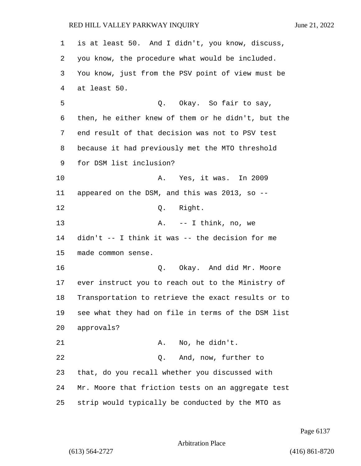is at least 50. And I didn't, you know, discuss, you know, the procedure what would be included. You know, just from the PSV point of view must be at least 50. 5 Q. Okay. So fair to say, then, he either knew of them or he didn't, but the end result of that decision was not to PSV test because it had previously met the MTO threshold for DSM list inclusion? 10 A. Yes, it was. In 2009 appeared on the DSM, and this was 2013, so -- 12 O. Right. 13 A. -- I think, no, we didn't -- I think it was -- the decision for me made common sense. **16 C.** O. Okay. And did Mr. Moore ever instruct you to reach out to the Ministry of Transportation to retrieve the exact results or to see what they had on file in terms of the DSM list approvals? 21 A. No, he didn't. 22 Q. And, now, further to that, do you recall whether you discussed with Mr. Moore that friction tests on an aggregate test strip would typically be conducted by the MTO as

Page 6137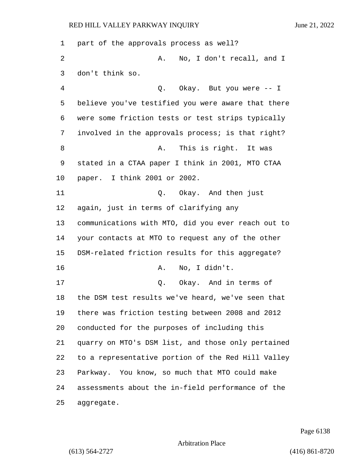| 1              | part of the approvals process as well?             |  |  |  |  |  |  |  |
|----------------|----------------------------------------------------|--|--|--|--|--|--|--|
| 2              | No, I don't recall, and I<br>Α.                    |  |  |  |  |  |  |  |
| 3              | don't think so.                                    |  |  |  |  |  |  |  |
| $\overline{4}$ | Q. Okay. But you were -- I                         |  |  |  |  |  |  |  |
| 5              | believe you've testified you were aware that there |  |  |  |  |  |  |  |
| 6              | were some friction tests or test strips typically  |  |  |  |  |  |  |  |
| 7              | involved in the approvals process; is that right?  |  |  |  |  |  |  |  |
| 8              | This is right. It was<br>Α.                        |  |  |  |  |  |  |  |
| 9              | stated in a CTAA paper I think in 2001, MTO CTAA   |  |  |  |  |  |  |  |
| 10             | paper. I think 2001 or 2002.                       |  |  |  |  |  |  |  |
| 11             | Q. Okay. And then just                             |  |  |  |  |  |  |  |
| 12             | again, just in terms of clarifying any             |  |  |  |  |  |  |  |
| 13             | communications with MTO, did you ever reach out to |  |  |  |  |  |  |  |
| 14             | your contacts at MTO to request any of the other   |  |  |  |  |  |  |  |
| 15             | DSM-related friction results for this aggregate?   |  |  |  |  |  |  |  |
| 16             | No, I didn't.<br>Α.                                |  |  |  |  |  |  |  |
| 17             | Q. Okay. And in terms of                           |  |  |  |  |  |  |  |
| 18             | the DSM test results we've heard, we've seen that  |  |  |  |  |  |  |  |
| 19             | there was friction testing between 2008 and 2012   |  |  |  |  |  |  |  |
| 20             | conducted for the purposes of including this       |  |  |  |  |  |  |  |
| 21             | quarry on MTO's DSM list, and those only pertained |  |  |  |  |  |  |  |
| 22             | to a representative portion of the Red Hill Valley |  |  |  |  |  |  |  |
| 23             | Parkway. You know, so much that MTO could make     |  |  |  |  |  |  |  |
| 24             | assessments about the in-field performance of the  |  |  |  |  |  |  |  |
| 25             | aggregate.                                         |  |  |  |  |  |  |  |

Page 6138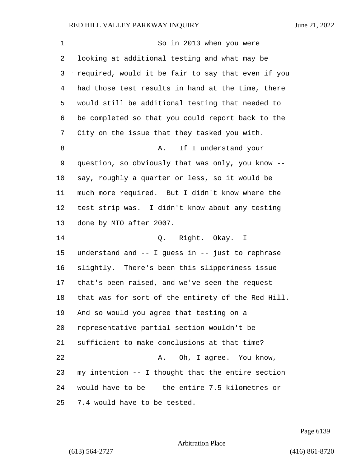1 So in 2013 when you were looking at additional testing and what may be required, would it be fair to say that even if you had those test results in hand at the time, there would still be additional testing that needed to be completed so that you could report back to the City on the issue that they tasked you with. 8 A. If I understand your question, so obviously that was only, you know -- say, roughly a quarter or less, so it would be much more required. But I didn't know where the test strip was. I didn't know about any testing done by MTO after 2007. 14 Q. Right. Okay. I understand and -- I guess in -- just to rephrase slightly. There's been this slipperiness issue that's been raised, and we've seen the request that was for sort of the entirety of the Red Hill. And so would you agree that testing on a representative partial section wouldn't be sufficient to make conclusions at that time? 22 A. Oh, I agree. You know, my intention -- I thought that the entire section would have to be -- the entire 7.5 kilometres or 7.4 would have to be tested.

Page 6139

Arbitration Place

(613) 564-2727 (416) 861-8720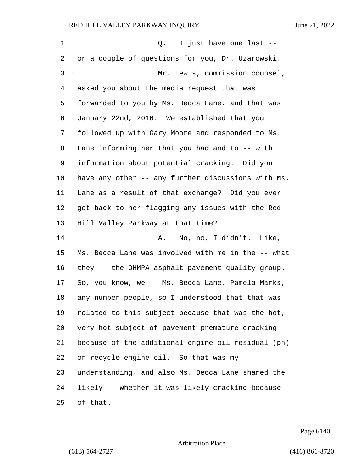| 1            | I just have one last --<br>Q.                      |  |  |  |  |  |  |
|--------------|----------------------------------------------------|--|--|--|--|--|--|
| 2            | or a couple of questions for you, Dr. Uzarowski.   |  |  |  |  |  |  |
| $\mathsf{3}$ | Mr. Lewis, commission counsel,                     |  |  |  |  |  |  |
| 4            | asked you about the media request that was         |  |  |  |  |  |  |
| 5            | forwarded to you by Ms. Becca Lane, and that was   |  |  |  |  |  |  |
| 6            | January 22nd, 2016. We established that you        |  |  |  |  |  |  |
| 7            | followed up with Gary Moore and responded to Ms.   |  |  |  |  |  |  |
| 8            | Lane informing her that you had and to -- with     |  |  |  |  |  |  |
| 9            | information about potential cracking. Did you      |  |  |  |  |  |  |
| 10           | have any other -- any further discussions with Ms. |  |  |  |  |  |  |
| 11           | Lane as a result of that exchange? Did you ever    |  |  |  |  |  |  |
| 12           | get back to her flagging any issues with the Red   |  |  |  |  |  |  |
| 13           | Hill Valley Parkway at that time?                  |  |  |  |  |  |  |
| 14           | No, no, I didn't. Like,<br>Α.                      |  |  |  |  |  |  |
| 15           | Ms. Becca Lane was involved with me in the -- what |  |  |  |  |  |  |
| 16           | they -- the OHMPA asphalt pavement quality group.  |  |  |  |  |  |  |
| 17           | So, you know, we -- Ms. Becca Lane, Pamela Marks,  |  |  |  |  |  |  |
| 18           | any number people, so I understood that that was   |  |  |  |  |  |  |
| 19           | related to this subject because that was the hot,  |  |  |  |  |  |  |
| 20           | very hot subject of pavement premature cracking    |  |  |  |  |  |  |
| 21           | because of the additional engine oil residual (ph) |  |  |  |  |  |  |
| 22           | or recycle engine oil. So that was my              |  |  |  |  |  |  |
| 23           | understanding, and also Ms. Becca Lane shared the  |  |  |  |  |  |  |
| 24           | likely -- whether it was likely cracking because   |  |  |  |  |  |  |
| 25           | of that.                                           |  |  |  |  |  |  |

Page 6140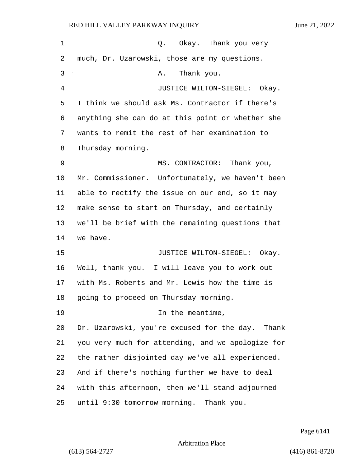| 1              | Q. Okay. Thank you very                           |  |  |  |  |  |  |  |
|----------------|---------------------------------------------------|--|--|--|--|--|--|--|
| 2              | much, Dr. Uzarowski, those are my questions.      |  |  |  |  |  |  |  |
| 3              | Thank you.<br>Α.                                  |  |  |  |  |  |  |  |
| $\overline{4}$ | JUSTICE WILTON-SIEGEL: Okay.                      |  |  |  |  |  |  |  |
| 5              | I think we should ask Ms. Contractor if there's   |  |  |  |  |  |  |  |
| 6              | anything she can do at this point or whether she  |  |  |  |  |  |  |  |
| 7              | wants to remit the rest of her examination to     |  |  |  |  |  |  |  |
| 8              | Thursday morning.                                 |  |  |  |  |  |  |  |
| 9              | MS. CONTRACTOR: Thank you,                        |  |  |  |  |  |  |  |
| 10             | Mr. Commissioner. Unfortunately, we haven't been  |  |  |  |  |  |  |  |
| 11             | able to rectify the issue on our end, so it may   |  |  |  |  |  |  |  |
| 12             | make sense to start on Thursday, and certainly    |  |  |  |  |  |  |  |
| 13             | we'll be brief with the remaining questions that  |  |  |  |  |  |  |  |
| 14             | we have.                                          |  |  |  |  |  |  |  |
| 15             | JUSTICE WILTON-SIEGEL: Okay.                      |  |  |  |  |  |  |  |
| 16             | Well, thank you. I will leave you to work out     |  |  |  |  |  |  |  |
| 17             | with Ms. Roberts and Mr. Lewis how the time is    |  |  |  |  |  |  |  |
| 18             | going to proceed on Thursday morning.             |  |  |  |  |  |  |  |
| 19             | In the meantime,                                  |  |  |  |  |  |  |  |
| 20             | Dr. Uzarowski, you're excused for the day. Thank  |  |  |  |  |  |  |  |
| 21             | you very much for attending, and we apologize for |  |  |  |  |  |  |  |
| 22             | the rather disjointed day we've all experienced.  |  |  |  |  |  |  |  |
| 23             | And if there's nothing further we have to deal    |  |  |  |  |  |  |  |
| 24             | with this afternoon, then we'll stand adjourned   |  |  |  |  |  |  |  |
| 25             | until 9:30 tomorrow morning. Thank you.           |  |  |  |  |  |  |  |

Page 6141